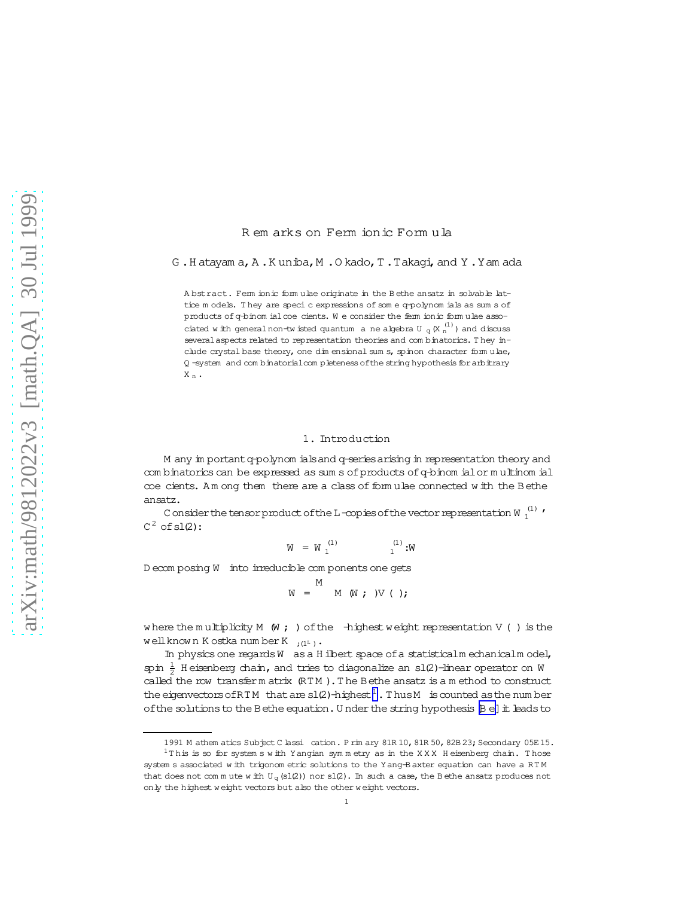## R em arks on Ferm ionic Form ula

G .H atayam a,A .K uniba,M .O kado,T .Takagi,and Y .Yam ada

A bstract. Ferm ionic form ulae originate in the B ethe ansatz in solvable lattice m odels. T hey are specic expressions of som e q-polynom ials as sum s of products of q-binom ialcoe cients. We consider the ferm ionic form ulae associated with general non-twisted quantum a ne algebra U  $_{\rm q}$  (X  $_{\rm n}^{(1)}$  ) and discuss severalaspects related to representation theories and com binatorics. T hey include crystal base theory, one dim ensional sum s, spinon character form ulae, Q -system and com binatorialcom pleteness of the string hypothesis for arbitrary  $\mathbf{X}$   $\mathbf{n}$  .

#### 1. Introduction

M any im portant q-polynom ials and q-series arising in representation theory and com binatorics can be expressed as sum s of products of q-binom ialor m ultinom ial coe cients. Am ong them there are a class of form ulae connected w ith the Bethe ansatz.

C onsider the tensor product of the L-copies of the vector representation W  $_1^{\left( 1\right) }$   $^{\prime }$  $C^2$  of sl(2):

> $W = W_1^{(1)}$  $\mathbf{u}^{(1)}$  :W

D ecom posing W into irreducible com ponents one gets

$$
W = \begin{bmatrix} M \\ M \\ M \end{bmatrix} \begin{pmatrix} W \\ W \end{pmatrix} \begin{pmatrix} W \\ W \end{pmatrix}.
$$

where the multiplicity M (W ; ) of the  $-$ highest weight representation V () is the well known K ostka num ber K  $_{i(1^{L})}$ .

In physics one regards W as a H ilbert space of a statisticalm echanicalm odel, spin  $\frac{1}{2}$  H eisenberg chain, and tries to diagonalize an sl(2)-linear operator on W called the row transfer m atrix  $(RTM)$ . The Bethe ansatz is a m ethod to construct the eigenvectors of RTM that are  $sl(2)$ -highest<sup>1</sup>. Thus M is counted as the num ber of the solutions to the Bethe equation. U nder the string hypothesis  $[{\bf B}$  e] it leads to

<sup>1991</sup> M athem atics Subject C lassi cation. P rim ary 81R 10, 81R 50, 82B 23; Secondary 05E 15.

 $1$ This is so for system s w ith Yangian symmetry as in the XXX H eisenberg chain. Those system s associated w ith trigonom etric solutions to the Yang-B axter equation can have a RT M that does not com m ute w ith  $U_q(s1(2))$  nor sl(2). In such a case, the B ethe ansatz produces not only the highest w eight vectors but also the other w eight vectors.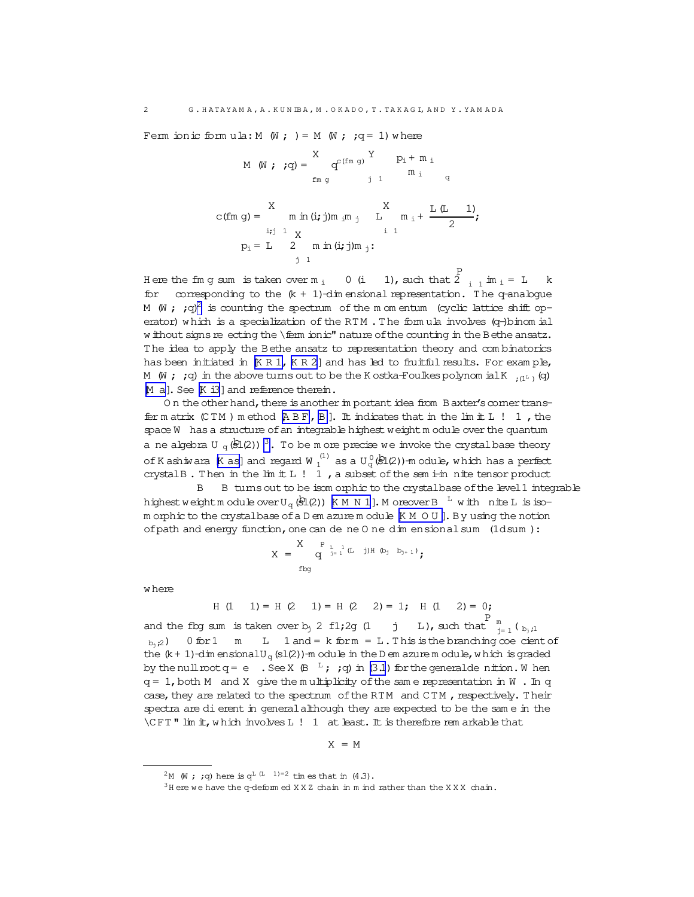Ferm ionic form ula: M  $(W; ) = M (W; q = 1)$  where

$$
M (W; q) = \begin{cases} X & \text{if } P_i + m_i \\ m g & \text{if } n \neq 0 \end{cases}
$$
  
\n
$$
C(fm g) = \begin{cases} X & X \\ m \text{ in } (i; j)m_i m_j & L \\ m_i + \frac{L(L-1)}{2}; \\ p_i = L - 2 & m \text{ in } (i; j)m_j: \end{cases}
$$

Here the fm g sum is taken over m  $\frac{1}{1}$  0 (i 1), such that 2 P  $\sum_{i=1}^{n} m_i = L$  k for corresponding to the  $(k + 1)$ -dim ensional representation. The q-analogue M (W ; ;q)<sup>2</sup> is counting the spectrum of the m om entum (cyclic lattice shift operator) which is a specialization of the RTM. The formula involves  $(q-)$ binom ial w ithout signs re ecting the \ferm ionic" nature of the counting in the Bethe ansatz. T he idea to apply the Bethe ansatz to representation theory and com binatorics has been initiated in  $[K R 1, K R 2]$  $[K R 1, K R 2]$  $[K R 1, K R 2]$  and has led to fruitful results. For exam ple, M  $(W; ; q)$  in the above turns out to be the K ostka-Foulkes polynom ial K  $_{(1^L)}(q)$ [M a](#page-47-0)]. See [[K i3](#page-47-0)] and reference therein.

On the other hand, there is another in portantidea from Baxter's comer transfer m atrix  $(CTM)$  m ethod  $[ABF, B]$  $[ABF, B]$  $[ABF, B]$ . It indicates that in the lim it L  $! 1$ , the space W has a structure of an integrable highest weight module over the quantum a ne algebra U  $_q$ ( $\Omega$ (2))<sup>3</sup>. To be m ore precise we invoke the crystal base theory of Kashiwara [[K as](#page-46-0)] and regard W  $_1^{(1)}$  as a U  $_q^0$  (\$1(2))-module, which has a perfect crystalB. Then in the  $\text{lim } t L$  ! 1, a subset of the sem i-in nite tensor product

B B turns out to be isom orphic to the crystalbase of the level 1 integrable highestweightmodule over U<sub>q</sub>( $\bigcircledast$ 1(2)) [[K M N 1](#page-46-0)]. M oreover B  $^{-{\rm L}}$  with nite L is isom orphic to the crystalbase ofa D em azure m odule [[K M O U](#page-47-0) ].By using the notion ofpath and energy function,one can dene O ne dim ensionalsum (1dsum ):

$$
X \ = \ \begin{matrix} X & \texttt{P} \ \texttt{L} \ \texttt{I} \ \texttt{I} \end{matrix} \texttt{(L)} \texttt{j} \texttt{H} \ \texttt{(b)} \ \texttt{b}_{j+1} \texttt{)},
$$

w here

H (1 1)= H (2 1)= H (2 2)= 1; H (1 2)= 0;

and the flog sum is taken over b<sub>j</sub> 2 f1;2g (1 j L), such that  $\frac{P}{j=1}$  (  $_{b_j,i}$  $b_{i,i2}$ ) 0 for 1 m L 1 and = k form = L. This is the branching  $\infty$  e cient of the  $(k + 1)$ -dim ensionalU<sub>q</sub>(sl(2))-m odule in the D em azure m odule, w hich is graded by the null  $\text{root}$  q = e  $\;$  . See X  $\;$  (B  $^{-1}$  ; ; q) in [\(3.1](#page-11-0)) for the generalde nition. W hen  $q = 1$ , both M and X give the m ultiplicity of the same representation in W. In q case, they are related to the spectrum of the RTM and CTM, respectively. Their spectra are dierent in generalalthough they are expected to be the sam e in the \C FT " lim it,w hich involvesL ! 1 at least.It is therefore rem arkable that

 $X = M$ 

<sup>&</sup>lt;sup>2</sup>M (W; ;q) here is  $q^{L(L-1)=2}$  times that in (4.3).

 $3$ H ere we have the q-deform ed X X Z chain in m ind rather than the X X X chain.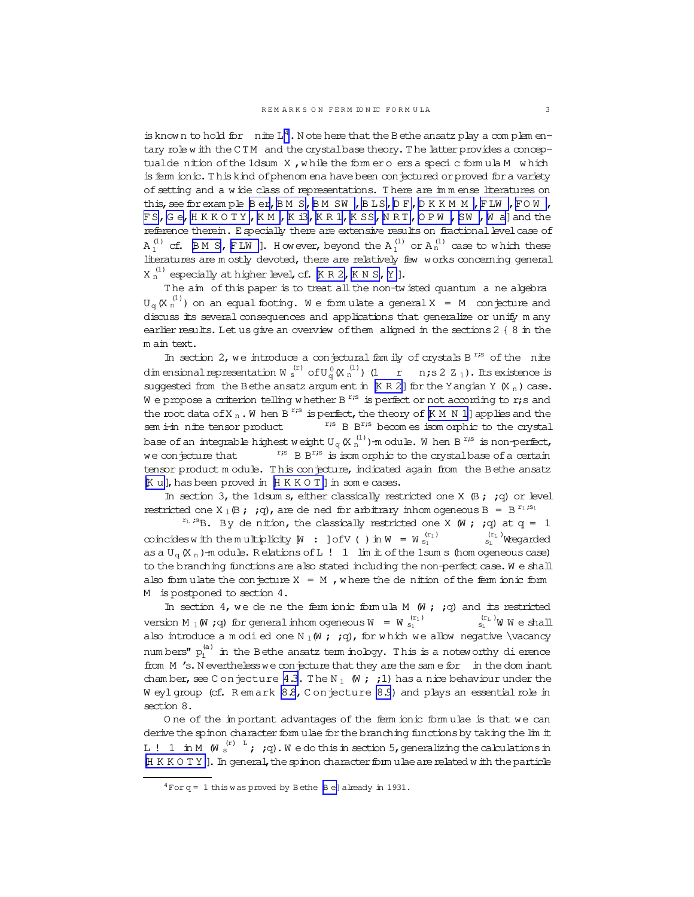is known to hold for  $n$  ite L<sup>4</sup>. Note here that the Bethe ansatz play a complem entary role with the CTM and the crystalbase theory. The latter provides a conceptualde nition of the 1dsum X, while the form ero ers a specic formula M which is fem ionic. This kind of phenom ena have been conjectured or proved for a variety of setting and a wide class of representations. There are in m ense literatures on this, see for example Ber, BM S, BM SW, BLS, DF, DKKMM, FLW, FOW, FS, Ge, HKKOTY, KM, Ki3, KR1, KSS, NRT, OPW, SW, Waland the reference therein. E specially there are extensive results on fractional level case of  $A_1^{(1)}$  cf.  $BM S$ , FLW ]. However, beyond the  $A_1^{(1)}$  or  $A_n^{(1)}$  case to which these literatures are mostly devoted, there are relatively few works concerning general  $X_n^{(1)}$  especially at higher level, cf.  $K R 2$ ,  $K N S$ ,  $Y$ ].

The aim of this paper is to treat all the non-tw isted quantum a ne algebra  $U_{\alpha}$  (X  $_{n}^{(1)}$ ) on an equal footing. We formulate a general X = M conjecture and discuss its several consequences and applications that generalize or unify many earlier results. Let us give an overview of them aligned in the sections 2 { 8 in the m ain text.

In section 2, we introduce a conjectural fam ily of crystals  $B^{r,s}$  of the nite dim ensional representation W  $_s^{(r)}$  of U<sub>G</sub>(X  $_n^{(1)}$ ) (1 r n; s 2 Z<sub>1</sub>). Its existence is suggested from the Bethe ansatz argum ent in  $K R 2$ ] for the Yangian Y  $(K_n)$  case. We propose a criterion telling whether B<sup>r;s</sup> is perfect or not according to r;s and the root data of<br>X  $_\mathrm{n}$  . W hen B  $^\mathrm{r;s}$  is perfect, the theory of<br>  $\mathbb K$  M  $\mathbb N$  1] applies and the  $^{\mathrm{r}\mathrm{,s}}$  B  $\mathrm{B}^{\mathrm{r}\mathrm{,s}}$  becomes isomorphic to the crystal sem i-in nite tensor product base of an integrable highest weight  $U_q(K_n^{(1)})$ -module. When B<sup>r<sub>is</sub></sup> is non-perfect,  $r$ <sup>15</sup> B B<sup>r</sup><sup>3</sup> is isom orphic to the crystal base of a certain we conjecture that tensor product module. This conjecture, indicated again from the Bethe ansatz Ku], has been proved in HKKOT] in some cases.

In section 3, the 1dsum s, either classically restricted one X  $(B; jq)$  or level restricted one X<sub>1</sub>(B; ; q), are de ned for arbitrary inhomogeneous B = B<sup>r<sub>1</sub>;s<sub>1</sub></sub></sup>

 $r_{L}$  is B. By de nition, the classically restricted one X (W ; ; q) at q = 1  $\sin^{(r_{\rm L})}$  Wregarded coincides with the multiplicity  $[M : ]ofV()$  in  $W = W_{s_1}^{(r_1)}$ as a  $U_{\alpha}$  (X<sub>n</sub>)-m odule. Relations of L! 1 lim it of the 1sum s (hom ogeneous case) to the branching functions are also stated including the non-perfect case. We shall also form ulate the conjecture  $X = M$ , where the denition of the ferm ionic form M is postponed to section 4.

In section 4, we de ne the fem ionic formula M  $(W; q)$  and its restricted version M  $_1$  (W ; q) for general inhomogeneous W = W  $_{s_1}^{(r_1)}$  $\int_{S_{\rm L}}^{(r_{\rm L})} W$  W e shall also introduce a modied one N<sub>1</sub>(W ; ; q), for which we allow negative \vacancy numbers"  $p_i^{(a)}$  in the Bethe ansatz term inology. This is a noteworthy di erence from M 's. N evertheless we conjecture that they are the same for in the dom inant chamber, see C on jecture 4.3. The N<sub>1</sub>  $\mathbb{W}$ ; 1) has a nice behaviour under the Weylgroup (cf. Remark 8.8, Conjecture 8.9) and plays an essential role in section 8.

One of the important advantages of the ferm ionic formulae is that we can derive the spinon character form ulae for the branching functions by taking the lim it L! 1 in M  $(W_s^{(r)}$   $\overline{\phantom{a}}$ ;  $q$ ). We do this in section 5, generalizing the calculations in [H K K O T Y ]. In general, the spinon character form ulae are related with the particle

 $4$ For q = 1 this was proved by Bethe  $\beta$  e] already in 1931.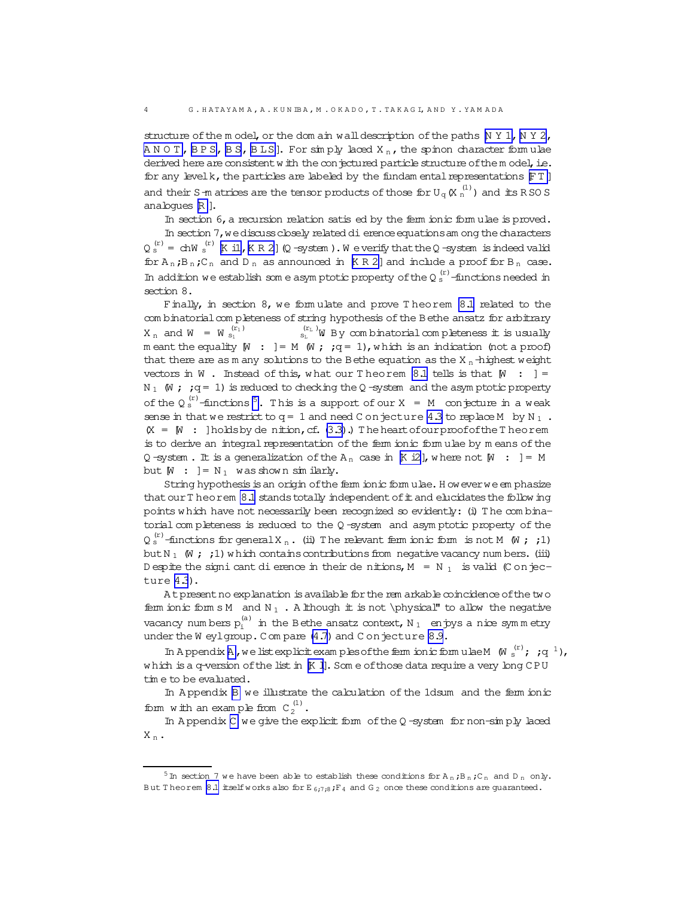structure of the m odel, or the dom ain wall description of the paths  $N Y 1$ ,  $N Y 2$ ,  $A N O T$ , BPS, BS, BLS]. For  $\sin p$  and  $X_n$ , the spinon character form ulae derived here are consistent w ith the conjectured particle structure of the m odel, i.e. for any level  $k$ , the particles are labeled by the fundam ental representations  $[FT]$ and their S-m atrices are the tensor products of those for U<sub>q</sub> (X  $_{\rm n}^{\rm (1)}$ ) and its R SO S analoques [R](#page-47-0) ].

In section 6, a recursion relation satis ed by the ferm ionic formulae is proved.

In section 7, we discuss closely related dierence equations among the characters  $Q_{S}^{(r)} =$  chW  $_{S}^{(r)}$  [K il , K R 2 ] (Q -system ). W e verify that the Q -system is indeed valid for  $A_n$ ; $B_n$ ; $C_n$  and  $D_n$  as announced in [[K R 2](#page-47-0)] and include a proof for  $B_n$  case. In addition we establish som e asymptotic property of the Q $_s^{\rm (r)}$ -functions needed in section 8.

Finally, in section 8, we form ulate and prove Theorem [8.1](#page-27-0) related to the com binatorial com pleteness of string hypothesis of the Bethe ansatz for arbitrary  $X_n$  and  $W = W_{s_1}^{(r_1)}$  $\left(\begin{smallmatrix} (r_L) \ s_L \end{smallmatrix}\right)$ W By combinatorial completeness it is usually m eant the equality  $[M : ] = M \times j$  ; q = 1), which is an indication (not a proof) that there are as m any solutions to the Bethe equation as the  $X_n$ -highest weight vectors in W . Instead of this, what our T heorem [8.1](#page-27-0) tells is that  $[M : ] =$ N<sub>1</sub> (W ;  $;q = 1$ ) is reduced to checking the Q-system and the asym ptotic property of the  $Q_s^{(r)}$ -functions<sup>5</sup>. This is a support of our X = M conjecture in a weak sense in that we restrict to  $q = 1$  and need C on jecture [4.3](#page-17-0) to replace M by N<sub>1</sub>.  $(X = W : ]$ holdsby de nition, cf. [\(3.3\)](#page-12-0).) The heart of our proof of the Theorem is to derive an integral representation of the ferm ionic form ulae by m eans of the Q -system. It is a generalization of the A<sub>n</sub> case in [[K i2](#page-47-0)], where not  $[M : ] = M$ but  $[M : ] = N_1$  was shown similarly.

String hypothesis is an origin of the ferm ionic form ulae. H owever we emphasize that our T heorem [8.1](#page-27-0) stands totally independent of it and elucidates the follow ing points w hich have not necessarily been recognized so evidently: (i) T he com binatorial com pleteness is reduced to the Q-system and asymptotic property of the  $Q_{s}^{(r)}$ -functions for general  $X_{n}$ . (ii) The relevant ferm ionic form is not M (W ; ;1) but N<sub>1</sub> (W ; ;1) w hich contains contributions from negative vacancy num bers. (iii) D espite the signi cant dierence in their denitions,  $M = N_1$  is valid (C onjecture [4.3](#page-17-0)).

A t present no explanation is available for the rem arkable coincidence of the two ferm ionic form s M and  $N_1$ . A lthough it is not \physical" to allow the negative vacancy numbers  $\bm{{\rm p}}_{\rm i}^{\rm (a)}$  in the Bethe ansatz context, N  $_1$  enjoys a nice symmetry under the W eylgroup. Compare [\(4.7\)](#page-15-0) and C onjecture [8.9.](#page-33-0)

In Appendix A, we list explicit examples of the ferm ionic form ulae M  $(W \mid s'$ ;  $(q^{-1})$ , which is a q-version of the list in [[K l](#page-47-0)]. Some of those data require a very long CPU tim e to be evaluated.

In A ppendix [B](#page-40-0) we illustrate the calculation of the 1dsum and the ferm ionic form with an example from  $C_2^{(1)}$ .

In A ppendix [C](#page-45-0) we give the explicit form of the  $Q$  -system for non-sim ply laced  $X_n$ .

<sup>&</sup>lt;sup>5</sup> In section 7 we have been able to establish these conditions for A<sub>n</sub>;B<sub>n</sub>;C<sub>n</sub> and D<sub>n</sub> only. But T heorem [8.1](#page-27-0) itself w orks also for E  $_{6,7,8}$ ; F<sub>4</sub> and G<sub>2</sub> once these conditions are guaranteed.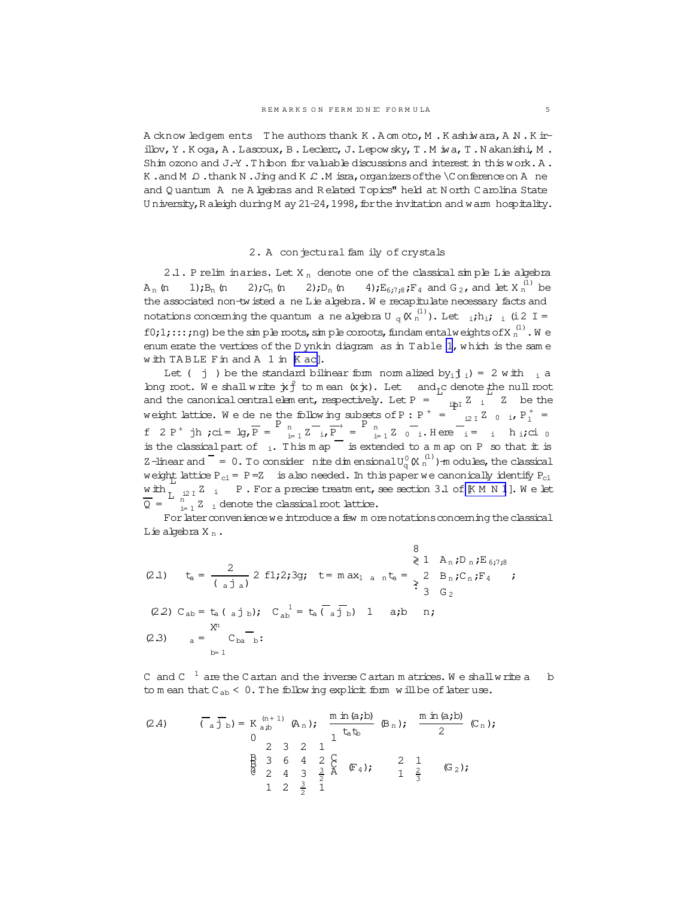<span id="page-4-0"></span>A cknow ledgem ents The authors thank K.A om oto, M.K ashiwara, A N.K irillov, Y.Koga, A.Lascoux, B.Leclerc, J.Lepowsky, T.M iwa, T.Nakanishi, M. Shim ozono and J.-Y . Thibon for valuable discussions and interest in this work. A . K.and M  $\Omega$ .thank N.Jing and K  $\mathcal{L}$ .M isra, organizers of the  $\setminus$ C on ference on A ne and Quantum A ne A kebras and Related Topics" held at North Carolina State University, Raleigh during M ay 21-24, 1998, for the invitation and warm hospitality.

### 2. A conjectural fam ily of crystals

2.1. P relim inaries. Let  $X_n$  denote one of the classical simple Lie algebra 4);  $E_{6:7:8}$ ;  $F_4$  and  $G_2$ , and let  $X_n^{(1)}$  be  $A_n$  (n  $1)$ ; $B_n$  (n  $2)$ ; $C_n$  (n  $2)$ ; D<sub>n</sub> (n the associated non-tw isted a ne Lie algebra. We recapitulate necessary facts and notations concerning the quantum a ne algebra  $U_q(K_n^{(1)})$ . Let  $i,h_i$ ;  $i$  (i 2 I = f0;1;::; ng) be the simple roots, simple coroots, fundamental weights of  $X_n^{(1)}$ . We enum erate the vertices of the D ynkin diagram as in Table 1, which is the same with TABLE Fin and A 1 in K ac].

Let ( j ) be the standard bilinear form normalized by<sub>i</sub> $j_i$ ) = 2 with  $i_i$  a long root. We shall write  $\dot{x}f$  to mean  $(x\dot{x})$ . Let and<sub>r</sub>c denote the null root and the canonical central element, respectively. Let P =  $\frac{1}{12}$  i  $\frac{1}{2}$  i  $\frac{1}{2}$  be the weight lattice. We dene the following subsets of P : P<sup>+</sup> =  $\frac{1}{12}$  I  $\frac{2}{12}$  0 i, P<sub>1</sub><sup>+</sup> = f 2 P<sup>+</sup> jh ;ci = lg,  $\overline{P}$  =  $\overline{P}$   $\frac{P}{i=1}$   $\overline{Z}$   $\frac{1}{i}$   $\overline{P}$  =  $\overline{P}$   $\frac{P}{i=1}$   $\overline{Z}$   $\frac{1}{i}$   $\overline{Z}$   $\frac{1}{i=1}$   $\overline{Z}$   $\frac{1}{i=1}$   $\overline{Z}$   $\frac{1}{i=1}$   $\overline{Z}$   $\frac{1}{i=1}$   $\overline{Z}$   $\frac{$ is the classical part of  $\frac{1}{1}$ . This m ap  $\frac{1}{1}$  is extended to a m ap on P so that it is Z-linear and  $= 0$ . To consider nite dim ensional  $U_0^0$  (X  $_0^{(1)}$ ) -m odules, the classical weight lattice  $P_{c1} = P = Z$  is also needed. In this paper we canonically identify  $P_{c1}$  $\underbrace{\text{with}}_{\text{L}}$   $i$   $i$   $\text{P}$ . For a precise treatm ent, see section 3.1 of [K M N 1]. We let  $\overline{Q} = \int_{i=1}^{n} Z_i$  denote the classical root lattice.

For later convenience we introduce a few m ore notations concerning the classical Lie algebra  $X_n$ .

 $\circ$ 

(2.1) 
$$
t_a = \frac{2}{(a \text{ j } a)} 2 \text{ f}1;2;3g; t = max_1 a_n t_a = \begin{cases} 2 & \text{if } a \neq 1 \\ \geq 2 & \text{if } a \neq 2 \end{cases}
$$
  
\n(2.2)  $C_{ab} = t_a (a \text{ j } b); C_{ab}^{-1} = t_a (\overline{a \text{ j } b}) 1 \text{ a;b } n;$   
\n(2.3)  $a = \begin{cases} x^n & \text{if } a \neq 1 \\ y = 1 \end{cases}$ 

C and C  $^{-1}$  are the C artan and the inverse C artan m atrices. We shall write a b to mean that  $C_{ab} < 0$ . The following explicit form will be of later use.

(2.4) 
$$
\overline{(\begin{array}{c}\n\overline{d} \text{ is } b}\n\end{array}) = K_{a,b}^{(n+1)} (\mathbb{A}_{n}); \frac{m \text{ in } (a,b)}{1 \text{ to } (b_{n})}; \frac{m \text{ in } (a,b)}{2} (\mathbb{C}_{n});
$$
\n
$$
\begin{array}{cccccc}\n2 & 3 & 2 & 1 \\
\frac{\mathbb{B}}{2} & 3 & 6 & 4 & 2 \\
\frac{\mathbb{B}}{2} & 4 & 3 & \frac{3}{2} & \mathbb{A} & (\mathbb{F}_{4}); & 2 & 1 \\
1 & 2 & \frac{3}{2} & 1 & 1\n\end{array}
$$
\n
$$
(G_{2});
$$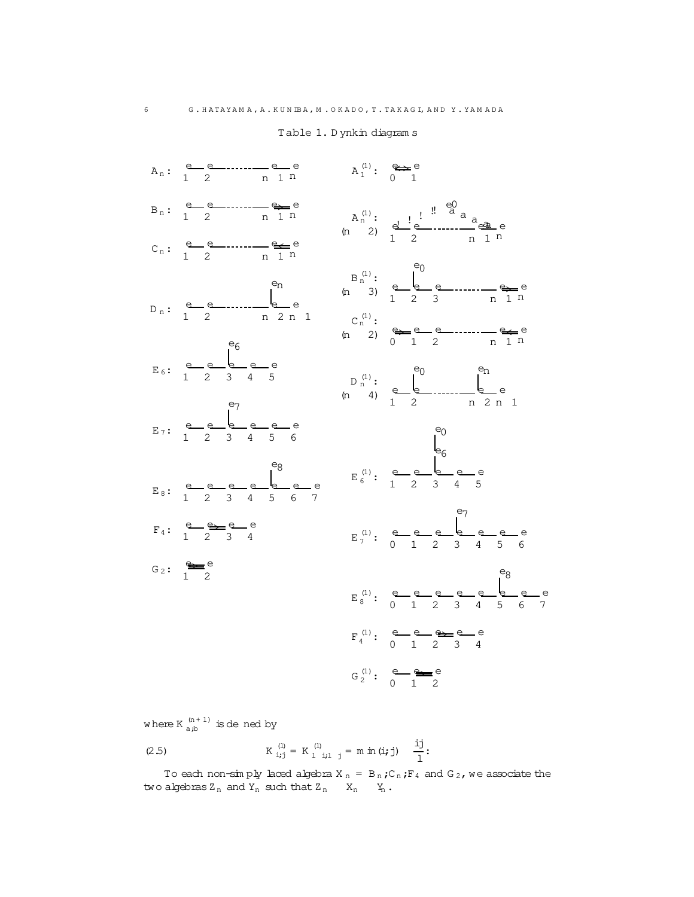<span id="page-5-0"></span>

Table 1. Dynkin diagram s

where  $K \frac{(n+1)}{a,b}$  is dened by

(2.5) 
$$
K_{i,j}^{(1)} = K_{1}^{(1)}_{i+1-j} = m \text{ in } (i,j) \quad \frac{i j}{1}
$$

To each non-simply laced algebra X<sub>n</sub> = B<sub>n</sub>;C<sub>n</sub>;F<sub>4</sub> and G<sub>2</sub>, we associate the two algebras  $Z_n$  and  $Y_n$  such that  $Z_n$   $X_n$   $Y_n$ .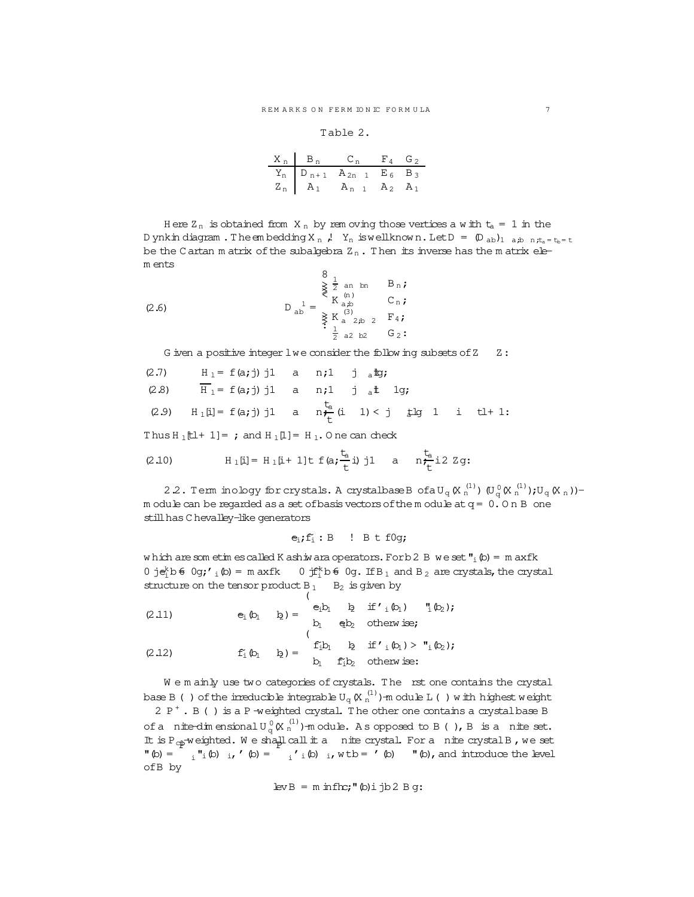### Table 2.

| $X_n$ $B_n$ | $C_n$ $F_4$ $G_2$                        |                |       |
|-------------|------------------------------------------|----------------|-------|
|             | $Y_n$ $D_{n+1}$ $A_{2n}$ $1$ $E_6$ $B_3$ |                |       |
|             | $Z_n$ $A_1$ $A_{n-1}$                    | A <sub>2</sub> | $A_1$ |

<span id="page-6-0"></span>Here  $Z_n$  is obtained from  $X_n$  by rem oving those vertices a with  $t_a = 1$  in the D ynkin diagram. The embedding X<sub>n</sub>, Y<sub>n</sub> is well known. Let  $D = (D_{ab})_{1}$  a<sub>j</sub>b  $n_{a}t_{a} = t_{b} = t$ be the Cartan matrix of the subalgebra  $Z_n$ . Then its inverse has the matrix elem ents

(2.6) 
$$
D_{ab}^{1} = \begin{cases} 8 & \frac{1}{2} \text{ an bn } B_n; \\ K_{ab}^{(n)} & C_n; \\ K_{a}^{(3)} & \frac{1}{2} \text{ a 2} \text{ b 2 } B_1; \\ \frac{1}{2} & \frac{1}{2} \text{ a 2} \text{ b 2 } G_2; \end{cases}
$$

G iven a positive integer  $l$  we consider the following subsets of  $Z = Z$ :

| (2.7) $H_1 = f(a; j) j1$ a n; 1 j altg; |                                                                                                   |
|-----------------------------------------|---------------------------------------------------------------------------------------------------|
|                                         | (2.8) $\overline{H}_1 = f(a; j) j1$ a n;1 j at 1g;                                                |
|                                         | (2.9) $H_1[i] = f(a;j) j1$ a $n \frac{t_a}{t_i} (i \ 1) < j \frac{t_a}{t_i} (j \ 1 \ 1)$ i tl+ 1: |

Thus  $H_1[L+1] =$ ; and  $H_1[I] = H_1$ . One can check

(2.10) 
$$
H_1[i] = H_1[i+1]t f(a; \frac{t_a}{t}i) j1 a \frac{t_a}{t}i2 zg
$$

2.2. Term inology for crystals. A crystal<br>baseB ofaU\_q (X\_n^i)) (U\_q (X\_n^i));<br>U\_q (X\_n))m odule can be regarded as a set of basis vectors of the m odule at  $q = 0.0$  n B one still has C hevalley-like generators

$$
e_i
$$
;  $f_i : B$  :  $B \tto f0q$ ;

which are sometimes called K ashiwara operators. For b2 B we set  $"_i(\phi) = m$  axfk 0 je<sup>k</sup>b  $\theta$  0g;'<sub>i</sub> (b) = m axfk 0 jf<sup>k</sup>b  $\theta$  0g. If B<sub>1</sub> and B<sub>2</sub> are crystals, the crystal structure on the tensor product  $B_1$   $B_2$  is given by

(2.11) 
$$
e_i \, b_1 \quad b_2 = \begin{cases} e_i b_1 & i \neq j \text{ if } i \, (b_1) \quad \text{if } b_2 \text{ is } \\ b_1 & e b_2 \text{ otherwise;} \end{cases}
$$

$$
D_1 \qquad \mathbf{q}_1 D_2 \qquad \text{otherwise}
$$

(2.12) 
$$
\mathbf{f}_i^{\cdot}(\mathbf{b}_1 \quad \mathbf{b}_2) = \begin{cases} \mathbf{f}_i^{\cdot} \mathbf{b}_1 & \mathbf{b}_2 \quad \text{if } \mathbf{f}_i^{\cdot}(\mathbf{b}_1) > \mathbf{I}_i^{\cdot}(\mathbf{b}_2); \\ b_1 & \mathbf{f}_i^{\cdot}(\mathbf{b}_2) \quad \text{otherwise:} \end{cases}
$$

We mainly use two categories of crystals. The rst one contains the crystal base B () of the irreducible integrable  $U_q(K_n^{(1)})$ -m odule L () with highest weight 2  $P^+$ . B () is a P-weighted crystal. The other one contains a crystal base B of a nite-dimensional  $U_q^0(K_n^{(1)})$ -module. As opposed to B(), B is a nite set. It is  $P_{cp}$  weighted. We shall call it a nite crystal. For a nite crystal B, we set  $\binom{n}{0} = \binom{n}{1} \binom{n}{0}$  is  $\binom{n}{0} = \binom{n}{1} \binom{n}{0}$  is  $\binom{n}{0} = \binom{n}{0}$   $\binom{n}{0}$ , and introduce the level ofB by

$$
levB = m \inf\{rc; "\phi\rangle i \exists b 2 B g:
$$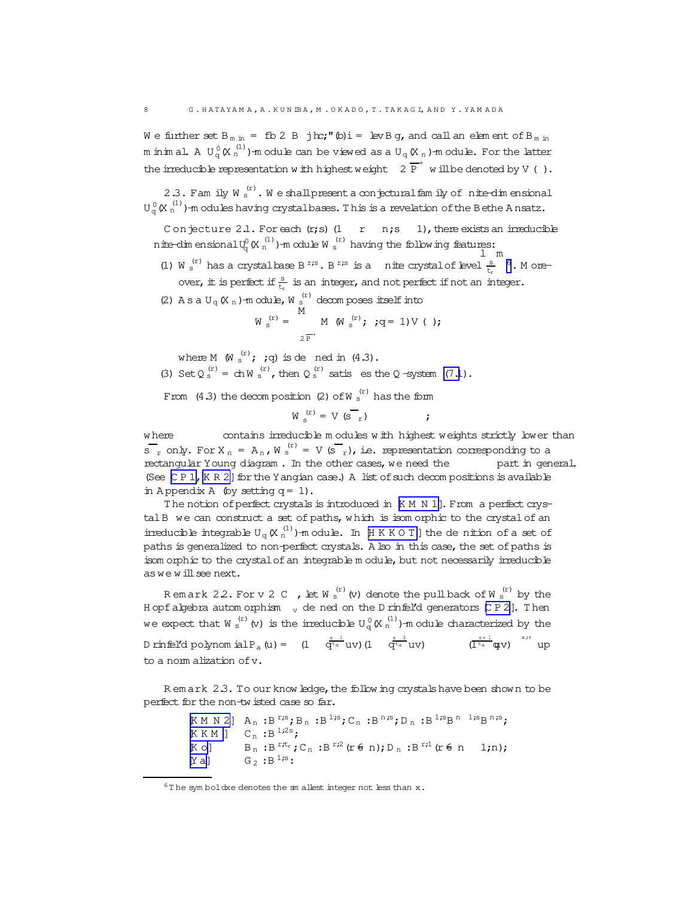We further set  $B_{m \text{ in}} = fD 2 B j h c;'' (D) i = Iev B g$ , and call an element of  $B_{m \text{ in}}$ m in in al. A  $U_q^0(X_n^{(1)})$ -m odule can be viewed as a  $U_q(X_n)$ -m odule. For the latter the irreducible representation with highest weight  $2\overline{P}^+$  will be denoted by V ().

2.3. Fam ily W  $_s^{(r)}$ . We shall present a conjectural fam ily of nite-dimensional  $U_{\alpha}^{0}(X_{n}^{(1)})$ -m odules having crystalbases. This is a revelation of the Bethe Ansatz.

Conjecture 2.1. For each  $(r; s)$  (1 r n;s 1), there exists an irreducible nite-dim ensional  $U_q^0$  (X  $_n^{(1)}$ )-m odule W  $_s^{(r)}$  having the following features:

- (1) W  $_s^{(r)}$  has a crystal base B<sup>r;s</sup>. B<sup>r;s</sup> is a nite crystal of level  $\frac{s}{r}$  <sup>6</sup>. M oreover, it is perfect if  $\frac{s}{t}$  is an integer, and not perfect if not an integer.
- (2) A s a U<sub>q</sub> (X <sub>n</sub>)-m odule, W  $_s^{(r)}$  decomposes itself into

$$
W_{s}^{(r)} = \bigcup_{s=1}^{r_1} M(W_{s}^{(r)}; ; s = 1) V(1);
$$

where M  $(W_s^{(r)}; jq)$  is dened in  $(4.3)$ .

(3) Set  $Q_s^{(r)} = chW_s^{(r)}$ , then  $Q_s^{(r)}$  satis es the Q-system (7.1).

From  $(4.3)$  the decomposition  $(2)$  of W s<sup>(r)</sup> has the form

$$
W_{s}^{(r)} = V (s_{r})
$$

contains irreducible modules with highest weights strictly lower than w here  $S_r$  only. For  $X_n = A_n$ ,  $W_s^{(r)} = V(S_r)$ , i.e. representation corresponding to a rectangular Young diagram. In the other cases, we need the part in general. (See [CP 1, KR 2] for the Y angian case.) A list of such decompositions is available in Appendix A (by setting  $q = 1$ ).

The notion of perfect crystals is introduced in K M N 1]. From a perfect crystal B we can construct a set of paths, which is isom orphic to the crystal of an irreducible integrable  $U_q(K_n^{(1)})$ -module. In [HKKOT] the denition of a set of paths is generalized to non-perfect crystals. A lso in this case, the set of paths is isom orphic to the crystal of an integrable module, but not necessarily irreducible as we will see next.

Remark 22. For v 2 C , let  $W_s^{(r)}$  (v) denote the pull back of  $W_s^{(r)}$  by the H opf algebra automorphism  $_{v}$  de ned on the D rinfel'd generators [C P 2]. Then we expect that W  $_s^{(r)}$  (v) is the irreducible  $U_q^0(K_n^{(1)})$ -m odule characterized by the D rinfel'd polynom ial P<sub>a</sub> (u) =  $(1 - q^{\frac{s}{a}} uv) (1 - q^{\frac{s}{a}} uv)$  (l<sup>s+1</sup> apv)  $(1 + q^{\frac{s+1}{a}})$  up to a nom alization of v.

Remark 2.3. To our know ledge, the follow ing crystals have been shown to be perfect for the non-twisted case so far.

> $[K\; M\; N\; 2]\ \ \, {\rm A}_n\; : {\rm B\;}^{r;s} \; ;\; {\rm B\; n}\; : {\rm B\;}^{1;s} \; ;\; {\rm C\; n}\; : {\rm B\;}^{n;s} \; ;\; {\rm D\; n}\; : {\rm B\;}^{1;s} {\rm B\;}^{n}\; \; ^{1;s} {\rm B\;}^{n,s} \; ;\;$  $[K K M]$   $C_n : B^{1,2s}$ ;  $\mathbf{B}_{\text{n}} : \mathbf{B}^{\text{r};t_{\text{r}}} \mathbin{\raisebox{0.2ex}{\textbf{,}}} \mathbf{C}_{\text{n}} : \mathbf{B}^{\text{r};2} \left( \mathbf{r} \in \text{n} \right) \mathbin{\raisebox{0.2ex}{\textbf{,}}} \mathbf{D}_{\text{n}} : \mathbf{B}^{\text{r};1} \left( \mathbf{r} \in \text{n} \right) \quad \mathbf{1;n} \right) \mathbin{\raisebox{0.2ex}{\textbf{,}}}$  $K$  o]  $G_2$  : B<sup>1;s</sup>:  $[Ya]$

 $6$ The symboldxe denotes the sm allest integer not less than x.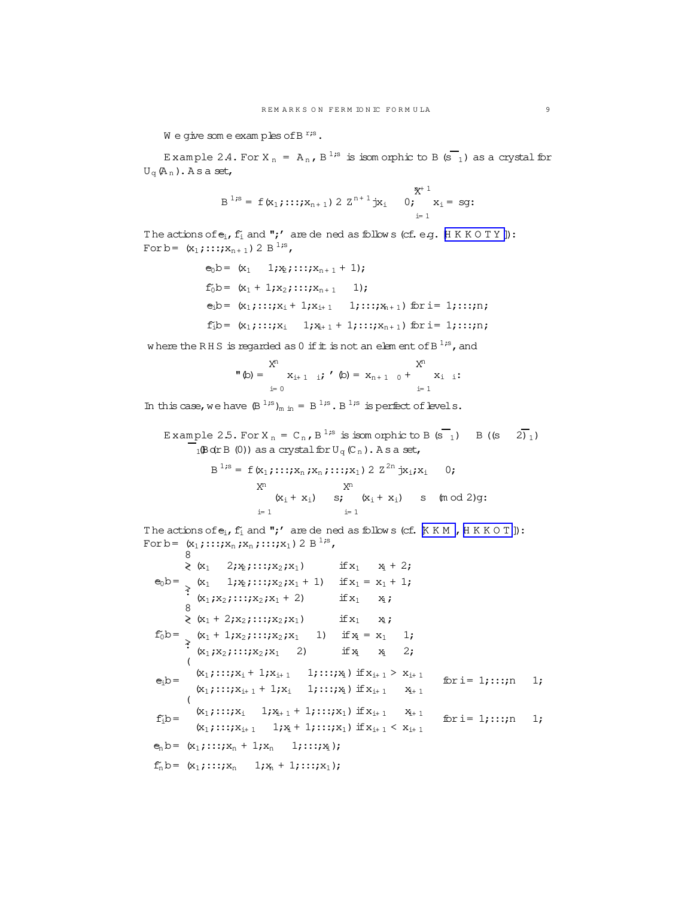$W$  e give som e examples of B<sup>r;s</sup>.

<span id="page-8-0"></span>Example 2.4. For  $X_n = A_n$ ,  $B^{1,s}$  is isomorphic to B  $(s_1)$  as a crystal for  $U_{\alpha}(\mathsf{A}_n)$ . As a set,

$$
B^{1,s} = f(x_1; \ldots; x_{n+1}) 2 Z^{n+1} jx_1 \t 0; \t x_1 = sg:
$$

The actions of  $e_i$ ,  $f_i$  and ";' are de ned as follows (cf. e.g.  $H K K O T Y$  ]): For b =  $(x_1; \ldots; x_{n+1})$  2 B<sup>1;s</sup>,

```
e_0b = (x_1 \t 1; x_2; \ldots; x_{n+1} + 1);f_0b = (x_1 + 1; x_2; ...; x_{n+1} 1);e_i b = (x_1; \ldots; x_i + 1; x_{i+1} \quad 1; \ldots; x_{n+1}) for i= 1; :::;n;
f_i b = (x_1; \ldots; x_i \quad 1; x_{i+1} + 1; \ldots; x_{n+1}) for i= 1; :::;n;
```
where the RHS is regarded as  $0$  if  $\pm$  is not an element of B<sup>1;s</sup>, and

$$
\mathbf{M}^{n}(x) = \begin{cases} X^{n} & X^{n} \\ X_{i+1} & i \end{cases}, \quad \mathbf{M}^{n}(x) = \mathbf{X}_{n+1} \quad \mathbf{M}^{n} = \begin{cases} X^{n} & X_{i+1} \\ X_{i+1} & X_{i+1} \end{cases}
$$

In this case, we have  $(B^{1,s})_{m \text{ in }} = B^{1,s}$ .  $B^{1,s}$  is perfect of levels.

Example 2.5. For  $X_n = C_n$ ,  $B^{1,s}$  is isomorphic to B  $(s_1)$  B  $((s_2)$  $\frac{1}{10}$ B o(rB (0)) as a crystal for U<sub>q</sub> (C<sub>n</sub>). As a set,

$$
B^{1,s} = f(x_1; \dots; x_n; x_n; \dots; x_1) 2 Z^{2n} jx_1; x_1 \t 0;
$$
  
\n
$$
X^n \t x_1 \t x_2 \t s; (x_1 + x_1) s; (x_1 + x_1) s; (m \text{ od } 2)g;
$$
  
\n
$$
i=1
$$

The actions of  $e_i$ ,  $f'_i$  and ";' are de ned as follows (cf.  $KKM$ ,  $HKKOT$ ): For b =  $(x_1; \cdots; x_n; x_n; \cdots; x_1)$  2 B<sup>1;s</sup>,

$$
\geqslant (x_1 \quad 2; x_2; \ldots; x_2; x_1) \quad \text{if } x_1 = x_1 + 1;
$$
\n
$$
e_0 b = \frac{}{}(x_1 \quad 1; x_2; \ldots; x_2; x_1 + 1) \quad \text{if } x_1 = x_1 + 1;
$$
\n
$$
\geqslant (x_1; x_2; \ldots; x_2; x_1 + 2) \quad \text{if } x_1 = x_1 + 1;
$$
\n
$$
\geqslant (x_1 + 2; x_2; \ldots; x_2; x_1) \quad \text{if } x_1 = x_1 \quad 1;
$$
\n
$$
f_0 b = \frac{}{}(x_1 + 1; x_2; \ldots; x_2; x_1 \quad 1) \quad \text{if } x_1 = x_1 \quad 1;
$$
\n
$$
\geqslant (x_1; x_2; \ldots; x_2; x_1 \quad 2) \quad \text{if } x_1 = x_1 \quad 1;
$$
\n
$$
e_1 b = \frac{((x_1; \ldots; x_1 + 1; x_{1+1} \quad 1; \ldots; x_1) \quad \text{if } x_{i+1} > x_{i+1} \quad \text{for } i = 1; \ldots; n \quad 1;
$$
\n
$$
\leqslant (x_1; \ldots; x_{i+1} + 1; x_i \quad 1; \ldots; x_1) \quad \text{if } x_{i+1} = x_{i+1} \quad \text{for } i = 1; \ldots; n \quad 1;
$$
\n
$$
f_1 b = \frac{(x_1; \ldots; x_i \quad 1; x_{i+1} + 1; \ldots; x_1) \quad \text{if } x_{i+1} < x_{i+1} \quad \text{for } i = 1; \ldots; n \quad 1;
$$
\n
$$
e_n b = (x_1; \ldots; x_n + 1; x_n \quad 1; \ldots; x_1);
$$
\n
$$
f_n b = (x_1; \ldots; x_n \quad 1; x_n + 1; \ldots; x_1);
$$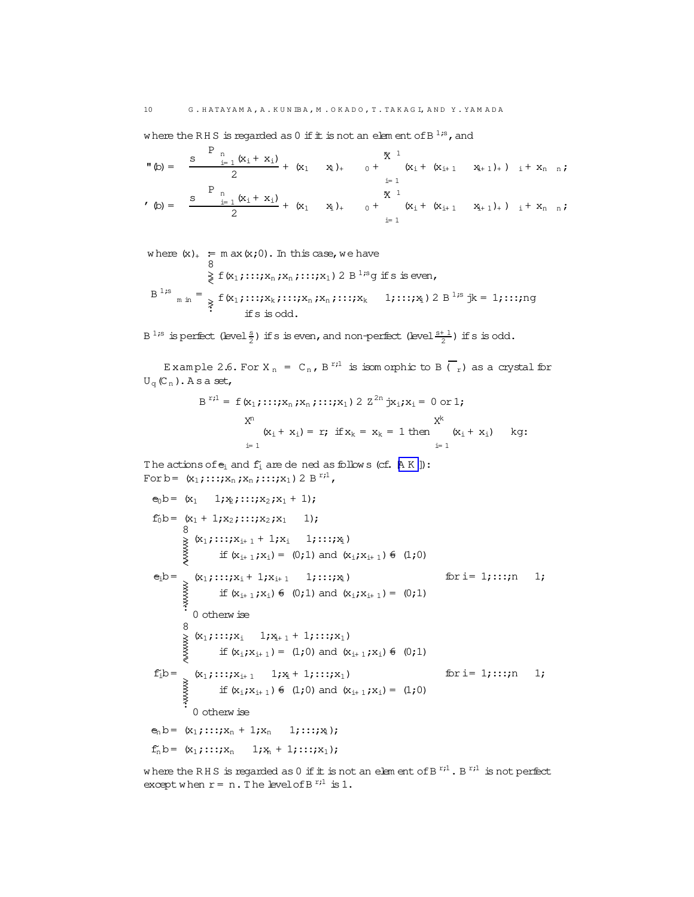where the RHS is regarded as 0 if  $\pm$  is not an element of B<sup>1;s</sup>, and

$$
\mathbf{M}(\mathbf{b}) = \frac{\mathbf{S} \quad \sum_{i=1}^{P} (\mathbf{x}_{i} + \mathbf{x}_{i})}{2} + (\mathbf{x}_{1} \quad \mathbf{x}_{1})_{+} \quad \mathbf{0} + \begin{array}{c} \mathbf{X}^{1} \\ (\mathbf{x}_{i} + (\mathbf{x}_{i+1} \quad \mathbf{x}_{i+1})_{+}) \quad i + \mathbf{x}_{n} \quad \mathbf{n}; \\ \sum_{i=1}^{P} \mathbf{N} \\ \mathbf{M}^{1} \quad \mathbf{X}_{i}^{1} + (\mathbf{x}_{i+1} \quad \mathbf{x}_{i+1})_{+}) \quad i + \mathbf{x}_{n} \quad \mathbf{n}; \\ \mathbf{M}^{2} \quad \mathbf{M}^{2} \quad \mathbf{M}^{3} \quad \mathbf{M}^{3} \quad \mathbf{M}^{4} \quad \mathbf{M}^{4} \quad \mathbf{M}^{4} \quad \mathbf{M}^{4} \quad \mathbf{M}^{4} \quad \mathbf{M}^{4} \quad \mathbf{M}^{4} \quad \mathbf{M}^{4} \quad \mathbf{M}^{4} \quad \mathbf{M}^{4} \quad \mathbf{M}^{4} \quad \mathbf{M}^{4} \quad \mathbf{M}^{4} \quad \mathbf{M}^{4} \quad \mathbf{M}^{4} \quad \mathbf{M}^{4} \quad \mathbf{M}^{4} \quad \mathbf{M}^{4} \quad \mathbf{M}^{4} \quad \mathbf{M}^{4} \quad \mathbf{M}^{4} \quad \mathbf{M}^{4} \quad \mathbf{M}^{4} \quad \mathbf{M}^{4} \quad \mathbf{M}^{4} \quad \mathbf{M}^{4} \quad \mathbf{M}^{4} \quad \mathbf{M}^{4} \quad \mathbf{M}^{4} \quad \mathbf{M}^{4} \quad \mathbf{M}^{4} \quad \mathbf{M}^{4} \quad \mathbf{M}^{4} \quad \mathbf{M}^{4} \quad \mathbf{M}^{4} \quad \mathbf{M}^{4} \quad \mathbf{M}^{4} \quad \mathbf{M}^{4} \quad \mathbf{M}^{4} \quad \mathbf{M}^{4} \quad \mathbf{M}^{4} \quad \mathbf{M}^{4} \quad \mathbf{M}^{4} \quad \mathbf{M}^{4} \quad \mathbf
$$

where  $(x)_+$  = m ax  $(x,0)$ . In this case, we have  $\geq$  f(x<sub>1</sub>;::;x<sub>n</sub>;x<sub>n</sub>;:::;x<sub>1</sub>) 2 B<sup>1;s</sup>g if s is even,  $_{m \text{ in }} =$   $_{\text{F}}$   $f(x_1; \dots; x_k; \dots; x_n; x_n; \dots; x_k$   $1; \dots; x_1)$  2 B<sup>1;s</sup> jk = 1; ...;ng  $B<sup>1</sup>$ <sub>is</sub> if s is odd.

 $B^{1,s}$  is perfect (level  $\frac{s}{2}$ ) if s is even, and non-perfect (level  $\frac{s+1}{2}$ ) if s is odd.

Example 2.6. For X<sub>n</sub> = C<sub>n</sub>, B<sup>r;1</sup> is isomorphic to B ( $\overline{r}$ ) as a crystal for  $U_{\alpha}(\mathbb{C}_{n})$ . As a set,

$$
B^{r_i l} = f(x_1; \dots; x_n; x_n; \dots; x_1) 2 Z^{2n} jx_i; x_i = 0 \text{ or } 1;
$$
  
\n
$$
X^{n}
$$
\n
$$
(x_i + x_i) = r; \text{ if } x_k = x_k = 1 \text{ then } \begin{cases} x^k \\ x_i + x_i \end{cases} \text{ kg:}
$$

The actions of  $e_i$  and  $f_i$  are dened as follows (cf.  $[A K]$ ): For b =  $(x_1; \dots; x_n; x_n; \dots; x_1)$  2 B<sup>r<sub>i</sub>1</sup>,

```
e_0 b = (x_1 \t 1; x_2; \ldots; x_2; x_1 + 1);f_0b= (x_1 + 1; x_2; ...; x_2; x_1 - 1);if (x_{i+1},x_i) = (0,1) and (x_i,x_{i+1}) \notin (1,0)e_i b = (x_1; \dots; x_i + 1; x_{i+1} \quad 1; \dots; x_1)\begin{picture}(120,110) \put(0,0){\line(1,0){15}} \put(15,0){\line(1,0){15}} \put(15,0){\line(1,0){15}} \put(15,0){\line(1,0){15}} \put(15,0){\line(1,0){15}} \put(15,0){\line(1,0){15}} \put(15,0){\line(1,0){15}} \put(15,0){\line(1,0){15}} \put(15,0){\line(1,0){15}} \put(15,0){\line(1,0){15}} \put(15,0){\line(1,0){15}} \put(15,0){\linefor i= 1;:::;n 1;
                      if (x_{i+1},x_i) \notin (0,1) and (x_i,x_{i+1}) = (0,1)o<br>
\begin{array}{ll}\n& \times & 1 \\ \n& \times & 1 \\ \n& \text{if } (x_1; x_{i+1}) = 0\n\end{array}if (x_i; x_{i+1}) = (1; 0) and (x_{i+1}; x_i) \notin (0; 1)(x_1; \ldots; x_{i+1} \quad 1; x_i + 1; \ldots; x_1)for i= 1;:::;n 1;
f_1b=
           AXXXXX
                        if (x_i; x_{i+1}) \in (1;0) and (x_{i+1}; x_i) = (1;0)0 otherwise
e_n b = (x_1; \ldots; x_n + 1; x_n \quad 1; \ldots; x_1);f_n b = (x_1; ...; x_n \t 1; x_n + 1; ...; x_1);
```
where the RHS is regarded as 0 if  $\pm$  is not an element of B<sup>r;1</sup>. B<sup>r;1</sup> is not perfect except when  $r = n$ . The level of B<sup> $r_i$ 1</sup> is 1.

<span id="page-9-0"></span>10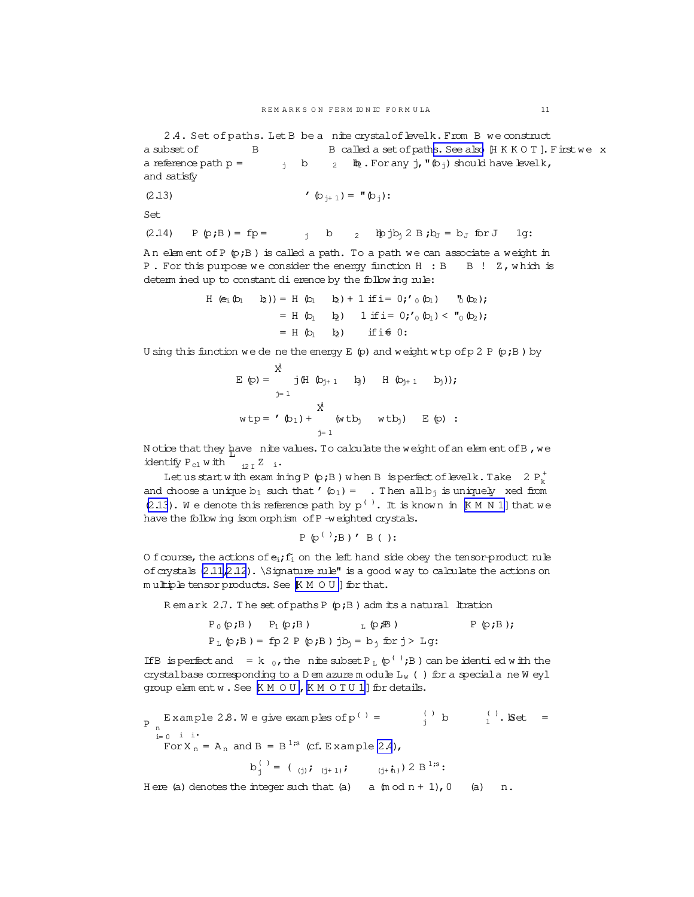<span id="page-10-0"></span>2.4. Set of paths. Let B be a nite crystal of levelk. From B we construct a subsetof B B called a set of paths. See also  $\mathbb H$  K K O T ]. Firstwe x a reference path  $p =$   $j \quad b \quad 2 \quad \text{ln} \cdot$  For any  $j \cdot \text{ln} \cdot (b_j)$  should have levelk, and satisfy

(2.13) 
$$
\mathbf{(b_{j+1})} = \mathbf{H}(\mathbf{b_j})
$$

Set

(2.14) 
$$
P(p;B) = fp =
$$
   
  $j$   $b$   $2$   $lpjb_j 2 B; b_J = b_J$   $for J$  1g:

A n elem ent ofP (p;B ) is called a path. To a path we can associate a weight in P. For this purpose we consider the energy function H : B B ! Z, which is determ ined up to constant dierence by the follow ing rule:

$$
H(e_1 (b_1 b_2)) = H (b_1 b_2) + 1 \text{ if } i = 0; '0 (b_1) '0 (b_2);
$$
  
= H (b<sub>1</sub> b<sub>2</sub>) 1 \text{ if } i = 0; '0 (b<sub>1</sub>) < "0 (b<sub>2</sub>);  
= H (b<sub>1</sub> b<sub>2</sub>) if if 0:

U sing this function we de ne the energy  $E$  (p) and weight w tp of p 2 P (p;B) by

$$
E(p) = \begin{cases} \frac{x^{j}}{j} & \text{if } (b_{j+1} \ b_{j+1} \ b_{j+1} \ b_{j})), \\ \frac{y^{j}}{j}} & \text{if } (b_{j+1} \ b_{j+1} \ b_{j})), \\ x^{k} & \text{if } (b_{j} \ w b_{j}) \ E(p) : \end{cases}
$$

N otice that they have nite values. To calculate the weight of an elem ent of B, we identify  $P_{c1}$  with  $\frac{1}{2}$  i.

Let us start with examining P  $(p;B)$  when B is perfect of levelk. Take 2  $P_k^+$ and choose a unique  $b_1$  such that  $'$   $(b_1)$  =  $\;$  . Then all  $b_j$  is uniquely xed from  $(2.13)$ . We denote this reference path by  $p^{(-)}$ . It is known in  $K$ M N 1] that we have the follow ing isom orphism of P -weighted crystals.

$$
P \varphi^{(1)}; B) \prime B()
$$
:

O f course, the actions of  $e_i$ ;  $f_i$  on the left hand side obey the tensor-product rule of crystals  $(2.11,2.12)$ . \Signature rule" is a good way to calculate the actions on  $m$  ultiple tensor products. See  $[K M O U]$  $[K M O U]$  $[K M O U]$  for that.

R em ark  $2.7$ . The set of paths P  $(p;B)$  adm its a natural ltration

$$
P_0(\mathbf{p};B) \qquad P_1(\mathbf{p};B) \qquad \qquad L(\mathbf{p};B) \qquad P_1(\mathbf{p};B);
$$
\n
$$
P_L(\mathbf{p};B) = fp \cdot 2 P(\mathbf{p};B) \text{ ib}_j = b_j \text{ for } j > Lg:
$$

If B is perfect and  $= k_0$ , the nite subset P<sub>L</sub>  $(p^{(1)};B)$  can be identied with the crystalbase corresponding to a D em azure m odule  $L_w$  ( ) for a specialane W eyl group elem entw. See  $K M O U$ ,  $K M O T U 1$  for details.

P <sub>n</sub> Example 2.8. We give examples of p<sup>( )</sup> = 
$$
\int_{j}^{( )}
$$
 b  $\int_{1}^{( )}$ . Set =  
For X<sub>n</sub> = A<sub>n</sub> and B = B<sup>1</sup>*is* (cf. Example 2.4),  

$$
b_{j}^{( )} = ( _{( j)}; _{( j+1) }; _{( j+1) }; ) 2 B_{j}^{1} =
$$

H ere (a) denotes the integer such that (a) a  $(m \circ d n + 1)$ , 0 (a) n.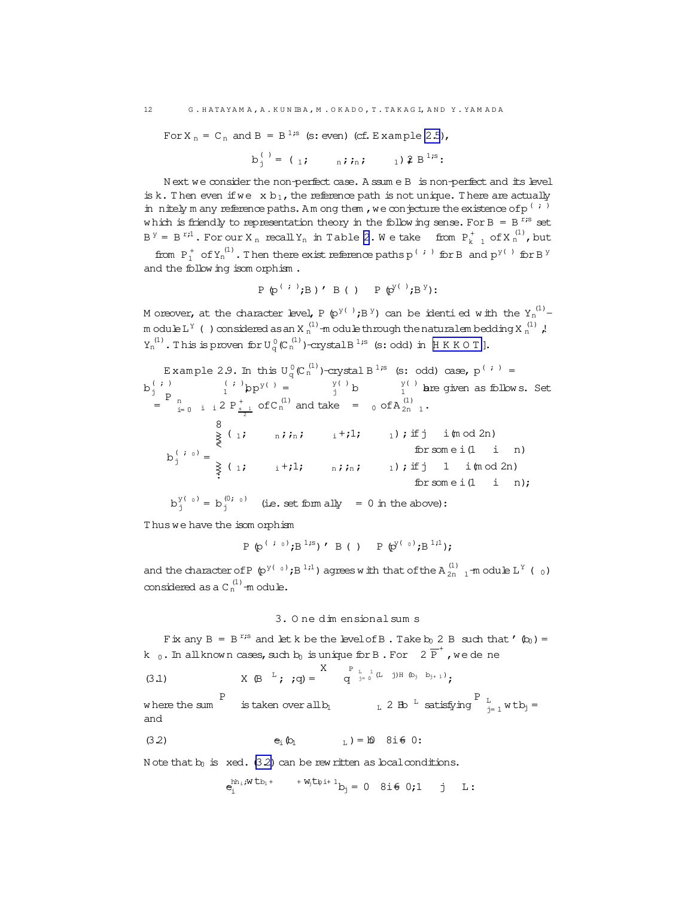For X<sub>n</sub> = C<sub>n</sub> and B = B<sup>1;s</sup> (s: even) (cf. Example [2.5](#page-8-0)),

$$
b_j^{(1)} = (1; \t n; i, i, j)
$$

N ext we consider the non-perfect case. A ssum e B is non-perfect and its level is k. Then even if we  $x b_1$ , the reference path is not unique. There are actually in nitely m any reference paths. Am ong them , we conjecture the existence of p<sup>(;)</sup> which is friendly to representation theory in the following sense. For B = B<sup>r;s</sup> set  $B^{Y} = B^{r}$ ; For our X<sub>n</sub> recall Y<sub>n</sub> in Table [2](#page-6-0). We take from  $P_{k-1}^{+}$  of X<sub>n</sub><sup>(1)</sup>, but

from  $P_1^+$  of  $Y_n^{(1)}$ . Then there exist reference paths  $p^{(+)}$  for B and  $p^{y(-)}$  for B  $^y$ and the follow ing isom orphism .

$$
P \varphi^{(+)}; B)' B() P \varphi^{y(-)}; B^{y};
$$

M oreover, at the character level, P (p<sup>y()</sup>;B<sup>y</sup>) can be identifed with the Y<sub>n</sub><sup>(1)</sup>m odule L  $^{\text{Y}}$  ( ) considered as an X  $_{\text{n}}^{(1)}$  -m odule through the naturalem bedding X  $_{\text{n}}^{(1)}$  ,!  $Y_n^{(1)}$ . This is proven for  $U_q^0(C_n^{(1)})$ -crystal B<sup>1;s</sup> (s: odd) in [HK K O T].

Example 2.9. In this U<sub>q</sub><sup>0</sup>(C<sub>n</sub><sup>(1)</sup>)-crystal B<sup>1</sup><sup>s</sup> (s: odd) case, p<sup>(*i*)</sup> =  
\nb<sub>j</sub><sup>(*i*)</sup> 
$$
\begin{bmatrix} p \\ p \\ p \end{bmatrix}^{\binom{s}{j}}
$$
 =  $\begin{bmatrix} y^{\binom{s}{j}} \\ y^{\binom{s}{j}} \end{bmatrix}$  =  $\begin{bmatrix} y^{\binom{s}{j}} \\ y^{\binom{s}{j}} \\ y^{\binom{s}{j}}$  =  $\begin{bmatrix} y^{\binom{s}{j}} \\ y^{\binom{s}{j}} \\ y^{\binom{s}{j}} \end{bmatrix}$  =  $\begin{bmatrix} y^{\binom{s}{j}} \\ y^{\binom{s}{j}} \\ y^{\binom{s}{j}} \end{bmatrix}$  =  $\begin{bmatrix} y^{\binom{s}{j}} \\ y^{\binom{s}{j}} \\ y^{\binom{s}{j}} \end{bmatrix}$  =  $\begin{bmatrix} y^{\binom{s}{j}} \\ y^{\binom{s}{j}} \\ y^{\binom{s}{j}} \end{bmatrix}$  =  $\begin{bmatrix} y^{\binom{s}{j}} \\ y^{\binom{s}{j}} \\ y^{\binom{s}{j}} \end{bmatrix}$  =  $\begin{bmatrix} y^{\binom{s}{j}} \\ y^{\binom{s}{j}} \end{bmatrix}$  =  $\begin{bmatrix} y^{\binom{s}{j}} \\ y^{\binom{s}{j}} \end{bmatrix}$  =  $\begin{bmatrix} y^{\binom{s}{j}} \\ y^{\binom{s}{j}} \end{bmatrix}$  =  $\begin{bmatrix} y^{\binom{s}{j}} \\ y^{\binom{s}{j}} \end{bmatrix}$  =  $\begin{bmatrix} y^{\binom{s}{j}} \\ y^{\binom{s}{j}} \end{bmatrix}$  =  $\begin{bmatrix} y^{\binom{s}{j}} \\ y^{\binom{s}{j}} \end{bmatrix}$  =  $\begin{bmatrix} y^{\binom{s}{j}} \\ y^{\binom{s}{j}} \end{bmatrix}$  =  $\begin{bmatrix} y^{\binom{s}{j}} \\ y^{\binom{s}{j}} \end{bmatrix}$  =  $\begin{bmatrix} y^{\binom{s}{j}} \\ y^{\binom{s}{j}} \end{bmatrix}$  =  $\begin{bmatrix} y^{\bin$ 

T hus we have the isom orphism

$$
\texttt{P} \ (\pmb{\mathfrak{p}}^{\left( \begin{array}{cc} i & 0 \end{array} \right)}; \texttt{B} \, \texttt{B}^{\, 1; \texttt{S}} \, ) \quad \texttt{B} \ (\ ) \quad \texttt{P} \ (\pmb{\mathfrak{p}}^{\texttt{y} \left( \begin{array}{c} 0 \\ \end{array} \right)}; \texttt{B} \, \texttt{B}^{\, 1; \texttt{1}});
$$

and the character of P  $(p^{y(-0)};B^{1;1})$  agrees with that of the A $_{2n-1}^{(1)}$  -module L<sup>Y</sup> ( $_{0}$ ) considered as a  $C_n^{(1)}$ -module.

### 3. O ne dim ensionalsum s

Fix any B =  $B^{r,s}$  and let k be the level of B. Take  $b_0$  2 B such that ' $(b_0)$  = k  $_0$  . In all known cases, such  $b_0$  is unique for B . For  $\overline{2\ \mathbb{P}}^+$  , we de ne

(3.1) 
$$
X \oplus L
$$
;  $q = \begin{cases} X & P_{L-1} (L-j)H & \text{by } b_{j+1} \\ q & \text{by } b_{j+1} \end{cases}$ 

w here the sum P is taken over all  $b_1$   $b_1$   $c_2$  B  $\frac{c_1}{c_1}$  satisfying  $\frac{c_1}{c_1}$  w t  $b_1$  = and

$$
e_i \ (b_1 \qquad \qquad \mathbf{b}_i \ ) = \mathbf{b} \quad \mathbf{8} \mathbf{i} \in \mathbf{0}.
$$

N ote that  $b_0$  is xed. (3.2) can be rew ritten as local conditions.

$$
e_i^{hh_1;W\,t\,b_1+}\qquad {}^{+W_jt\,b_1+1}b_j=\,0\quad \, \hbox{8i}\,\hbox{${\mathfrak G}$}\ \, 0\,;1\qquad j\qquad L:\qquad
$$

<span id="page-11-0"></span>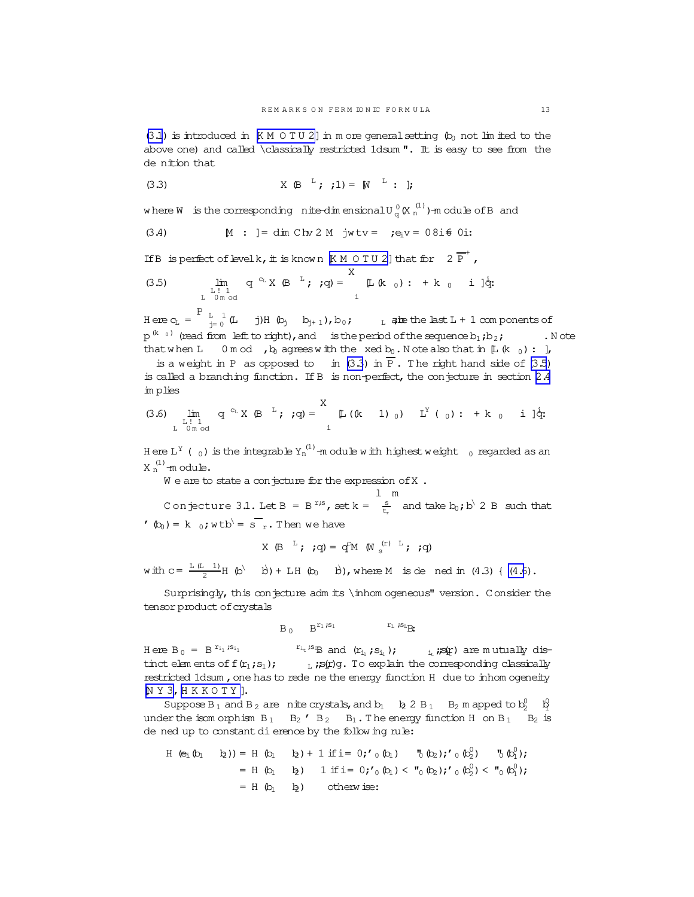<span id="page-12-0"></span> $(3.1)$  is introduced in  $K M O T U 2$ ] in more general setting  $(k_0$  not limited to the above one) and called \classically restricted 1dsum ". It is easy to see from the de nition that

(3.3) 
$$
X(B^{-L}; j!) = [N^{-L} : j]
$$

where W is the corresponding nite-dimensional  $U_{\alpha}^{0}(X_{n}^{(1)})$ -module of B and

(3.4) 
$$
M : ] = \dim C \ln 2 M
$$
  $jwtv = ;e_i v = 08i \text{ } 0i$ 

If B is perfect of level k, it is known  $[M \ 0 \ T \ U \ 2]$  that for  $2 \overline{P}^+$ ,

(3.5) 
$$
\lim_{\substack{L \uparrow 1 \\ L \text{ 0 mod}}} q^{c_L} X (\mathcal{B}^{-L}; q) = \sum_{i}^{A} [\mathcal{L}(k_0) : + k_0 \quad i] \, \dot{q}.
$$

Here  $c_L = \begin{bmatrix} P & L & 1 \ L & -1 & 0 \end{bmatrix}$  (L j) H (b<sub>j</sub> b<sub>j+1</sub>), b<sub>0</sub>; L alte the last L + 1 com ponents of  $p^{(k_0)}$  (read from left to right), and is the period of the sequence  $b_1$ ;  $b_2$ ; . Note that when L 0 m od , b agrees with the xed b<sub>0</sub>. Note also that in  $[L (k_0) : ]$ ,

is a weight in P as opposed to in  $(3.3)$  in P. The right hand side of  $(3.5)$ is called a branching function. If B is non-perfect, the conjecture in section  $2.4$ im plies

$$
(3.6) \lim_{\substack{L \text{ } 1 \text{ } 1 \\ L \text{ } 0 \text{ } m \text{ } odd}} q^{c_L} X \oplus {}^{L}; j q) = \sum_{i}^{A} \mu (k - 1)_{0} y L^{Y} (0) : + k_{0} i j q
$$

Here L<sup>Y</sup> (  $_0$  ) is the integrable Y<sub>n</sub><sup>(1)</sup> -m odule with highest weight  $_0$  regarded as an  $X_n^{(1)}$ -module.

 $W$  e are to state a conjecture for the expression of X.

C on jecture 3.1. Let B = B<sup>r<sub>i</sub>s</sup>, set k =  $\frac{s}{t_n}$  and take  $b_0$ ; b<sup>\</sup> 2 B such that  $(b_0) = k_0$ ; w tb<sup>\</sup> = s <sub>r</sub>. Then we have

X (B  $^{\perp}$ ; ; q) = q<sup>c</sup>M (W  $_{\circ}$ <sup>(r) L</sup>; ; q)

with  $c = \frac{L(L-1)}{2}H(\phi)$  b) + LH(b<sub>0</sub>b), where M is dened in (4.3) { (4.6).

Surprisingly, this conjecture admits \inhomogeneous" version. Consider the tensor product of crystals

> $B_0$   $B^{r_1}$   $s_1$  $r_L$   $s_{LR}$

H ere  $B_0 = B^{r_{i_1}}$  is  $s_{i_1}$  $r_{i_t}$ ;  $s_{iB}$  and  $(r_{i_1}, s_{i_1})$ ;  $i_t$ ;  $s_{iC}$  are mutually dis- $_L$  ; $\mathbf{s}$ (r)g. To explain the corresponding classically  $t$  inct elements of  $f(r_1;s_1);$ restricted 1dsum, one has to rede ne the energy function H due to inhomogeneity  $N$  Y 3, H K K O T Y ].

Suppose B<sub>1</sub> and B<sub>2</sub> are nite crystals, and b<sub>1</sub> b<sub>2</sub> B<sub>1</sub> B<sub>2</sub> m apped to b<sub>2</sub>  $\frac{1}{2}$ under the isomorphism  $B_1$   $B_2$   $B_2$   $B_1$ . The energy function H on  $B_1$   $B_2$  is de ned up to constant di erence by the following rule:

H (e<sub>1</sub>(b<sub>1</sub> b<sub>2</sub>)) = H (b<sub>1</sub> b<sub>2</sub>) + 1 if i = 0; '0 (b<sub>1</sub>) , "0 (b<sub>2</sub>); '0 (b<sub>2</sub>)' , "0 (b<sub>1</sub>");  
\n= H (b<sub>1</sub> b<sub>2</sub>) 1 if i = 0; '0 (b<sub>1</sub>) 
$$
\langle
$$
 "0 (b<sub>2</sub>); '0 (b<sub>2</sub><sup>0</sup>)  $\langle$  "0 (b<sub>1</sub><sup>0</sup>);  
\n= H (b<sub>1</sub> b<sub>2</sub>) otherwise: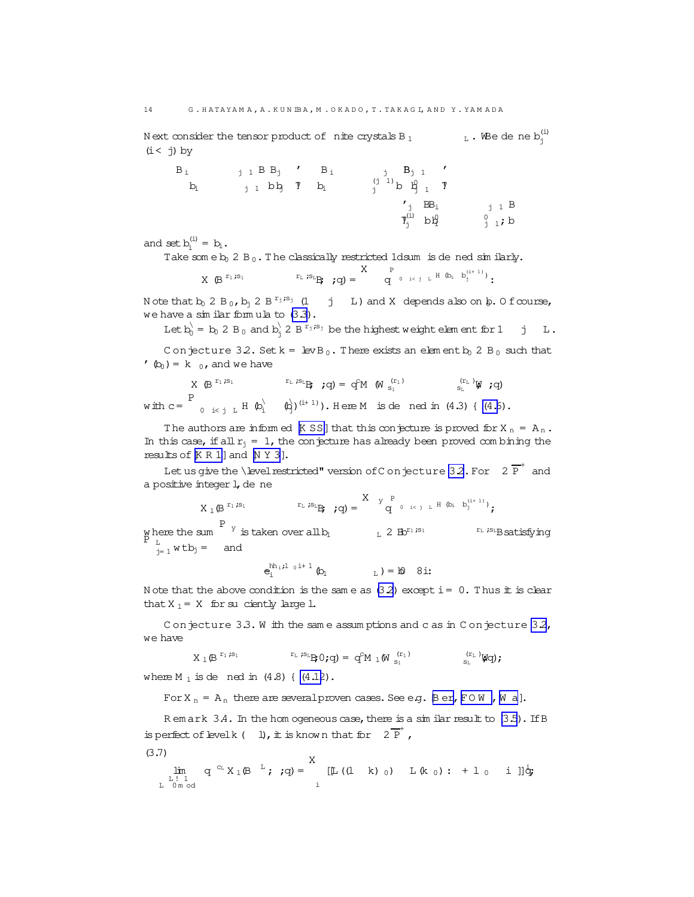N ext consider the tensor product of  $\,$  nite crystals B  $_{1}$   $\,$   $\,$   $\,$   $_{\rm L}$  . We de ne b $_{\rm j}^{\rm (i)}$  $(i < j)$  by

| $B_i$ | $j$ 1 B B <sub>j</sub> $\prime$ B <sub>i</sub> |       |                                                                                                                                       |                    |
|-------|------------------------------------------------|-------|---------------------------------------------------------------------------------------------------------------------------------------|--------------------|
| $b_i$ | $j_1$ bb $\bar{y}$                             | $b_i$ | $\begin{array}{ccc} & \text{j} & B_{\text{j}} & 1 \\ \text{(j 1)} & \text{b} & B_{\text{j 1}} & \text{Y} \\ \text{j} & & \end{array}$ |                    |
|       |                                                |       | $'$ j $BB_i$                                                                                                                          | $j$ 1 B            |
|       |                                                |       | $\mathcal{I}^{(i)}_j$ bl                                                                                                              | $\frac{0}{1}$ 1; b |

and set  $b_i^{(i)} = b_i$ .

Take som e  $b_0$  2 B<sub>0</sub>. The classically restricted 1dsum is de ned similarly.

$$
X \ \ (\textrm{B}^{\ r_1 \; \mathcal{B}_1} \qquad \qquad \ \ \, \text{I\hspace{-.6em}I} \; \; \mathcal{B}_L \; \ \textrm{I\hspace{-.6em}I} \; \; \text{I\hspace{-.6em}I} \; \; \text{I\hspace{-.6em}I} \; \; \text{I\hspace{-.6em}I} \; \; \text{I\hspace{-.6em}I} \; \; \text{I\hspace{-.6em}I} \; \; \text{I\hspace{-.6em}I} \; \; \text{I\hspace{-.6em}I} \; \; \text{I\hspace{-.6em}I} \; \; \text{I\hspace{-.6em}I} \; \; \text{I\hspace{-.6em}I} \; \; \text{I\hspace{-.6em}I} \; \; \text{I\hspace{-.6em}I} \; \; \text{I\hspace{-.6em}I} \; \; \text{I\hspace{-.6em}I} \; \; \text{I\hspace{-.6em}I} \; \; \text{I\hspace{-.6em}I} \; \; \text{I\hspace{-.6em}I} \; \; \text{I\hspace{-.6em}I} \; \; \text{I\hspace{-.6em}I} \; \; \text{I\hspace{-.6em}I} \; \; \text{I\hspace{-.6em}I} \; \; \text{I\hspace{-.6em}I} \; \; \text{I\hspace{-.6em}I} \; \; \text{I\hspace{-.6em}I} \; \; \text{I\hspace{-.6em}I} \; \; \text{I\hspace{-.6em}I} \; \; \text{I\hspace{-.6em}I} \; \; \text{I\hspace{-.6em}I} \; \; \text{I\hspace{-.6em}I} \; \; \text{I\hspace{-.6em}I} \; \; \text{I\hspace{-.6em}I} \; \; \text{I\hspace{-.6em}I} \; \; \text{I\hspace{-.6em}I} \; \; \text{I\hspace{-.6em}I} \; \; \text{I\hspace{-.6em}I} \; \; \text{I\hspace{-.6em}I} \; \; \text{I\hspace{-.6em}I} \; \; \text{I\hspace{
$$

N ote that  $b_0$  2 B  $_0$ ,  $b_j$  2 B  $r_j$ ;s<sub>j</sub> (1 j L) and X depends also on  $\beta$ . O fcourse, we have a similar formula to  $(3.3)$ .

Let  $b_0^{\setminus}$  =  $b_0$  2 B<sub>0</sub> and  $b_j^{\setminus}$  2 B<sup>r<sub>j</sub>, s<sub>j</sub> be the highest weight element for 1 j L.</sup>

C onjecture 3.2. Set  $k = \text{levB}_0$ . There exists an elem ent  $b_0$  2 B<sub>0</sub> such that  $(b_0) = k_{0}$ , and we have

 $X \in B$ <sup>r<sub>1</sub>;s<sub>1</sub></sup>  $\begin{array}{ccccc} \mathbf{r}_{\text{\tiny L}} & \mathbf{r}_{\text{\tiny S}_\text{\tiny L}}\mathbf{g} & \mathbf{r}_{\text{\tiny Q}} \end{array} \hspace{.25cm} \hspace{.25cm} \mathbf{r}_{\text{\tiny S}_\text{\tiny L}} \leftarrow \mathbf{r}_{\text{\tiny S}_\text{\tiny L}} \mathbf{g} \mathbf{g} \mathbf{g} \mathbf{g} \mathbf{g} \mathbf{g} \mathbf{g} \mathbf{g} \mathbf{g} \mathbf{g} \mathbf{g} \mathbf{g} \mathbf{g} \mathbf{g} \mathbf{g} \mathbf{g} \mathbf{$ with  $c=$ P  $_{0}$  <sub>ikj L</sub> H  $\left(\mathbb{b}_{i}^{k}\right)$  ( $\left(\mathbb{b}_{i}^{(i+1)}\right)$ . Here M is dened in (4.3) { [\(4.6](#page-14-0)).

The authors are informed  $K$  SS] that this conjecture is proved for  $X_n = A_n$ . In this case, if all  $r_i = 1$ , the conjecture has already been proved com bining the results of  $[K R 1]$  $[K R 1]$  $[K R 1]$  and  $[N Y 3]$  $[N Y 3]$  $[N Y 3]$ .

Let us give the \level restricted" version of C on jecture 32. For  $2\overline{P}^+$  and a positive integer 1, de ne

$$
X_1 \oplus \overset{r_1, s_1}{\longrightarrow} \overset{r_L, s_L}{\longrightarrow} ; q) = \overset{X \quad Y \quad P}{\longrightarrow} \overset{P}{q} \circ \overset{1 \leq j \quad L \quad H \quad (b_i \quad b_j^{(i+1)})}{\longrightarrow} ;
$$
\n
$$
y \text{ here the sum } \overset{P \quad y}{\longrightarrow} \text{ is taken over all } b_l \qquad \qquad L \quad 2 \quad Bb^{r_1, s_1} \qquad \qquad \overset{r_L, s_L}{\longrightarrow} \text{ satisfying}
$$

 $P L L$ <br> $L_{j=1}$  w tb<sub>j</sub> = and

 $e^{\mathrm{hh}_{\textrm{i}}\cdot \textrm{i} \textrm{l} \phantom{1} \textrm{0} \textrm{i} \textrm{i} \textrm{i} \phantom{1} \textrm{l} \phantom{1} \textrm{1}}_{\textrm{i}} \, \, \textrm{0}$  $_{\text{L}}$  ) = 10 8i:

N ote that the above condition is the same as  $(3.2)$  except i = 0. Thus it is clear that  $X_1 = X$  for suciently large 1.

C on jecture  $3.3.$  W ith the same assumptions and c as in C on jecture  $3.2$ , we have

$$
X\, \, \mathop{\perp}\limits_{1} \, \mathop{\mathcal{B}}\limits^{r_1\, \mathop{\mathcal{B}}\limits_{1}} \qquad \qquad ^{r_L}\, \mathop{\perp}\limits^{s_{\Sigma}} \, B\, \mathop{\mathcal{O}}\limits_{\mathop{\bf y}}\nolimits(q) \, = \, \, q^{\mathop{\mathcal{C}}\limits_{M}} \, \, \mathop{\perp}\limits_{M} \, \bigl( \mathop{\mathcal{W}}\limits_{s_1}^{(r_1)} \bigr) \qquad \qquad \qquad \ \, \mathop{\llcorner}\limits_{s_L}^{(r_L)} \, \mathop{\mathsf{W}}\nolimits(q) \, \mathop{\rm ;}\nolimits
$$

where  $M_1$  is dened in  $(4.8)$  {  $(4.12)$ .

For  $X_n = A_n$  there are several proven cases. See e.g. [B er, FO W , [W a](#page-47-0)].

R em ark  $3.4$ . In the hom ogeneous case, there is a similar result to  $(3.5)$ . If B is perfect of level k (  $1$ ), it is known that for  $2\overline{P}^+$ ,

(3.7)

$$
\lim_{\substack{\mathbf{L} \uparrow 1 \\ \mathbf{L} \text{ on } \mathbf{C} \\ \mathbf{L} \text{ on } \mathbf{C} }} q^{-C_{\mathbf{L}}} X_{1} (\mathbf{B}^{-\mathbf{L}}; q) = \sum_{i}^{X} [\mathbf{L}((1 \quad k)_{0}) \quad \mathbf{L}(k_{0}) : + 1_{0} \quad i ]] \dot{q}_{i}
$$

<span id="page-13-0"></span>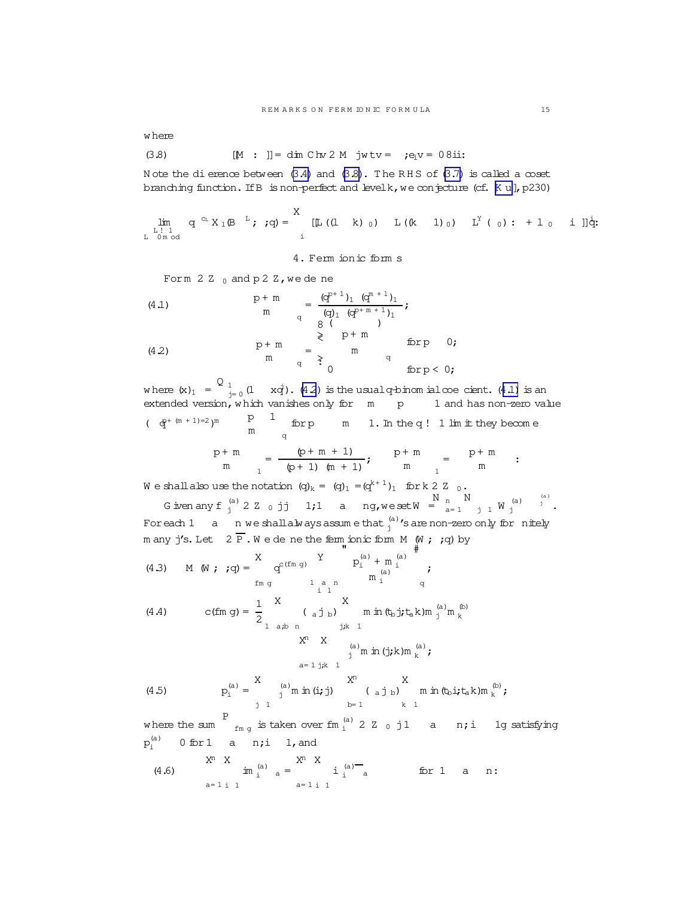<span id="page-14-0"></span>w here

(3.8) 
$$
[M : ]] = \dim \text{Chv 2 } M \text{ jwtv} = ; e_i v = 08 \text{ii}:
$$

N ote the dierence between  $(3.4)$  and  $(3.8)$ . The RHS of  $(3.7)$  is called a coset branching function. If B is non-perfect and levelk, we conjecture (cf. [[K u](#page-47-0)], p230)

lim<br>L!l<br>L 0 m od q  $c_L$  X<sub>1</sub>(B  $L$  ; ;q) = X i  $[\mathbb{L}((1 \ k) _0) \ L((k \ 1) _0) \ L^Y(_0): + 1 _0 \ i ]]_q^i;$ 

4. Ferm ionic form s

Form  $2Z_0$  and  $pZZ$ , we dene

(4.1)  
\n
$$
\begin{array}{ccc}\n & p+m \\
 & m \\
 & q\n \end{array}\n = \frac{(q^{p+1})_1 (q^{m+1})_1}{(q)_1 (q^{p+m+1})_1};
$$
\n
$$
\begin{array}{ccc}\n & p+m \\
 & g(1) & q^{p+m+1} \text{ for } p \\
 & \geq 0\n \end{array}
$$
\n(4.2)  
\n
$$
\begin{array}{ccc}\n & p+m \\
 & m \\
 & q\n \end{array}\n = \begin{array}{ccc}\n & p+m \\
 & m \\
 & q\n \end{array}\n = \begin{array}{ccc}\n & p+m \\
 & \geq 0 \\
 & q\n \end{array}
$$
\n(4.2)  
\n
$$
\begin{array}{ccc}\n & p+m \\
 & m \\
 & q\n \end{array}\n = \begin{array}{ccc}\n & p+m \\
 & q\n \end{array}
$$

where  $(x)_1 = \begin{bmatrix} 0 & 1 \ - & 0 & 1 \end{bmatrix}$  (1 xq'). (4.2) is the usualq-binom ialcoe cient. (4.1) is an extended version, w hich vanishes only for  $m$  p  $1$  and has non-zero value  $(\frac{p}{q} + (m + 1) = 2)$ <sup>m</sup> p 1  $\frac{p}{m}$  for pm 1. In the q! 1 lim it they become p+ m

$$
\frac{p+m}{m} = \frac{(p+m+1)}{(p+1) (m+1)}; \qquad \frac{p+m}{m} = \frac{p+m}{m} ;
$$

We shall also use the notation  $(q)_k = (q)_1 = (q^{k+1})_1$  for k 2 Z  $_0$ . N

Given any f  $_{j}^{(a)}$  2  $Z$  0 jj 1;1 a ng, we set W =  $_{a}^{N}$ a= 1 j 1  $\overline{W}$  (a) (a ) <sup>j</sup> . Foreach  $1$  a n we shallalways assume that  $_j^{({\rm a})}$  's are non-zero only for nitely m any j's. Let  $2\bar{P}$ . We de ne the ferm ionic form M (W ; ;q) by

(4.3) M (W; 
$$
;q
$$
) =  $\begin{array}{ccc} X & Y & P_1^{(a)} + m_1^{(a)} & Y \\ \text{fm g} & 1 & m_1^{(a)} & q \end{array}$ ;  
\n(4.4) C(fm g) =  $\frac{1}{2}$   $\begin{array}{ccc} X & X & \text{m in (tb)}t_{\text{t}} & k \text{ m }^{(a)} & q \end{array}$ 

$$
\begin{array}{llll}\n\text{(Lm g)} - \frac{1}{2} & \text{(a) b} & \text{m m (b) } \text{J} \text{ (a) m} \\
\text{(b) } \text{J} \text{ (a) m} & \text{m k} \\
\text{(c) } & \text{(d) m} \\
\text{A} & \text{B} & \text{C} \\
\text{A} & \text{A} & \text{D} \\
\text{A} & \text{A} & \text{A} \\
\text{B} & \text{A} & \text{A} \\
\text{C} & \text{A} & \text{A} \\
\text{D} & \text{A} & \text{A} \\
\text{D} & \text{A} & \text{A} \\
\text{E} & \text{A} & \text{A} \\
\text{D} & \text{A} & \text{A} \\
\text{E} & \text{A} & \text{A} \\
\text{E} & \text{A} & \text{A} \\
\text{E} & \text{A} & \text{A} \\
\text{E} & \text{A} & \text{A} \\
\text{E} & \text{A} & \text{A} \\
\text{E} & \text{A} & \text{A} \\
\text{E} & \text{A} & \text{A} \\
\text{E} & \text{A} & \text{A} \\
\text{E} & \text{A} & \text{A} \\
\text{E} & \text{A} & \text{A} \\
\text{E} & \text{A} & \text{A} \\
\text{E} & \text{A} & \text{A} \\
\text{E} & \text{A} & \text{A} \\
\text{E} & \text{A} & \text{A} \\
\text{E} & \text{A} & \text{A} \\
\text{E} & \text{A} & \text{A} \\
\text{E} & \text{A} & \text{A} \\
\text{E} & \text{A} & \text{A} \\
\text{E} & \text{A} & \text{A} \\
\text{E} & \text{A} & \text{A} \\
\text{E} & \text{A} &
$$

$$
\int_{a=1 \, j,k}^{(a)} \ln \ln (j;k) m_k^{(a)};
$$

(b)

(4.5) 
$$
p_i^{(a)} = \begin{cases} X & \text{on } i \\ j & \text{on } i \end{cases} (a) p_i^{(a)} p_i^{(b)} p_i^{(b)} p_i^{(c)} p_i^{(c)} p_i^{(c)} p_i^{(c)} p_i^{(c)} p_i^{(c)} p_i^{(c)} p_i^{(c)} p_i^{(c)} p_i^{(c)} p_i^{(c)} p_i^{(c)} p_i^{(c)} p_i^{(c)} p_i^{(c)} p_i^{(c)} p_i^{(c)} p_i^{(c)} p_i^{(c)} p_i^{(c)} p_i^{(c)} p_i^{(c)} p_i^{(c)} p_i^{(c)} p_i^{(c)} p_i^{(c)} p_i^{(c)} p_i^{(c)} p_i^{(c)} p_i^{(c)} p_i^{(c)} p_i^{(c)} p_i^{(c)} p_i^{(c)} p_i^{(c)} p_i^{(c)} p_i^{(c)} p_i^{(c)} p_i^{(c)} p_i^{(c)} p_i^{(c)} p_i^{(c)} p_i^{(c)} p_i^{(c)} p_i^{(c)} p_i^{(c)} p_i^{(c)} p_i^{(c)} p_i^{(c)} p_i^{(c)} p_i^{(c)} p_i^{(c)} p_i^{(c)} p_i^{(c)} p_i^{(c)} p_i^{(c)} p_i^{(c)} p_i^{(c)} p_i^{(c)} p_i^{(c)} p_i^{(c)} p_i^{(c)} p_i^{(c)} p_i^{(c)} p_i^{(c)} p_i^{(c)} p_i^{(c)} p_i^{(c)} p_i^{(c)} p_i^{(c)} p_i^{(c)} p_i^{(c)} p_i^{(c)} p_i^{(c)} p_i^{(c)} p_i^{(c)} p_i^{(c)} p_i^{(c)} p_i^{(c)} p_i^{(c)} p_i^{(c)} p_i^{(c)} p_i^{(c)} p_i^{(c)} p_i^{(c)} p_i^{(c)} p_i^{(c)} p_i^{(c)} p_i^{(c)} p_i^{(c)} p_i^{(c)} p_i^{(c)} p_i^{(c)} p_i^{(c)} p_i^{(c)} p_i^{(c)} p_i^{(c)} p_i^{(c)} p_i^{(c)} p_i^{(c)} p_i^{(c)} p_i^{(c)} p_i^{(c)} p_i^{(c)} p_i^{(c)} p_i^{(c)} p_i^{(c)} p_i^{(c)} p_i^{(c)} p_i^{(c)} p_i^{(c)} p_i^{(c)} p_i^{(c)} p_i^{(c)} p_i^{(c)} p_i^{(c)} p_i^{
$$

w here the sum P  $_{\rm fm~g}$  is taken over fm  $_{\rm i}^{\rm (a)}$  2 Z  $_{\rm 0}$  j1 a  $_{\rm n,i}$  ig satisfying  $p_i^{(a)}$  $0$  for  $1$  a n;i 1, and

(4.6) 
$$
\lim_{a=1 \text{ i } 1}^{x^{n}} \lim_{a=1 \text{ i } 1}^{x^{n}} = \lim_{a=1 \text{ i } 1}^{x^{n}} \lim_{a=1 \text{ i } 1}^{x^{n}} \lim_{a=1 \text{ i } 1}^{x^{n}} \lim_{a=1 \text{ i } 1}^{x^{n}} \lim_{a=1 \text{ i } 1}^{x^{n}} \lim_{a=1 \text{ i } 1}^{x^{n}} \lim_{a=1 \text{ i } 1}^{x^{n}} \lim_{a=1 \text{ i } 1}^{x^{n}} \lim_{a=1 \text{ i } 1}^{x^{n}} \lim_{a=1 \text{ i } 1}^{x^{n}} \lim_{a=1 \text{ i } 1}^{x^{n}} \lim_{a=1 \text{ i } 1}^{x^{n}} \lim_{a=1 \text{ i } 1}^{x^{n}} \lim_{a=1}^{x^{n}} \lim_{a \to a}^{x^{n}} \lim_{a \to a}^{x^{n}} \lim_{a \to a}^{x^{n}} \lim_{a \to a}^{x^{n}} \lim_{a \to a}^{x^{n}} \lim_{a \to a}^{x^{n}} \lim_{a \to a}^{x^{n}} \lim_{a \to a}^{x^{n}} \lim_{a \to a}^{x^{n}} \lim_{a \to a}^{x^{n}} \lim_{a \to a}^{x^{n}} \lim_{a \to a}^{x^{n}} \lim_{a \to a}^{x^{n}} \lim_{a \to a}^{x^{n}} \lim_{a \to a}^{x^{n}} \lim_{a \to a}^{x^{n}} \lim_{a \to a}^{x^{n}} \lim_{a \to a}^{x^{n}} \lim_{a \to a}^{x^{n}} \lim_{a \to a}^{x^{n}} \lim_{a \to a}^{x^{n}} \lim_{a \to a}^{x^{n}} \lim_{a \to a}^{x^{n}} \lim_{a \to a}^{x^{n}} \lim_{a \to a}^{x^{n}} \lim_{a \to a}^{x^{n}} \lim_{a \to a}^{x^{n}} \lim_{a \to a}^{x^{n}} \lim_{a \to a}^{x^{n}} \lim_{a \to a}^{x^{n}} \lim_{a \to a}^{x^{n}} \lim_{a \to a}^{x^{n}} \lim_{a \to a}^{x^{n}} \lim_{a \to a}^{x^{n}} \lim_{a \to a}^{x^{n}} \lim
$$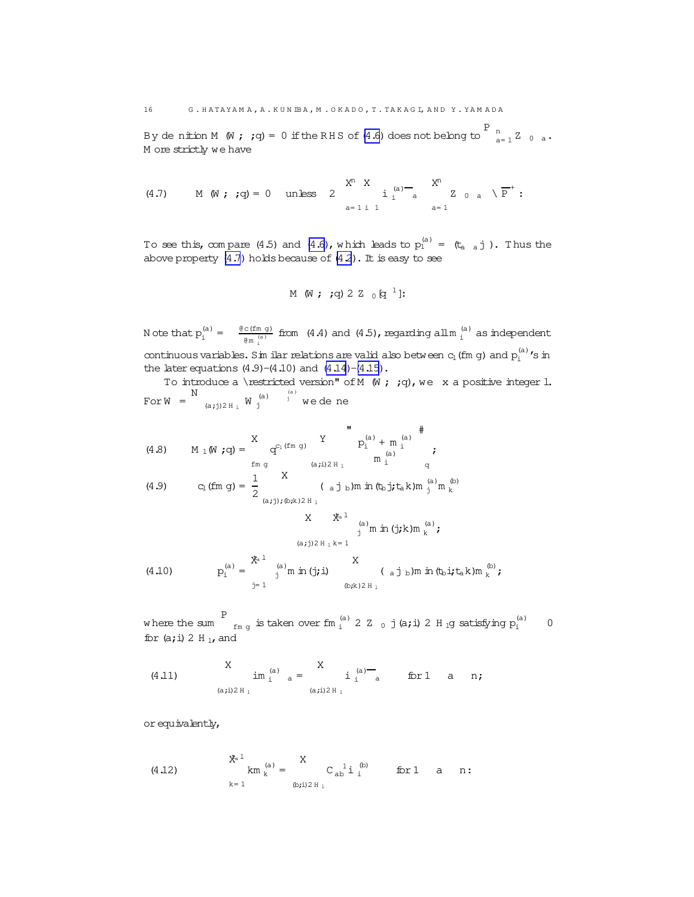<span id="page-15-0"></span>By de nition M (W ; ;q) = 0 if the RHS of [\(4.6\)](#page-14-0) does not belong to  $\begin{bmatrix} P & n \ n_{a=1} & Z & 0 & a \end{bmatrix}$ . M ore strictly we have

(4.7) M (W;;q) = 0 unless 
$$
2\sum_{a=1 \text{ i } 1}^{X^n} \frac{X}{a} \cdot \frac{1}{a} \cdot \frac{1}{a} \cdot \frac{1}{a} \cdot \frac{1}{a} \cdot \frac{1}{a} \cdot \frac{1}{a} \cdot \frac{1}{a} \cdot \frac{1}{a} \cdot \frac{1}{a} \cdot \frac{1}{a} \cdot \frac{1}{a} \cdot \frac{1}{a} \cdot \frac{1}{a} \cdot \frac{1}{a} \cdot \frac{1}{a} \cdot \frac{1}{a} \cdot \frac{1}{a} \cdot \frac{1}{a} \cdot \frac{1}{a} \cdot \frac{1}{a} \cdot \frac{1}{a} \cdot \frac{1}{a} \cdot \frac{1}{a} \cdot \frac{1}{a} \cdot \frac{1}{a} \cdot \frac{1}{a} \cdot \frac{1}{a} \cdot \frac{1}{a} \cdot \frac{1}{a} \cdot \frac{1}{a} \cdot \frac{1}{a} \cdot \frac{1}{a} \cdot \frac{1}{a} \cdot \frac{1}{a} \cdot \frac{1}{a} \cdot \frac{1}{a} \cdot \frac{1}{a} \cdot \frac{1}{a} \cdot \frac{1}{a} \cdot \frac{1}{a} \cdot \frac{1}{a} \cdot \frac{1}{a} \cdot \frac{1}{a} \cdot \frac{1}{a} \cdot \frac{1}{a} \cdot \frac{1}{a} \cdot \frac{1}{a} \cdot \frac{1}{a} \cdot \frac{1}{a} \cdot \frac{1}{a} \cdot \frac{1}{a} \cdot \frac{1}{a} \cdot \frac{1}{a} \cdot \frac{1}{a} \cdot \frac{1}{a} \cdot \frac{1}{a} \cdot \frac{1}{a} \cdot \frac{1}{a} \cdot \frac{1}{a} \cdot \frac{1}{a} \cdot \frac{1}{a} \cdot \frac{1}{a} \cdot \frac{1}{a} \cdot \frac{1}{a} \cdot \frac{1}{a} \cdot \frac{1}{a} \cdot \frac{1}{a} \cdot \frac{1}{a} \cdot \frac{1}{a} \cdot \frac{1}{a} \cdot \frac{1}{a} \cdot \frac{1}{a} \cdot \frac{1}{a} \cdot \frac{1}{a} \cdot \frac{1}{a} \cdot \frac{1}{a} \cdot \frac{1}{a} \cdot \frac{1}{a} \cdot \frac{1}{a} \cdot \frac{1}{a} \
$$

To see this, compare (4.5) and [\(4.6\)](#page-14-0), which leads to  $p_1^{(a)} = (t_{a-a} j)$ . Thus the above property  $(4.7)$  holds because of  $(4.2)$  $(4.2)$ . It is easy to see

M (W ; ;q) 2 Z 
$$
_{0}
$$
 [q<sup>1</sup>]:

N ote that  $p_i^{(a)} = \frac{\theta c (f m g)}{a m^{(a)}}$  $\frac{c(f_m g)}{g_{m_i}^{(a)}}$  from (4.4) and (4.5), regarding all  $m_i^{(a)}$  as independent continuous variables. Sim ilar relations are valid also between  $c_1$  (fm g) and  $p_i^{(a)}$  's in the later equations  $(4.9)-(4.10)$  and  $(4.14)-(4.15)$ .

To introduce a \restricted version" of M  $(W; q)$ , we x a positive integer l. For $W =$ N (a;j)2 H  $_{\rm l}$  W  $_{\rm j}^{\rm (a)}$ j  $\overset{\text{\tiny (a)}}{j}$  we de ne

(4.8) 
$$
M_1(W; q) = \begin{cases} X & Y \\ \text{fmg} & Q^{C_1(fm q)} \end{cases} \begin{cases} Y & P_1^{(a)} + m_1^{(a)} \\ m_1^{(a)} & Q_1^{(a)} \end{cases}
$$
  
(4.9)  $C_1(fm q) = \frac{1}{2} \begin{cases} X & (a, j)_D \text{ in } (t_b, j, t_a, k) m_1^{(a)} \\ m_1^{(a)} & Q_1^{(b)} \end{cases}$ 

(4.10) 
$$
X = \begin{cases} \frac{x}{2} & \text{if } (a)_{m} \text{ in } (j,k) \text{ in } {a \choose k} \text{ and } \\ \frac{x}{2} & \text{if } (a,j) \geq 0 \text{ if } x \in (a, j) \text{ if } (b, j) \neq 0 \text{ if } (b, j) \neq 0 \text{ if } (b, j) \neq 0 \text{ if } (b, j) \neq 0 \text{ if } (b, j) \neq 0 \text{ if } (b, j) \neq 0 \text{ if } (b, j) \neq 0 \text{ if } (b, j) \neq 0 \text{ if } (b, j) \neq 0 \text{ if } (b, j) \neq 0 \text{ if } (b, j) \neq 0 \text{ if } (b, j) \neq 0 \text{ if } (b, j) \neq 0 \text{ if } (b, j) \neq 0 \text{ if } (b, j) \neq 0 \text{ if } (b, j) \neq 0 \text{ if } (b, j) \neq 0 \text{ if } (b, j) \neq 0 \text{ if } (b, j) \neq 0 \text{ if } (b, j) \neq 0 \text{ if } (b, j) \neq 0 \text{ if } (b, j) \neq 0 \text{ if } (b, j) \neq 0 \text{ if } (b, j) \neq 0 \text{ if } (b, j) \neq 0 \text{ if } (b, j) \neq 0 \text{ if } (b, j) \neq 0 \text{ if } (b, j) \neq 0 \text{ if } (b, j) \neq 0 \text{ if } (b, j) \neq 0 \text{ if } (b, j) \neq 0 \text{ if } (b, j) \neq 0 \text{ if } (b, j) \neq 0 \text{ if } (b, j) \neq 0 \text{ if } (b, j) \neq 0 \text{ if } (b, j) \neq 0 \text{ if } (b, j) \neq 0 \text{ if } (b, j) \neq 0 \text{ if } (b, j) \neq 0 \text{ if } (b, j) \neq 0 \text{ if } (b, j) \neq 0 \text{ if } (b, j) \neq 0 \text{ if } (b, j) \neq 0 \text{ if } (b, j) \neq 0 \text{ if } (b,
$$

w here the sum P  $_{\rm fm~g}$  is taken over fm  $_{\rm i}^{\rm (a)}$  2 Z  $_{\rm 0}$  j (a; i) 2 H  $_{\rm i}$ g satisfying  $\rm p_{i}^{\rm (a)}$  0 for  $(a; i)$  2 H<sub>1</sub>, and

(4.11) 
$$
X
$$
  $\lim_{a \to 1/2 H_1}^{(a)} = X$   $i^{(a)}_i$   $\lim_{a \to 1/2 H_1}^{(a)} = x$  for 1 a n;

orequivalently,

(4.12) 
$$
\lim_{k=1}^{x} \lim_{k=1}^{(a)} = \lim_{(b;i) \geq H_1} C_{ab}^{1} i \lim_{k=1}^{(b)} \text{ for } 1 \text{ a } n:
$$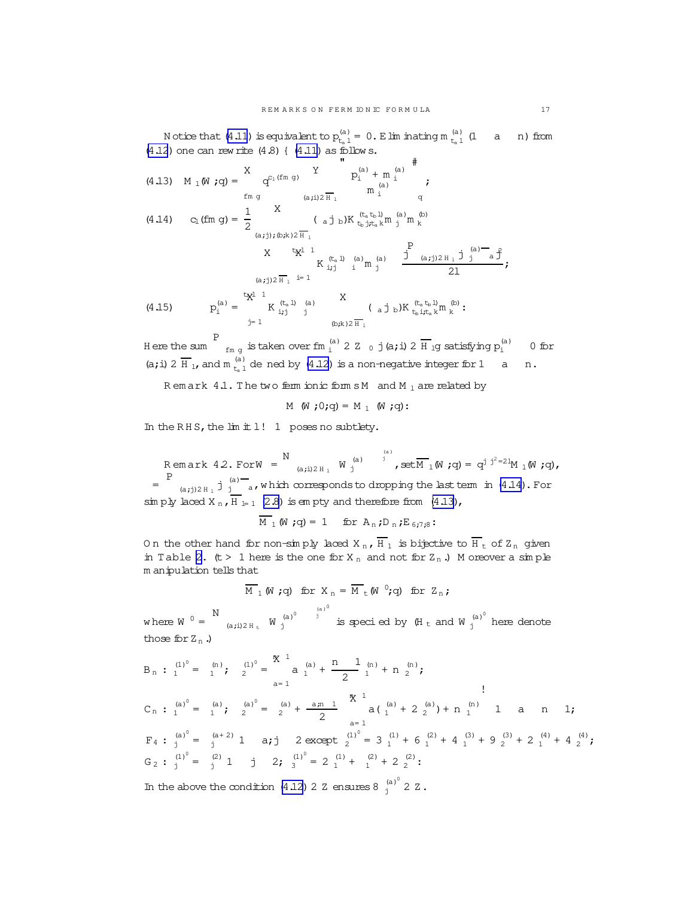N otice that [\(4.11](#page-15-0)) is equivalent to  $p_{t-1}^{(a)}$  $t_a(t_a)$  = 0. Elim inating m  $t_a$  l  $_{\mathrm{t_{a}}1}^{(\mathrm{a})}$  (1 a n) from  $(4.12)$  $(4.12)$  one can rew rite  $(4.8)$  {  $(4.11)$  as follow s.

(4.13) 
$$
M_1(\mathbf{W}; \mathbf{q}) = \begin{cases} X & Y \\ q^{C_1(fm g)} & Y \\ \text{fm g} & (a, j) \geq \overline{H}_1 \end{cases} \begin{cases} \mathbf{W}^{(a)} & \text{if } a \neq j \\ \mathbf{W}^{(a)} & \text{if } a \neq j \\ \mathbf{W}^{(a)} & \text{if } a \neq j \end{cases}
$$
  
\n(4.14)  $C_1(fm g) = \frac{1}{2} \begin{cases} X & (a, j, b)K \left(\frac{t_a}{t_b} \frac{1}{j} t_a \right) m \left(\frac{a}{b}\right) m \left(\frac{b}{b} \right) \mathbf{W}^{(a)} \\ \text{for } a \neq j \end{cases}$   
\n $X \begin{cases} \mathbf{W}^{1} & \text{if } a \neq j \\ \mathbf{W}^{1} & \text{if } a \neq j \end{cases}$   
\n(4.15)  $P_1^{(a)} = \begin{cases} \mathbf{W}^{1} & \text{if } a \neq j \\ \mathbf{W}^{1} & \text{if } a \neq j \\ \mathbf{W}^{1} & \text{if } a \neq j \end{cases}$   
\n $P_1^{(a)} = \begin{cases} \mathbf{W}^{1} & \text{if } a \neq j \\ \mathbf{W}^{1} & \text{if } a \neq j \\ \mathbf{W}^{1} & \text{if } a \neq j \end{cases}$   
\n $P_2^{(a)} = \begin{cases} \mathbf{W}^{1} & \text{if } a \neq j \\ \mathbf{W}^{1} & \text{if } a \neq j \\ \mathbf{W}^{1} & \text{if } a \neq j \end{cases}$   
\n $P_3^{(a)} = \begin{cases} \mathbf{W}^{1} & \text{if } a \neq j \\ \mathbf{W}^{1} & \text{if } a \neq j \end{cases}$   
\n $P_4^{(a)} = \begin{cases} \mathbf{W}^{1} & \text{if } a \neq j \\ \mathbf{W}^{1} & \text{if } a \neq j \end{cases}$ 

H ere the sum P  $_{\rm fm~g}$  is taken over fm  $_{\rm i}^{\rm (a)}$  2 Z  $_{\rm 0}$  j(a;i) 2  $\overline{\rm H}$  <sub>1</sub>g satisfying  $\rm p_{\rm i}^{\rm (a)}$  0 for (a; i) 2  $\overline{H}_{1}$ , and m  $_{t=1}^{(a)}$  $t_{\rm a}^{(a)}$  de ned by [\(4.12\)](#page-15-0) is a non-negative integer for 1 a n.

R em ark  $4.1$ . The two ferm ionic form  $sM$  and  $M_1$  are related by

 $M(W; 0; q) = M_1(W; q)$ :

In the RHS, the  $\text{lim } \pm 1!$  1 poses no subtlety.

 $R$  em ark  $4.2.$  ForW = N (a;i)2 H  $_{\rm l}$   $\,$  W  $_{\rm j}^{\rm (a)}$ j  $\stackrel{\scriptscriptstyle(\mathrm{a})}{\rule{0pt}{0pt}}$  , set<br>M  $_{1}$  (W  $\,$  ;<br>q) =  $\,\mathrm{q}^{\mathrm{j}}$   $\,$   $\stackrel{\scriptscriptstyle\mathrm{j}}{\rule{0pt}{0pt}}$   $\,$   $\,$   $\mathrm{q}$  ),  $\,$  $=$ P  $_{(a,j)2 H_1}$  j  $_j^{(a)}$  a, which corresponds to dropping the last term in  $(4.14)$ . For sim ply laced X<sub>n</sub>,  $H_{l=1}$  [\(2.8](#page-6-0)) is em pty and therefore from [\(4.13](#page-15-0)),

$$
\overline{\mathbf{M}}_1 \mathbf{W} ; \mathbf{q} = 1 \quad \text{for } \mathbf{A}_n; \mathbf{D}_n; \mathbf{E}_{6,7,8}:
$$

On the other hand for non-simply laced  $X_n$ ,  $\overline{H}_1$  is bijective to  $\overline{H}_t$  of  $Z_n$  given in Table [2.](#page-6-0)  $(t > 1$  here is the one for  $X_n$  and not for  $Z_n$ .) M oreover a simple m anipulation tells that

$$
\overline{M}_1(W; q)
$$
 for  $X_n = \overline{M}_t(W^0; q)$  for  $Z_n$ ;

where  $W^0 = \frac{N}{N}$ (a;i)2 H<sub>t</sub>  $W_j^{(a)}$ j  $(a)$ <sup>0</sup> is specied by  $(H_t$  and W  $j^{(a)^0}$  here denote those for  $Z_n$ .)

$$
B_{n}: \begin{pmatrix} 1^{0} \\ 1 \end{pmatrix} = \begin{pmatrix} n \\ 1 \end{pmatrix}; \quad \begin{pmatrix} 1^{0} \\ 2 \end{pmatrix} = \begin{pmatrix} 8 & 1 \\ 1 & 1 \end{pmatrix} + \frac{n}{2} \begin{pmatrix} 1 \\ 1 \end{pmatrix} + n \begin{pmatrix} n \\ 2 \end{pmatrix};
$$
  
\n
$$
C_{n}: \begin{pmatrix} a^{0} \\ 1 \end{pmatrix} = \begin{pmatrix} a \\ 1 \end{pmatrix}; \quad \begin{pmatrix} a^{0} \\ 2 \end{pmatrix} = \begin{pmatrix} a \\ 2 \end{pmatrix} + \frac{a_{1}n}{2} \begin{pmatrix} 8 & 1 \\ 1 & 1 \end{pmatrix} + n \begin{pmatrix} a \\ 1 \end{pmatrix} + n \begin{pmatrix} a \\ 1 \end{pmatrix} + n \begin{pmatrix} 1 \\ 1 \end{pmatrix} = \begin{pmatrix} a + 2 \\ 1 \end{pmatrix};
$$
  
\n
$$
F_{1}: \begin{pmatrix} a^{0} \\ 1 \end{pmatrix} = \begin{pmatrix} a + 2 \\ 1 \end{pmatrix} \quad \text{a}; \quad 2 \text{ except } \begin{pmatrix} 1^{0} \\ 2 \end{pmatrix} = 3 \begin{pmatrix} 1 \\ 1 \end{pmatrix} + 6 \begin{pmatrix} 2 \\ 1 \end{pmatrix} + 4 \begin{pmatrix} 3 \\ 1 \end{pmatrix} + 9 \begin{pmatrix} 3 \\ 2 \end{pmatrix} + 2 \begin{pmatrix} 4 \\ 1 \end{pmatrix} + 4 \begin{pmatrix} 4 \\ 2 \end{pmatrix};
$$
  
\n
$$
G_{2}: \begin{pmatrix} 1^{0} \\ 1 \end{pmatrix} = \begin{pmatrix} 2 \\ 1 \end{pmatrix} \quad \text{j} \quad 2; \quad \begin{pmatrix} 1^{0} \\ 2 \end{pmatrix} = 2 \begin{pmatrix} 1 \\ 1 \end{pmatrix} + \begin{pmatrix} 2 \\ 2 \end{pmatrix} + n \begin{pmatrix} 1^{0} \\ 2 \end{pmatrix} + n \begin{pmatrix} 1^{0} \\ 2^{0} \end{pmatrix} + n \begin{pmatrix} 1^{0} \\ 2^{0} \end{pmatrix} + n \begin{pmatrix} 1^{0} \\ 2^{0} \end{
$$

In the above the condition [\(4.12](#page-15-0)) 2 Z ensures 8  $j^{(a)^0}$  2 Z.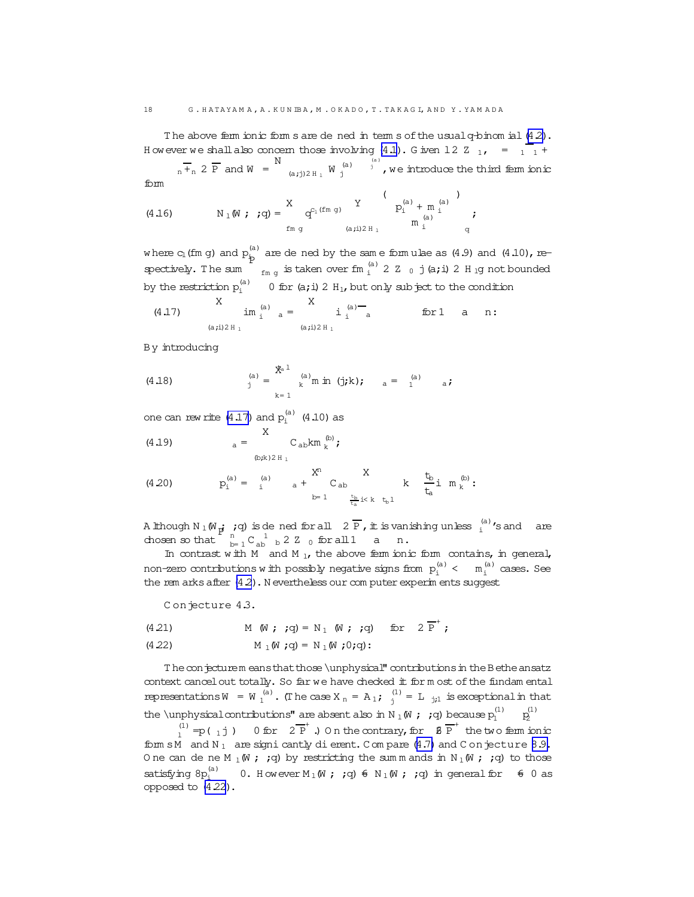<span id="page-17-0"></span>The above ferm ionic form s are de ned in term s of the usual q-binom ial [\(4.2\)](#page-14-0). H owever we shall also concern those involving [\(4.1](#page-14-0)). G iven 12 Z  $_{1}$ , =  $_{1}$  +

 $_{n}$  +<sub>n</sub> 2 P and W = N (a;j)2 H<sub>1</sub> W  $j^{(a)}$  $j^{(a)}$  , we introduce the third ferm ionic form

(4.16) 
$$
N_1(W; q) = \begin{cases} X & Y \\ \text{if } q \text{ is odd} \end{cases} \begin{cases} Y & Y \\ \text{if } p_i^{(a)} + m_i^{(a)} \\ \text{if } p_i^{(a)} \text{ is odd} \end{cases}
$$

where  $c_{\rm l}$  (fm g) and  $\rm p^{(a)}_{\rm b}$  are de ned by the same form ulae as (4.9) and (4.10), respectively. T he sum P  $_{\rm fm~g}$  is taken over fm  $_{\rm i}^{\rm (a)}$  2 Z  $_{\rm 0}$  j (a;i) 2 H  $_{\rm 1}$ g not bounded by the restriction  $p_i^{(a)}=0$  for (a;i) 2  $H_1$ , but only subject to the condition

(4.17) 
$$
\lim_{(a,i) \geq H_1}^{(a)} a = \sum_{(a,i) \geq H_1}^{(a)} i_i^{(a)} - \text{for } 1 \quad a \quad n:
$$

By introducing

(4.18) 
$$
\int_{j}^{(a)} = \int_{k=1}^{x} \int_{k}^{(a)} m \text{ in } (j,k); \quad a = \int_{1}^{(a)} a;
$$

one can rew rite  $(4.17)$  and  $p_i^{(a)}$   $(4.10)$  as

(4.19)  
\n
$$
a = \n\begin{array}{cc}\nX & C_{ab}km_{k}^{(b)}; \\
\text{(b,k)}2H_{1} & \\
\text{(4.20)} & P_{1}^{(a)} = \n\end{array}
$$
\n
$$
R^{(a)} = \n\begin{array}{cc}\n\text{(a)} & X \\
\text{(b,k)} & \text{(c,k)} \\
\text{(d,k)} & \text{(d,k)} \\
\text{(e,k)} & \text{(f,k)} \\
\text{(e,k)} & \text{(f,k)} \\
\text{(g,k)} & \text{(h,k)} \\
\text{(h,k)} & \text{(h,k)} \\
\text{(i)} & \text{(j)}\n\end{array}
$$

(4.20) 
$$
p_i^{(a)} = i \t a + C_{ab} \t b = 1 \t b \t b \t t_a \t b \t b \t b
$$

Although N  $_1$  (W  $_{\rm p}$ ; ;q) is de ned for all  $\,$  2  $\overline{\mathrm{P}}$  , it is vanishing unless  $_{{\rm i}}^{{\rm (a)}}$  's and are A lunough  $N_1$  ( $N_{\rm pl}$  )  $\frac{n}{N_1}$  $_{\rm b=1}^{\rm n}$  C<sub>ab</sub>  $_{\rm b}$  2 Z  $_{\rm 0}$  for all 1 a n.

In contrast with M and M<sub>1</sub>, the above ferm ionic form contains, in general, non-zero contributions with possibly negative signs from  $p_i^{(a)} \leftarrow m_i^{(a)}$  cases. See the rem arks after  $(4.2)$ . N evertheless our com puter experim ents suggest

Conjecture 4.3.

(4.21)  $M(W; q) = N_1(W; q)$  for  $2\overline{P}^+;$ 

(4.22) 
$$
M_{\perp}(\mathbf{W}; \mathbf{q}) = N_{\perp}(\mathbf{W}; 0; \mathbf{q})
$$
:

The conjecturem eansthat those \unphysical" contributions in the Bethe ansatz context cancel out totally. So far we have checked it for m ost of the fundam ental representations  $W = W_1^{(a)}$ . (The case  $X_n = A_1$ ;  $\int_1^{(1)} dx = L_{j,1}$  is exceptional in that the \unphysicalcontributions" are absent also in N  $_1$  (W  $\,$  ;  $\,$  ;q) because  $\rm p_{\rm l}^{(1)}$   $\,$   $\,$   $\rm p_{\rm l}^{(2)}$ (1) 2

 $\binom{(1)}{1}$  = p (1) = p( 1j) 0 for  $2\overline{P}^+$ .) On the contrary, for  $\overline{B} \overline{P}^+$  the two ferm ionic form sM and  $N_1$  are signi cantly dierent. C om pare [\(4.7\)](#page-15-0) and C on jecture [8.9.](#page-33-0) O ne can de ne M  $_1$  (W ; ;q) by restricting the sum m ands in N  $_1$  (W ; ;q) to those satisfying  $8p_i^{(a)}$  0. However  $M_1(W;;q)$   $\in$   $N_1(W;;q)$  in general for  $\epsilon$  0 as opposed to (4.22).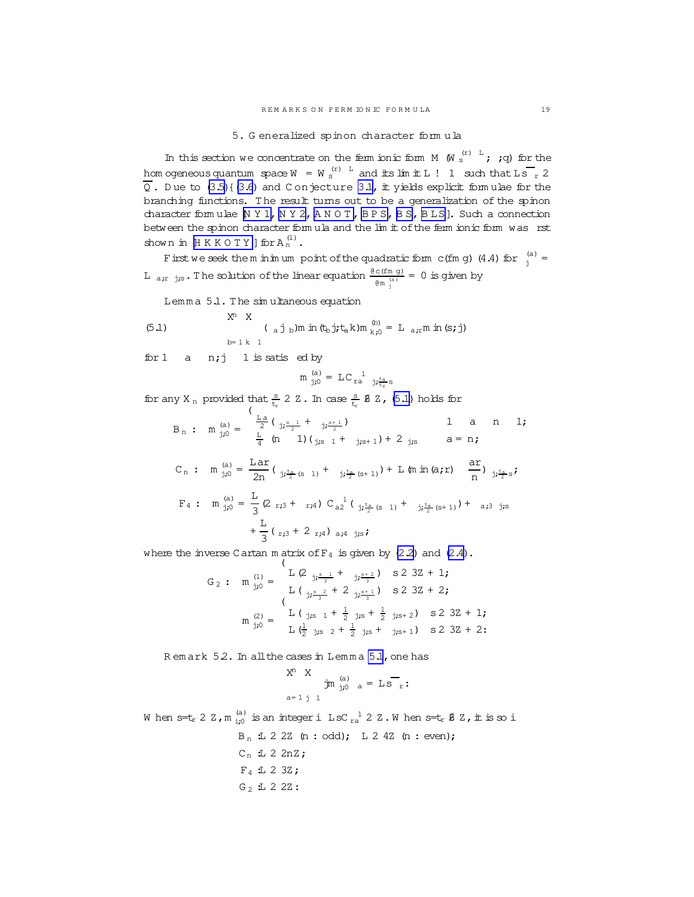5. G eneralized spinon character form ula

<span id="page-18-0"></span>In this section we concentrate on the ferm ionic form  $M$   $(W \stackrel{(r)}{\circ}^L; jq)$  for the hom ogeneous quantum  $\sec W = W_s^{(r)}$  and its lim it L ! 1 such that Ls  $\frac{1}{r}$  2  $\overline{Q}$ . Due to [\(3.5\)](#page-12-0){[\(3.6](#page-12-0)) and C onjecture [3.1,](#page-12-0) it yields explicit formulae for the branching functions. The result turns out to be a generalization of the spinon character form ulae [[N Y 1, N Y 2,](#page-47-0) [A N O T ,](#page-45-0) [B P S, B S](#page-46-0), [B LS](#page-46-0)]. Such a connection between the spinon character form ula and the lim it of the ferm ionic form was rst shown in  $\mathbb {H}$  K K O T Y ] for A  $^{(1)}_{\rm n}$  .

Firstwe seek the m inimum point of the quadratic form c(fm g) (4.4) for  $\int_{j}^{(a)}$  = L  $_{a,r}$  js. The solution of the linear equation  $\frac{\theta \text{ c (fm g)}}{\theta m \frac{\text{(a)}}{j}} = 0$  is given by

Lemma 5.1. The simultaneous equation

(5.1) 
$$
X^{n} X
$$

$$
(a j_b) m \text{ in } (t_b j_t t_a k) m_{k,0}^{(b)} = L_{a,t} m \text{ in } (s, j)
$$

$$
b = 1 k 1
$$

for 1 a  $n; j$  1 is satis ed by

$$
\mathfrak{m}^{(a)}_{j\mathfrak{j}0} = \mathbb{L} C_{\rm ra}^{1}{}_{j\mathfrak{j}^{\rm ta}_{\rm tr} s}
$$

for any X<sub>n</sub> provided that  $\frac{s}{t_r}$  2 Z. In case  $\frac{s}{t_r}$  **8** Z, (5.1) holds for (

$$
B_{n}: m_{j0}^{(a)} = \frac{\sum_{a}^{L} \left( \frac{1}{j_{j}s} \frac{1}{2} + \frac{1}{j_{j}s+1} \right)}{\sum_{a}^{L} \left( \frac{1}{a} \right) \left( \frac{1}{j_{j}s} \frac{1}{2} + \frac{1}{j_{j}s+1} \right) + 2 \frac{1}{j_{j}s} \quad a = n;
$$
\n
$$
C_{n}: m_{j0}^{(a)} = \frac{Lar}{2n} \left( \frac{1}{j_{j}s} \frac{t_{a}}{2} (s + 1) + \frac{1}{j_{j}s} \frac{t_{a}}{2} (s + 1) \right) + L \left( m \frac{1}{a} \right) \frac{1}{n} \frac{1}{j_{j} \frac{t_{a}}{2} s};
$$
\n
$$
F_{4}: m_{j0}^{(a)} = \frac{L}{3} \left( 2 r_{j3} + r_{j4} \right) C_{a2}^{-1} \left( \frac{1}{j_{j} \frac{t_{a}}{2} (s + 1)} + \frac{1}{j_{j} \frac{t_{a}}{2} (s + 1)} \right) + a_{j3} \frac{1}{j_{j}s}
$$
\n
$$
+ \frac{L}{3} \left( r_{j3} + 2 r_{j4} \right) a_{j4} \frac{1}{j_{j}s};
$$

where the inverse Cartan m atrix of  $F_4$  is given by  $(2.2)$  and  $(2.4)$ .

$$
G_2: m_{j,0}^{(1)} = \begin{cases} L(2_{j,\frac{s-1}{3}} + j,\frac{s+2}{3}) & S(2) \cdot 3Z + 1; \\ L(\frac{s-2}{3}, \frac{s-1}{3}) & S(2) \cdot 3Z + 2; \\ m_{j,0}^{(2)} = \begin{cases} L(j,s_1 + \frac{1}{2}, j,s + \frac{1}{2}, j,s+2) & S(2) \cdot 3Z + 1; \\ L(\frac{1}{2}, j,s_2 + \frac{1}{2}, j,s + j,s+1) & S(2) \cdot 3Z + 2; \end{cases} \end{cases}
$$

R em ark 52. In all the cases in Lemma 5.1, one has

$$
X^{n} X \t{m} \t{a} \t{a} = L S_{r}.
$$
  
a=1 j 1

When s=tr 2 Z,m  $_{\rm i;0}^{\rm (a)}$  is an integer i LsC  $_{\rm ra}^{-1}$  2 Z.When s=tr B Z, it is so i  $B_n$  1 2 2 2 (n : odd); L 2 4 2(n : even);  $C_n$  :L 2 2nZ;  $F_4$  : 2 3Z;  $G_2$  1 2 2 2 :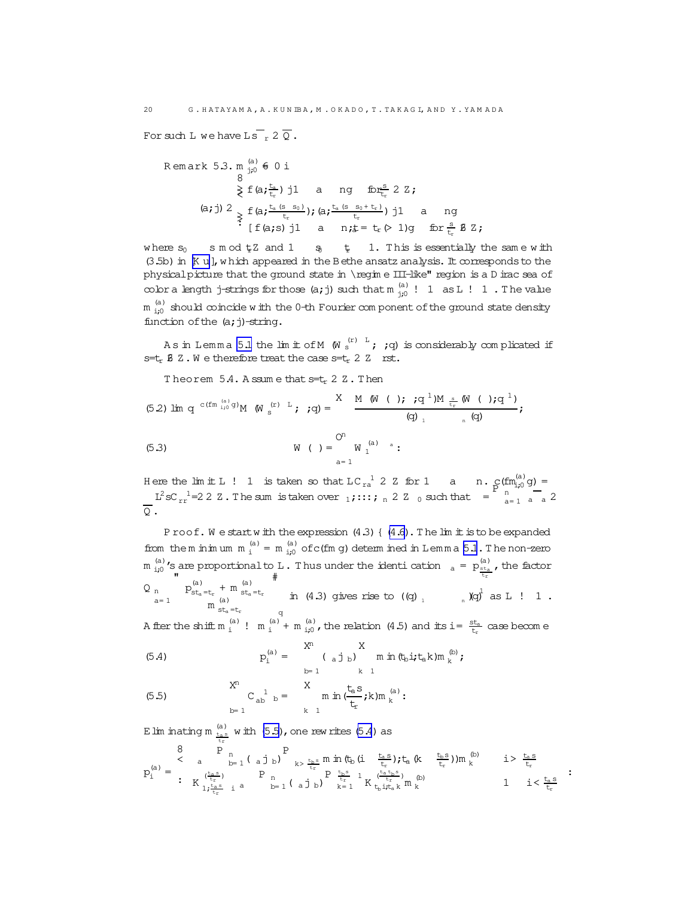For such L we have Ls  $_{r}$  2  $_{Q}$ .

\n
$$
\text{Remark } 5.3. \, \text{m} \, \text{cm} \, \text{cm} \, \text{cm} \, \text{cm} \, \text{cm} \, \text{cm} \, \text{cm} \, \text{cm} \, \text{cm} \, \text{cm} \, \text{cm} \, \text{cm} \, \text{cm} \, \text{cm} \, \text{cm} \, \text{cm} \, \text{cm} \, \text{cm} \, \text{cm} \, \text{cm} \, \text{cm} \, \text{cm} \, \text{cm} \, \text{cm} \, \text{cm} \, \text{cm} \, \text{cm} \, \text{cm} \, \text{cm} \, \text{cm} \, \text{cm} \, \text{cm} \, \text{cm} \, \text{cm} \, \text{cm} \, \text{cm} \, \text{cm} \, \text{cm} \, \text{cm} \, \text{cm} \, \text{cm} \, \text{cm} \, \text{cm} \, \text{cm} \, \text{cm} \, \text{cm} \, \text{cm} \, \text{cm} \, \text{cm} \, \text{cm} \, \text{cm} \, \text{cm} \, \text{cm} \, \text{cm} \, \text{cm} \, \text{cm} \, \text{cm} \, \text{cm} \, \text{cm} \, \text{cm} \, \text{cm} \, \text{cm} \, \text{cm} \, \text{cm} \, \text{cm} \, \text{cm} \, \text{cm} \, \text{cm} \, \text{cm} \, \text{cm} \, \text{cm} \, \text{cm} \, \text{cm} \, \text{cm} \, \text{cm} \, \text{cm} \, \text{cm} \, \text{cm} \, \text{cm} \, \text{cm} \, \text{cm} \, \text{cm} \, \text{cm} \, \text{cm} \, \text{cm} \, \text{cm} \, \text{cm} \, \text{cm} \, \text{cm} \, \text{cm} \, \text{cm} \, \text{cm} \, \text{cm} \, \text{cm} \, \text{cm} \, \text{cm} \, \text{cm} \, \text{cm} \, \text{cm} \, \text{cm} \, \text{cm} \, \text{cm} \, \text{cm} \, \text{cm} \, \text{cm} \, \text{cm} \
$$

where  $s_0$  smod  $\sharp$  z and 1  $s_0$   $\sharp$  1. This is essentially the same with (3.5b) in [K u ], which appeared in the Bethe ansatz analysis. It corresponds to the physical picture that the ground state in \regim e III-like" region is a D irac sea of color a length j-strings for those  $(a, j)$  such that  $m_{j;0}^{(a)}$  ! 1 as L ! 1. The value  $m_{i;0}^{(a)}$  should coincide with the 0-th Fourier component of the ground state density function of the (a; j)-string.

As in Lemma 5.1 the limit of M  $(W_s^{(r)}$  is considerably complicated if  $s=t_r \mathcal{B}$  Z. We therefore treat the case  $s=t_r \; 2 \; Z$  rst.

Theorem 5.4. A ssum e that s=t, 2 Z. Then

(5.2) 
$$
\lim_{x \to 0} q^{c(fm \frac{(a)}{i\,0}g)} M \left( W \frac{(r)}{s} \right) + q = \frac{X M (W (1); q^{1})M \frac{s}{t_r} (W (1); q^{1})}{(q) \left( Q \right) \left( 1 - \frac{1}{t_r} \right)}
$$
  
\n(5.3)  $W (1) = \frac{Q^n}{t_r} W \frac{(a)}{t_r}$ 

Here the limit L ! 1 is taken so that  $LC_{ra}^{-1}$  2 Z for 1 a n.  $C(fm_{1,0}^{(a)}g)$  =  $L^2 sC_{rr}^{-1}$  = 2 Z Z. The sum is taken over  $1$ , :::;  $n$  2 Z 0 such that =  $\frac{P_{n}^{(a)} - 2P_{n-1}^{(b)}}{a-1}$  a 2  $\overline{O}$ .

Proof. We start with the expression (4.3) { (4.6). The lim it is to be expanded from them in in um  $m_i^{(a)} = m_{i;0}^{(a)}$  of c(fm g) determined in Lemma 5.1. The non-zero m  $^{(a)}_{i\neq 0}$ 's are proportional to L. Thus under the identication  $a = p_{\frac{st_a}{t_r}}^{(a)}$ , the factor  $Q_n$   $p_{st_a = t_r}^{(a)} + m_{st_a = t_r}^{(a)}$  in (4.3) gives rise to ((q)  $n$   $Nq^{\frac{1}{J}}$  as L ! 1.

A fter the shift  $m_i^{(a)}$ !  $m_i^{(a)}$  +  $m_{i\prime}^{(a)}$ , the relation (4.5) and its i=  $\frac{s t_a}{t_r}$  case become

(5.4) 
$$
p_{i}^{(a)} = \begin{cases} X^{i} & X \\ \sum_{b=1}^{N} (a_{a} \mathbf{j}_{b}) & m \text{ in } (\mathbf{t}_{b} \mathbf{i} ; \mathbf{t}_{a} \mathbf{k}) m_{k}^{(b)} \end{cases}
$$

(5.5) 
$$
\sum_{h=1}^{X^{H}} C_{ab}^{-1} b = \sum_{k=1}^{X} m \ln(\frac{t_{a}S}{t_{r}}; k) m_{k}^{(a)}:
$$

E lim inating  $m \frac{a}{t_a s}$  with  $(5.5)$ , one rew rites  $(5.4)$  as

$$
p_i^{(a)} \; = \; \begin{array}{ccc} 8 & P_{n} & P_{k > \frac{t_{b} s}{t_{r}}} \min(t_b \, (i - \frac{t_a s}{t_r}) ) t_a \, (k - \frac{t_b s}{t_r}) m_{k}^{(b)} & i > \frac{t_a s}{t_r} \\ \vdots & \, & \, & \, \\ K_{1, \frac{t_{a} s}{t_r}} & 1 & P_{n} & P_{t_{b} s} & 1 \\ \end{array} \left( \begin{array}{cc} 1 & \frac{t_b s}{t_r} & 1 \\ \frac{t_b s}{t_r} & 1 & \frac{t_a t_b s}{t_r} \\ \end{array} \right) m_{k}^{(b)} \qquad \begin{array}{ccc} i > \frac{t_a s}{t_r} \\ \vdots & \, \\ i < \frac{t_a s}{t_r} \end{array} \; : \;
$$

<span id="page-19-0"></span>20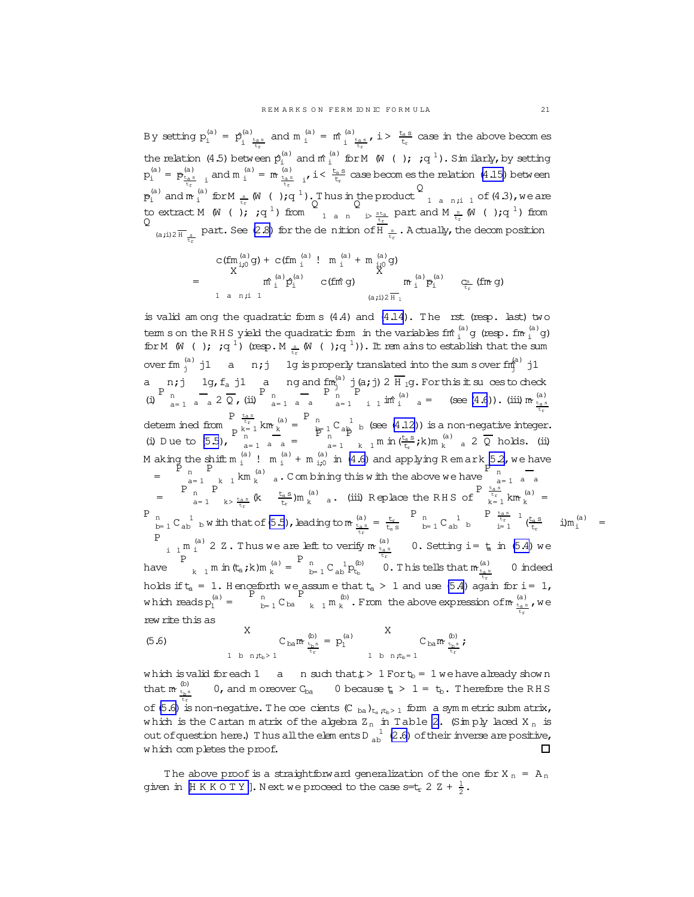<span id="page-20-0"></span>By setting  $p_i^{(a)} = p_i^{(a)}$  $\int_{i}^{(a)} \frac{t_{a} s}{t_{a}}$  and  $m \int_{i}^{(a)} = m \int_{i}^{(a)}$  $t_r$   $t_r$  $\int_{\frac{t_a s}{t_c}}^{(a)} t f(x) dx$  is case in the above becomes the relation (4.5) between  $\hat{p}_i^{(a)}$  and  $\hat{m}_i^{(a)}$  for M ( ); ;q <sup>1</sup>). Sim ilarly, by setting  $p_i^{(a)} = p_{\frac{t_{a}a}{t_x}}^{(a)}$  and  $m_i^{(a)} = m_{\frac{t_{a}a}{t_x}}^{(a)}$  is  $i < \frac{t_{a}s}{t_x}$  case becomes the relation [\(4.15\)](#page-15-0) between  $p_i^{(a)}$  and  $m_i^{(a)}$  for  $M_{\frac{s}{t_r}}$  (W ( ); q<sup>1</sup>). Thus in the product Thus in the product  $\begin{bmatrix} 1 & a & n,i & 1 \ 0 & 0 & 1 \end{bmatrix}$  of  $(4.3)$ , we are to extract M (W ( );  $;q^1$ ) from  $\frac{1}{q}$  a n  $\frac{1}{q}$  is  $\frac{1}{q}$  part and M  $\frac{1}{q}$  ( );q <sup>1</sup>) from Q (a,i)2  $\frac{1}{H}$  s part. See [\(2.8\)](#page-6-0) for the denition of H  $\frac{s}{t_r}$ . A ctually, the decomposition

$$
= \begin{array}{cccccc} c(fm_{ij0}^{(a)}g) + c(fm_{i}^{(a)} ! & m_{i}^{(a)} + m_{ij0}^{(a)}g) \\ X & & \mbox{if} & \mbox{if} & \mbox{if} \\ m_{i}^{(a)}p_{i}^{(a)} & c(fm\mbox{if}) & m_{i}^{(a)}p_{i}^{(a)} \\ 1 & a & n \mbox{if} & 1 & (a \mbox{if}) & \mbox{if} \\ \end{array} \hspace{0.25cm} \begin{array}{cccc} c_{ij} & & c_{ij} & c_{ij} \\ r_{ij} & & r_{ij}^{(a)} & r_{ij}^{(a)} \\ r_{ij} & & r_{ij}^{(a)} & r_{ij}^{(a)} \end{array}
$$

is valid am ong the quadratic form  $s(4.4)$  and  $(4.14)$ . The rst (resp. last) two term s on the RHS yield the quadratic form in the variables fino  $\lim_{i}^{(a)}$  g (resp. fino  $\lim_{i}^{(a)}$  g) for M (W ( );  $;q^1$ ) (resp. M  $_{\frac{s}{t_r}}$  (W ( ); $q^1$ )). It rem ainsto establish that the sum over fm  $_j^{(a)}$  j1 a n;j 1g is properly translated into the sum sover fm<sup>(a)</sup> j1 a n;j 1g, $f_a$  j1 a ng and  $f_{m_j}^{(a)}$  j(a;j) 2  $\overline{H}_1$ g. For this it suces to check (i)  $P \begin{matrix} P & -3/4 & -9/4 & -9/4 \\ 0 & 0 & -1/4 & -9/4 \\ 0 & 0 & 0 & -1/4 \end{matrix}$   $P \begin{matrix} P & -1/4 & -1/4 \\ 0 & 0 & -1/4 \\ 0 & 0 & -1/4 \end{matrix}$ P  $\lim_{i \to 1}$  in  $\lim_{i}$  a = (see [\(4.6](#page-14-0))). (iii) m  $\lim_{i \to \infty}$ tr determ ined from  $P_{t_r}$ <sub>t<sub>r</sub></sub> km <sup>(a)</sup><br> $R = 1$  km <sup>(a)</sup>  $\binom{a}{k} = \begin{bmatrix} P & n \\ p \end{bmatrix}$  $\frac{n}{\epsilon}$  1 C  $\frac{1}{\epsilon}$  b (see [\(4.12\)](#page-15-0)) is a non-negative integer. (i) D ue to  $(5.5)$ ,  $P_{n}^{k=1}$  $\frac{1}{a=1}$  a a =  $\mathbb{P}^1_n$ a= 1 P  $_{k-1}$  m in  $(\frac{t_{a}s}{t_{r}};k)$ m  $_{k}^{(a)}$  a 2  $\overline{Q}$  holds. (ii) Making the shift  $m_i^{(a)}$ !  $m_i^{(a)}$  +  $m_{i\mu}^{(a)}$  in [\(4.6\)](#page-14-0) and applying Remark 52, we have  $=\frac{p}{p}$   $\frac{p}{n}$ a= 1  $\bar{P}$  $\begin{bmatrix} 1 & k \\ k & 1 \end{bmatrix}$   $\begin{bmatrix} 1 & k \\ k & k \end{bmatrix}$  a. Combining this with the above we have  $P_{n}$ a= 1 a a  $=$   $P_{n}$ a= 1 P  $\frac{t_{a.s}}{t_{r}}$  (k  $\frac{t_{a.s}}{t_{r}}$  )m  $\frac{f(a)}{k}$  a. (iii) Replace the RHS of  $P \begin{array}{c} t_{\text{a} s} \\ t_{\text{r}} \\ k=1 \end{array}$  km  $\begin{array}{c} (a) \\ k \end{array}$  $k^{(a)} =$ P n  $C_{ab}$  b w ith that of [\(5.5](#page-19-0)), leading to  $m \frac{a}{t_{\text{r}}s} = \frac{t_r}{t_{\text{a}}s}$ P  $n$ <sub>b= 1</sub> C  $n$ <sub>b</sub> b  $P_{i_{r}} \tfrac{t_{a} s}{t_{r}} 1_{(\frac{t_{a} s}{t_{r}})} 1_{(\frac{t}{t_{r}})}$  i)m<sup>(a)</sup> = P  $\lim_{n \to \infty} \frac{a}{2}$  2 Z. Thus we are left to verify  $m \frac{a}{t_r}$  0. Setting i =  $t$  in [\(5.4\)](#page-19-0) we have P  $_{\mathrm{k}$   $_{1}$  m in (t<sub>a</sub> ; k)m  $_{\mathrm{k}}^{(\mathrm{a})}$  $\binom{a}{k} = \begin{bmatrix} P & n \\ n & b \end{bmatrix}$  $\frac{1}{b-1}C\frac{1}{ab}p_{t_b}^{(b)}$  0. This tells that  $\mathfrak{m}_{\frac{t_a\cdot s}{a}}^{(a)}$  0 indeed holds if  $t_a = 1$ . Henceforth we assume that  $t_a > 1$  and use [\(5.4](#page-19-0)) again for i = 1, which reads  $p_1^{(a)} = \begin{bmatrix} P_n \\ P_n \\ P_n \end{bmatrix}$  $_{b=1}^{n}$  C<sub>ba</sub> P  $k$  1 m  $(k)$  $\frac{f_{\text{in}}}{k}$ . From the above expression of  $\pi$   $\frac{f_{\text{in}}}{t_{\text{tr}}}$ , we rew rite this as X X

(5.6) 
$$
\sum_{\substack{b=1 \ b \ n \neq b > 1}}^{X} C_{ba} m \frac{1}{t} \frac{1}{t} p_1^{(a)} \sum_{\substack{b=1 \ b \ n \neq b = 1}}^{X} C_{ba} m \frac{1}{t} \frac{1}{t} \sum_{\substack{b=1 \ b \ n \neq b = 1}}^{X} i
$$

which is valid for each 1 a n such that  $\sharp$  > 1 For  $t_b$  = 1 we have already show n that  $m \frac{f_{\text{b}} s}{f_{\text{b}} s}$ 0, and m oreover  $C_{ba}$  0 because  $t_a > 1 = t_b$ . Therefore the RHS of (5.6) is non-negative. The coe cients (C  $_{ba}$ )<sub>ta it<sub>b</sub>> 1</sub> form a symmetric subm atrix, which is the Cartan matrix of the algebra  $Z_n$  in Table [2.](#page-6-0) (Simply laced  $X_n$  is out of question here.) Thus all the elem ents D  $^{-1}_{ab}$  [\(2.6\)](#page-6-0) of their inverse are positive, w hich com pletes the proof. п

The above proof is a straightforward generalization of the one for X  $_n = A_n$ given in  $\mathbb H K K O T Y$  $\mathbb H K K O T Y$  ]. Next we proceed to the case s=t<sub>r</sub> 2 Z +  $\frac{1}{2}$ .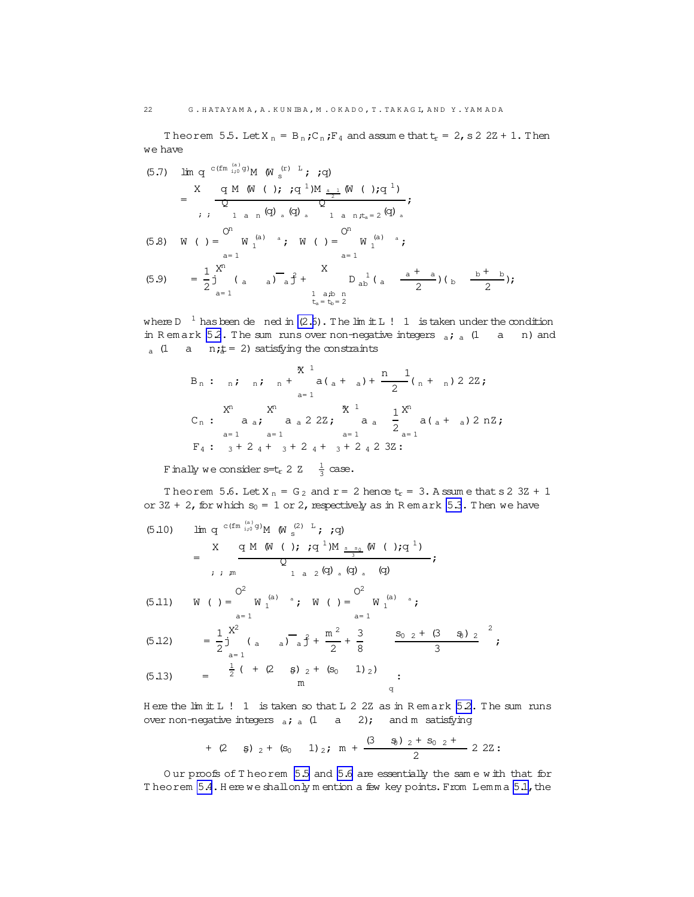Theorem 5.5. Let  $X_n = B_n$ ;  $C_n$ ;  $F_4$  and assume that  $t_r = 2$ , s 2 2Z + 1. Then we have

(5.7) 
$$
\lim_{x \to 0} q^{c(fm \frac{(a)}{10}g)} M \left(\text{W s}^{(r)}\right)^{T}; i q
$$
)  
\n
$$
= \frac{X}{Q} \frac{q M \left(\text{W (} \right); i q^{1}) M \frac{s}{2}}{Q}
$$
\n
$$
; i \quad 1 \text{ a } n \left(\text{Q}\right)_{a} \left(\text{Q}\right)_{a} \quad 1 \text{ a } n \left(t_{a} = 2 \left(\text{Q}\right)_{a}\right)
$$
\n(5.8)  $\text{W (} \right) = \text{W 1}^{(a)} \quad \text{if} \quad \text{W (} \right) = \text{W 1}^{(a)} \quad \text{if} \quad \text{and} \quad \text{if} \quad \text{if} \quad \text{if} \quad \text{if} \quad \text{if} \quad \text{if} \quad \text{if} \quad \text{if} \quad \text{if} \quad \text{if} \quad \text{if} \quad \text{if} \quad \text{if} \quad \text{if} \quad \text{if} \quad \text{if} \quad \text{if} \quad \text{if} \quad \text{if} \quad \text{if} \quad \text{if} \quad \text{if} \quad \text{if} \quad \text{if} \quad \text{if} \quad \text{if} \quad \text{if} \quad \text{if} \quad \text{if} \quad \text{if} \quad \text{if} \quad \text{if} \quad \text{if} \quad \text{if} \quad \text{if} \quad \text{if} \quad \text{if} \quad \text{if} \quad \text{if} \quad \text{if} \quad \text{if} \quad \text{if} \quad \text{if} \quad \text{if} \quad \text{if} \quad \text{if} \quad \text{if} \quad \text{if} \quad \text{if} \quad \text{if} \quad \text{if} \quad \text{if} \quad \text{if} \quad \text{if} \quad \text{if} \quad \text{if} \quad \text{if} \quad \text{if} \quad \text{if} \quad \text{if} \quad \text{if} \quad \text{if} \quad \text{if} \quad \text{if} \quad \text{if} \quad \text{if} \quad \text{if} \quad \text{if} \quad \text{if} \quad \text{if} \quad \text{if} \quad \text{if} \quad \$ 

1 a;b n<br> $t_a = t_b = 2$ where D  $^{-1}$  has been de ned in [\(2.6](#page-6-0)). The lim it L ! 1 is taken under the condition in R em ark [5.2](#page-18-0). The sum runs over non-negative integers  $\frac{1}{a}i$  a (1 a n) and

$$
B_{n}: \text{ n}; \text{ n}; \text{ n}^{+} \text{ a}(\text{a} + \text{a}) + \frac{n}{2}(\text{b} + \text{b})22Z;
$$
\n
$$
C_{n}: \text{ a}^{+} \text{ a}^{+} \text{ a}^{+} \text{ a}^{+} \text{ a}^{+} \text{ a}^{+} \text{ a}^{+} \text{ a}^{+} \text{ a}^{+} \text{ a}^{+} \text{ a}^{+} \text{ a}^{+} \text{ a}^{+} \text{ a}^{+} \text{ a}^{+} \text{ a}^{+} \text{ a}^{+} \text{ a}^{+} \text{ a}^{+} \text{ a}^{+} \text{ a}^{+} \text{ a}^{+} \text{ a}^{+} \text{ a}^{+} \text{ a}^{+} \text{ a}^{+} \text{ a}^{+} \text{ a}^{+} \text{ a}^{+} \text{ a}^{+} \text{ a}^{+} \text{ a}^{+} \text{ a}^{+} \text{ a}^{+} \text{ a}^{+} \text{ a}^{+} \text{ a}^{+} \text{ a}^{+} \text{ a}^{+} \text{ a}^{+} \text{ a}^{+} \text{ a}^{+} \text{ a}^{+} \text{ a}^{+} \text{ a}^{+} \text{ a}^{+} \text{ a}^{+} \text{ a}^{+} \text{ a}^{+} \text{ a}^{+} \text{ a}^{+} \text{ a}^{+} \text{ a}^{+} \text{ a}^{+} \text{ a}^{+} \text{ a}^{+} \text{ a}^{+} \text{ a}^{+} \text{ a}^{+} \text{ a}^{+} \text{ a}^{+} \text{ a}^{+} \text{ a}^{+} \text{ a}^{+} \text{ a}^{+} \text{ a}^{+} \text{ a}^{+} \text{ a}^{+} \text{ a}^{+} \text{ a}^{+} \text{ a}^{+} \text{ a}^{+} \text{ a}^{+} \text{ a}^{+} \text{ a}^{+} \text{ a}^{+} \text{ a}^{+} \text{ a}^{+} \text{ a}^{+} \text{ a}^{+} \text{ a}^{+} \text{ a}^{+} \text{ a}^{+} \text{ a}^{+} \text{ a}^{+} \text{ a}^{
$$

Finally we consider s=t<sub>r</sub> 2 Z  $\frac{1}{3}$  case.

a (1 a  $n; t = 2$ ) satisfying the constraints

Theorem 5.6. Let  $X_n = G_2$  and  $r = 2$  hence  $t_r = 3$ . A ssum e that s 2 3Z + 1 or  $3Z + 2$ , for which  $s_0 = 1$  or 2, respectively as in R em ark [5.3](#page-19-0). Then we have

lim q c(fm (a ) i;0 <sup>g</sup>)M (W (2) <sup>L</sup> (5.10) <sup>s</sup> ;;q) = X ; ; ;m q M (W ( );;q <sup>1</sup>)M <sup>s</sup> <sup>s</sup><sup>0</sup> 3 (W ( );q <sup>1</sup>) Q 1 a 2 (q) <sup>a</sup> (q)<sup>a</sup> (q) ; W ( )= 2 O a= 1 W (a) <sup>a</sup> <sup>1</sup> ; W ( )= 2 O a= 1 W (a) <sup>a</sup> (5.11) <sup>1</sup> ;

(5.12) 
$$
= \frac{1}{2} \int_{a=1}^{X^2} (a + a)^{-1} a \int_{a}^{b} + \frac{m^2}{2} + \frac{3}{8} \qquad \frac{S_0 \quad 2 + (3 \quad \textcircled{3}) \quad 2}{3};
$$

(5.13) 
$$
= \frac{1}{2}( + (2 \ 8)_{2} + (s_{0} \ 1)_{2}) \n m
$$

H ere the  $\text{lim } L$  ! 1 is taken so that L 2 2Z as in R em ark 52. The sum runs over non-negative integers  $_{a}$ ;  $_{a}$  (1 a 2); and m satisfying

+ (2 
$$
\binom{3}{2}
$$
 + (s<sub>0</sub> 1)  $\binom{2}{2}$  m +  $\frac{(3 \binom{3}{2}) \binom{2}{2} + 3 \binom{2}{2} + \binom{3}{2}}{2}$  22:

O ur proofs of T heorem [5.5](#page-20-0) and 5.6 are essentially the sam e w ith that for Theorem [5.4](#page-19-0). Here we shallonly m ention a few key points. From Lemma [5.1,](#page-18-0) the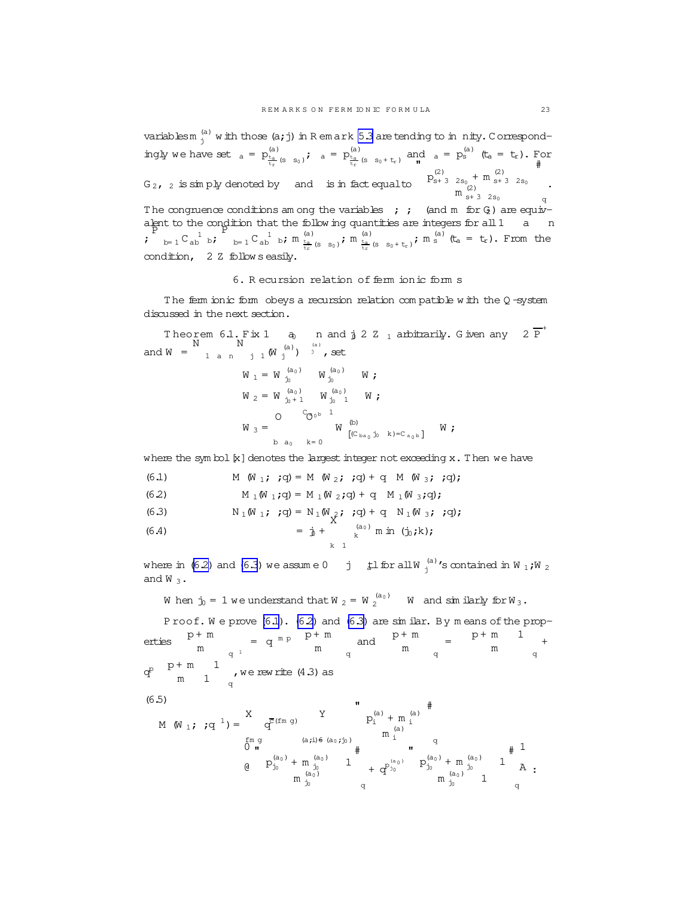<span id="page-22-0"></span>variablesm  $_{\rm j}^{\rm (a)}$  with those (a; j) in R em ark [5.3](#page-19-0) are tending to in nity. Correspondingly we have set  $_{a} = p_{\frac{1}{t_{\infty}}(s-s_{0})}^{(a)}$ ;  $_{a} = p_{\frac{1}{t_{\infty}}(s-s_{0}+t_{r})}^{(a)}$  and  $_{a} = p_{s}^{(a)}$  (t<sub>a</sub> = t<sub>r</sub>). For  $t_r$  (5 50)  $t_r$  $G_2$ ,  $_2$  is simply denoted by and is in fact equal to "  $p_{s+3}^{(2)}$   $_{2s_0}$  + m  $_{s+3}^{(2)}$   $_{2s_0}$  $m_{s+3-2s_0}^{(2)}$ # q . The congruence conditions am ong the variables ; ; (and m for  $G_2$ ) are equivalent to the condition that the follow ing quantities are integers for all 1 a n ; P  $_{\text{b}=1}$  C<sub>ab</sub>  $_{\text{b}}$ ; P  $_{\text{b=1}}$  C  $_{\text{ab}}$   $_{\text{b}}$ ;  $_{\text{m}}$   $_{\frac{\text{t}_a}{\text{t}_r}$  (s  $_{\text{s}_0}$ );  $_{\text{m}}$   $_{\frac{\text{t}_a}{\text{t}_r}}$  (s  $_{\text{s}_0+\text{t}_r}$ );  $_{\text{m}}$  s (t<sub>a</sub> = t<sub>r</sub>). From the condition, 2 Z follow s easily.

## 6. R ecursion relation of ferm ionic form s

The ferm ionic form obeys a recursion relation compatible with the  $Q$  -system discussed in the next section.

Theorem 6.1. Fix 1  $\qquad$  and  $j$  2  $\rm Z_{1}$  arbitrarily. Given any 2  $\overline{P}^{+}$ and  $W =$  $\bar{\rm N}$ 1 a n .<br>N  $j$  1  $(\text{W}^{(a)}_j)$  <sup>(a)</sup>, set

$$
W_1 = W_{j_0}^{(a_0)} W_{j_0}^{(a_0)} W;
$$
  
\n
$$
W_2 = W_{j_0+1}^{(a_0)} W_{j_0}^{(a_0)} W;
$$
  
\n
$$
W_3 = \begin{bmatrix} 0 & C_{0^{0b}} & 1 \\ 0 & W_{0^{0b}} & 0 \\ 0 & 0 & K-0 \end{bmatrix}
$$

where the sym bol  $[x]$  denotes the largest integer not exceeding  $x$ . Then we have

(6.1) 
$$
M(W_1; q) = M(W_2; q) + q M(W_3; q);
$$

(6.2) 
$$
M_{1}(W_{1};q) = M_{1}(W_{2};q) + q M_{1}(W_{3};q);
$$

(6.3) 
$$
N_1(W_1; q) = N_1(W_2; q) + q N_1(W_3; q);
$$

(6.4) 
$$
= \mathbf{j} + \begin{pmatrix} a_0 \\ k \end{pmatrix} \text{ min } (\mathbf{j}_0; \mathbf{k});
$$

where in (6.2) and (6.3) we assume  $0$   $\quad$  j  $\quad$   $\sharp$ l for all W  $_{\rm j}^{(\rm a)}$  's contained in W  $_{\rm 1}$  ;W  $_{\rm 2}$ and  $W_3$ .

When  $\mathbf{j}_0 = 1$  we understand that W  $_2 = W_2^{(a_0)}$  W and similarly for W  $_3$  .

Proof. We prove (6.1). (6.2) and (6.3) are 
$$
\sin \theta
$$
. By  $m = \cos \theta$  the properties  $p + m$  and  $p + m$  is  $p + m$  and  $p + m$  is  $p + m$  and  $p + m$  is  $p + m$  and  $p + m$  is  $p + m$  and  $p + m$  is  $p + m$  and  $p + m$  is  $p + m$  and  $p + m$  is  $p + m$  and  $p + m$  is  $p + m$  and  $p + m$  is  $p + m$  and  $p + m$  is  $p + m$  and  $p + m$  is  $p + m$  and  $p + m$  is  $p + m$  and  $p + m$  is  $p + m$  and  $p + m$  is  $p + m$  and  $p + m$  is  $p + m$  and  $p + m$  is  $p + m$  and  $p + m$  is  $p + m$  and  $p + m$  is  $p + m$  and  $p + m$  is  $p + m$  and  $p + m$  is  $p + m$  and  $p + m$  is  $p + m$  and  $p + m$  is  $p + m$  and  $p + m$  is  $p + m$  and  $p + m$  is  $p + m$  and  $p + m$  is  $p + m$  and  $p + m$  is  $p + m$  and  $p + m$  is  $p + m$  and  $p + m$  is  $p + m$  and  $p + m$  is  $p + m$  and  $p + m$  is  $p + m$  and  $p + m$  is  $p + m$  and  $p + m$  is  $p + m$  and  $p + m$  is  $p + m$  and  $p + m$  is  $p + m$  and  $p + m$  is  $p + m$  and  $p + m$  is  $p + m$  and  $p + m$  is  $p + m$  and  $p + m$  is  $p + m$  and  $p + m$  is  $p + m$  and  $p + m$  is <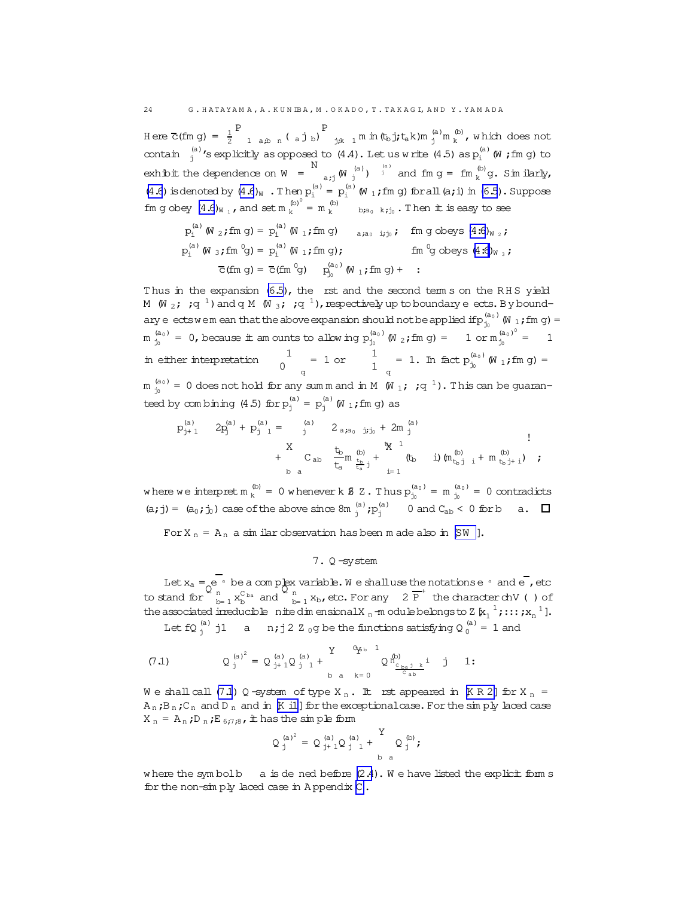<span id="page-23-0"></span>H ere  $\overline{c}$ (fm g) =  $\frac{1}{2}$ P  $_{1 \text{ a,b} \text{ n}}$  (ajb) P  $j; k$  1 m in  $(t_b j; t_a k)$ m  $\binom{a}{j}$ m  $\binom{b}{k}$  $k^{(D)}$ , which does not contain  $\int_{j}^{(a)}$  's explicitly as opposed to  $(4.4)$ . Let us w rite  $(4.5)$  as  $p_i^{(a)}$  (W ; fm g) to exhibit the dependence on  $W =$ N  $\sigma_{a,j}$  (W  $j^{(a)}$ )  $j^{(a)}$  and fm  $g =$  fm  $_k^{(b)}$  $k^{(D)}$ g. Similarly, [\(4.6](#page-14-0)) is denoted by  $(4.6)_W$ . Then  $p_i^{(a)} = p_i^{(a)}$  (W<sub>1</sub>; fm g) for all (a; i) in [\(6.5\)](#page-22-0). Suppose fm g obey  $(4.6)_{W_1}$ , and set m  $_k^{(b)}$  $\binom{b}{k}^{\binom{b}{k}}$  = m  $\binom{b}{k}$  b;a<sub>0</sub> k;j<sub>0</sub>. Then it is easy to see

$$
p_i^{(a)} \text{ (W } _2; fm \text{ g)} = p_i^{(a)} \text{ (W } _1; fm \text{ g)} \quad \text{a}_{i a_0 i j_0 j} \text{ (m } g \text{ obeys (4.6)} \text{ W } _2; \text{)}
$$
\n
$$
p_i^{(a)} \text{ (W } _3; fm \text{ ^0g)} = p_i^{(a)} \text{ (W } _1; fm \text{ g)}; \quad \text{ fm } ^0g \text{ obeys (4.6)} \text{ W } _3; \text{ }
$$
\n
$$
\overline{C} \text{ (fm } g) = \overline{C} \text{ (fm } ^0g) \quad p_i^{(a_0)} \text{ (W } _1; fm \text{ g)} + \text{ : }
$$

Thus in the expansion  $(6.5)$ , the rst and the second term s on the RHS yield M (W <sub>2</sub>; ;q<sup>1</sup>) and q M (W <sub>3</sub>; ;q<sup>1</sup>), respectively up to boundary eects. By boundary e ectswem ean that the above expansion should not be applied if  $p_{j_0}^{(a_0)}$  (W  $_1$  ; fm g) =  $m_{j_0}^{(a_0)} = 0$ , because it am ounts to allow ing  $p_{j_0}^{(a_0)}$  (W  $_2$ ; fm g) = 1 or  $m_{j_0}^{(a_0)^0}$  $j_0$  = 1 in either interpretation  $\frac{1}{2}$  $0$ q  $= 1 \text{ or } 1$  $\frac{1}{1}$  = 1. In fact  $p_{j_0}^{(a_0)}$  $\int_{j_0}^{(a_0)} W_1$ ; fm g) =  $m_{j_0}^{(a_0)} = 0$  does not hold for any summand in M  $(W_{1};q^{-1})$ . This can be guaranteed by combining (4.5) for  $p_j^{(a)} = p_j^{(a)}$  (W 1; fm g) as

p (a) <sup>j</sup>+ 1 2p (a) <sup>j</sup> + p (a) <sup>j</sup> <sup>1</sup> = (a) <sup>j</sup> 2a;a<sup>0</sup> j;j<sup>0</sup> + 2m (a) j + X b a Cab tb ta m (b) tb ta j + <sup>t</sup><sup>b</sup> <sup>1</sup> X i= 1 (t<sup>b</sup> i)(m (b) <sup>t</sup>b<sup>j</sup> <sup>i</sup> + m (b) <sup>t</sup>bj<sup>+</sup> <sup>i</sup>) ! ;

where we interpret  $m_k^{(b)}$ (b) = 0 w henever k **8** Z. Thus  $p_{j_0}^{(a_0)} = m_{j_0}^{(a_0)} = 0$  contradicts (a; j) =  $(a_0; j_0)$  case of the above since  $8m_j^{(a)}$ ;  $p_j^{(a)}$  0 and  $C_{ab}$  < 0 for b a.

For  $X_n = A_n$  a sim ilar observation has been m ade also in [[SW](#page-47-0) ].

# 7. Q -system

Let  $x_a = e^a$  be a complex variable. We shall use the notationse  $a$  and e , etc  $\frac{1}{2}$  to stand for  $\frac{1}{2}$  h  $\sum_{b=1}^{n} x_b^{C_{ba}}$  and  $\sum_{b}^{n}$  $\frac{n}{b=1}$  **x**<sub>b</sub>, etc. For any 2  $\overline{P}^+$  the character chV ( ) of the associated irreducible nite dim ensionalX  $_n$  -m odule belongs to Z  $\kappa_1^{-1}$ ;:::; $x_n^{-1}$ ].

Let fQ  $_{\rm j}^{\rm (a)}$  j1 a n;j2 Z  $_{\rm 0}$ g be the functions satisfying Q  $_{\rm 0}^{\rm (a)}$  = 1 and

$$
(7.1) \tQ^{(a)^2}_{j} = Q^{(a)}_{j+1}Q^{(a)}_{j-1} + \tY^{Q^{a_{b}-1}}_{b-a-k=0}Q^{n^{(b)}_{C_{ba}j-k}}_{C_{ab}i} \tj 1:
$$

We shall call (7.1) Q -system of type  $X_n$ . It rst appeared in  $[K R 2]$  $[K R 2]$  $[K R 2]$  for  $X_n$  =  $A_n$ ; $B_n$ ; $C_n$  and  $D_n$  and in [[K i1](#page-47-0)] for the exceptional case. For the simply laced case  $X_n = A_n$ ;  $D_n$ ;  $E_{6:7:8}$ ,  $\pm$  has the sim ple form

$$
Q_j^{(a)^2} = Q_{j+1}^{(a)} Q_{j-1}^{(a)} + \sum_{b=a}^{Y} Q_j^{(b)};
$$

where the symbolb a is dened before  $(2.4)$ . We have listed the explicit form s for the non-sim ply laced case in A ppendix [C](#page-45-0) .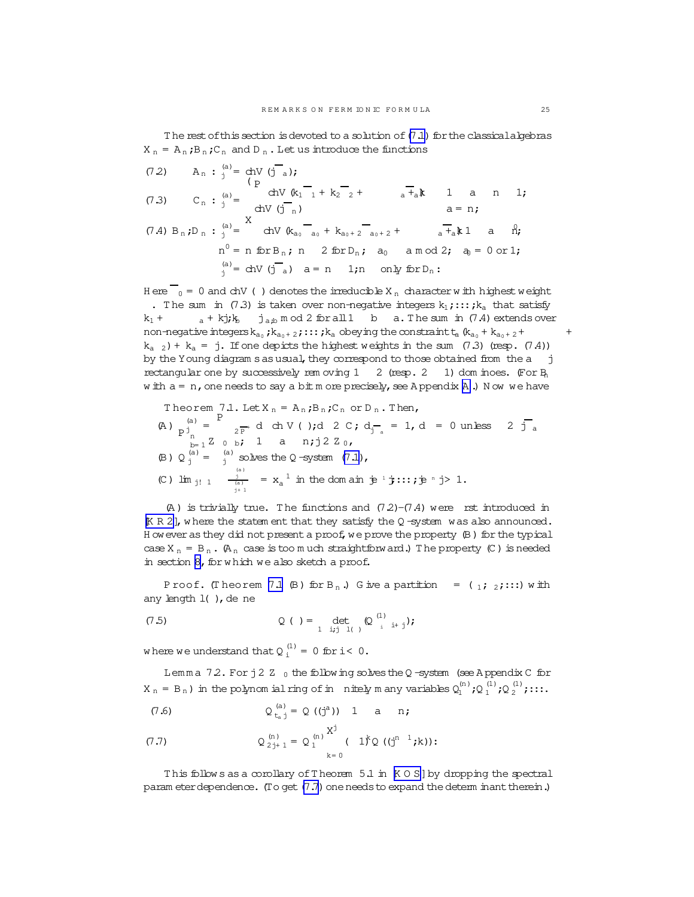<span id="page-24-0"></span>The rest of this section is devoted to a solution of  $(7.1)$  for the classical algebras  $X_n = A_n$ ; $B_n$ ; $C_n$  and  $D_n$ . Let us introduce the functions

(7.2) 
$$
A_n : j^{(a)} = chV (j^{-}_{a})
$$
;  
\n(7.3)  $C_n : j^{(a)} = chV (k_1^{-}_{11} + k_2^{-}_{22} + a^{+}_{a}k)$  1 a n 1;  
\n(7.4)  $B_n : D_n : j^{(a)} = chV (k_{a_0}^{-}_{a_0} + k_{a_0+2}^{-}_{a_0+2} + a^{+}_{a}k)$  1 a n;  
\n(7.4)  $B_n : D_n : j^{(a)} = chV (k_{a_0}^{-}_{a_0} + k_{a_0+2}^{-}_{a_0+2} + a^{+}_{a}k)$  1 a n;  
\n(7.4)  $B_n : D_n : j^{(a)} = chV (j^{-}_{a})$  2 for D<sub>n</sub>;  
\n(8)  $a = n$  1; n only for D<sub>n</sub>:

H ere  $\overline{0} = 0$  and chV () denotes the irreducible X<sub>n</sub> character w ith highest weight . The sum in (7.3) is taken over non-negative integers  $k_1$ ;::; $k_a$  that satisfy  $k_1$  +  $a + kj$ ; $k_b$   $j_{a,b}$  m od 2 for all 1 b a. The sum in (7.4) extends over non-negative integers  $k_{a_0}$ ;  $k_{a_0 + 2}$ ;:::;  $k_a$  obeying the constraint  $t_a$   $(k_{a_0} + k_{a_0 + 2} + +$  $k_{a}$   $_2$ ) +  $k_{a}$  = j. If one depicts the highest weights in the sum (7.3) (resp. (7.4)) by the Young diagram sasusual, they correspond to those obtained from the a j rectangular one by successively rem oving  $1 \quad 2$  (resp.  $2 \quad 1$ ) dom inoes. (For B<sub>n</sub> w ith  $a = n$ , one needs to say a bit m ore precisely, see [A](#page-33-0) ppendix A.) Now we have

Theorem 7.1. Let  $X_n = A_n$ ; $B_n$ ; $C_n$  or  $D_n$ . Then,

(A) 
$$
p_{\text{J}_{n}}^{(a)} = \sum_{\substack{p=1 \ p \text{ odd}}}^{P} f(p_{\text{J}} \text{ch } V(r)) \text{ch } 2 \text{ C}; d_{\text{J}_{n}} = 1, d = 0 \text{ unless } 2 \text{ J}_{a}
$$
  
\n(B)  $Q_{\text{J}}^{(a)} = \int_{\text{J}_{n}}^{(a)} g(p_{\text{J}}) \text{d} p_{\text{J}}^{(a)} = x_{a}^{1}$  in the domain  $\dot{p}^{1} \dot{y} \text{th}; \dot{p}^{n} \dot{y} > 1$ .

 $(A)$  is trivially true. The functions and  $(7.2)$ - $(7.4)$  were rst introduced in  $K R 2$ , where the statem ent that they satisfy the Q -system was also announced. H ow ever as they did not present a proof, we prove the property (B) for the typical case X  $_n$  = B  $_n$ . (A  $_n$  case is too m uch straightforward.) The property (C) is needed in section [8,](#page-27-0) for w hich we also sketch a proof.

P roof. (Theorem 7.1  $(B)$  for B<sub>n</sub>.) G ive a partition =  $(1,2);:::$  with any length  $l$  ( ), de ne

(7.5) 
$$
Q( ) = \det_{\text{1 } i j j l} ( Q^{(1)}_{i} {}_{i+j} )
$$
;

where we understand that  $Q_i^{(1)} = 0$  for i< 0.

Lemma 72. For  $j2$  Z  $_0$  the following solves the Q -system (see A ppendix C for  $X_n = B_n$  ) in the polynom ial ring of in nitely many variables  $Q_1^{(n)}$  ; Q  $_1^{(1)}$  ; Q  $_2^{(1)}$  ; :::.

 $\ddot{x}$ 

(7.6) 
$$
Q_{t_a j}^{(a)} = Q((j^a)) 1 a n;
$$

(7.7) 
$$
Q_{2j+1}^{(n)} = Q_1^{(n)} \xrightarrow[k=0]{}^{X^j}
$$
 (  $1^k Q \tbinom{n-1}{j} k$ 

This follows as a corollary of Theorem  $5.1$  in  $K \circ S$  by dropping the spectral param eter dependence. (To get (7.7) one needs to expand the determ inant therein.)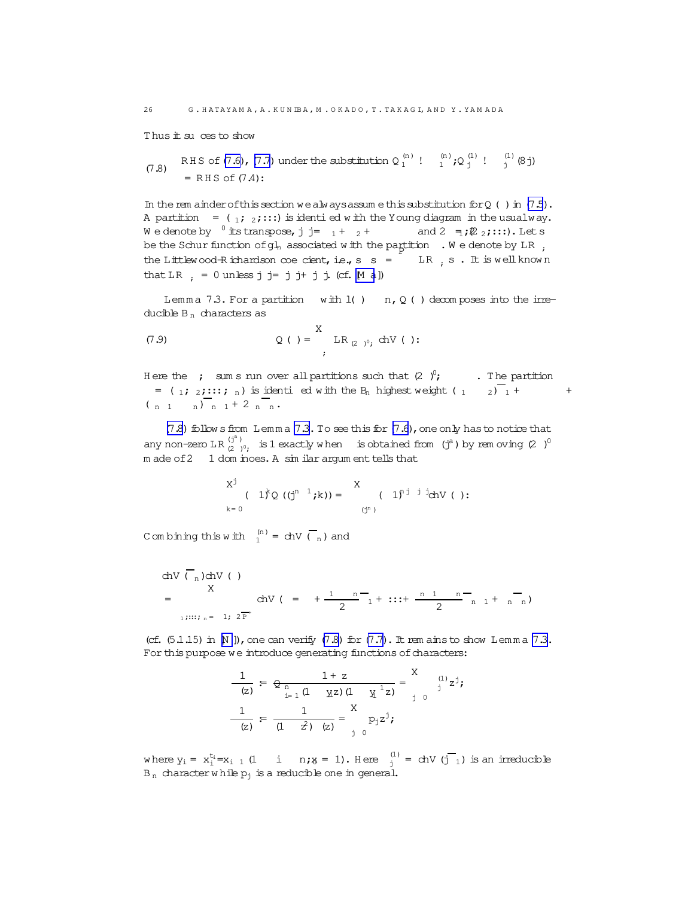<span id="page-25-0"></span>Thus it su ces to show

(7.8) RHS of (7.6), (7.7) under the substitution 
$$
Q_1^{(n)}
$$
!  $\begin{array}{ccc} & \text{(n)} & \text{(2)} & \text{(3)} \\ & & \text{(4)} & \text{(5)} \\ & & = \text{RHS of (7.4)} \end{array}$ 

In the rem ainder of this section we always assume this substitution for  $Q( )$  in  $(7.5)$ . A partition =  $(1; 2; \ldots)$  is identi ed with the Young diagram in the usual way. We denote by  $0$  its transpose, j j=  $1 + 2 +$ and  $2 \frac{1}{2}$  ;  $\mathbb{Z}_2$  ; :::). Let s be the Schur function of  $gl_n$  associated with the partition  $\,$  . We denote by LR  $\,$  , the Littlew ood-Richardson coe cient, i.e.,  $s =$  LR, s. It is well known that LR  $: = 0$  unless  $j j = j j + j j$ . (cf. M a])

Lemma 7.3. For a partition with  $l( )$  n,  $Q( )$  decomposes into the irreducible  $B_n$  characters as

(7.9) 
$$
Q( ) = \n\begin{cases} \nX & \text{LR}_{(2)}^{\circ} \text{ chV} \n\end{cases}
$$

Here the ; sum s run over all partitions such that  $(2 \tcdot)^0$ ; . The partition =  $\binom{1}{1}$  2;:::; n) is identi ed with the B<sub>n</sub> highest weight  $\binom{1}{1}$  2)  $\binom{1}{1}$  +  $+$  $\binom{n}{1}$   $\binom{n}{n}$   $\binom{n}{1}$  + 2  $\binom{n}{n}$ 

(7.8) follows from Lemma 7.3. To see this for (7.6), one only has to notice that any non-zero LR  $\binom{3^a}{2^b}$ , is 1 exactly when is obtained from  $\binom{3^a}{1^a}$  by rem oving  $(2^a)^0$ m ade of 2 1 dom inoes. A sim ilar argum ent tells that

$$
X^{j} (1)^{k} Q ((j^{n-1}; k)) = \n\begin{array}{c}\nX \\
\left(1\right)^{n j} \n\end{array} (1)^{n^{j}} \n\text{ch}V (1):
$$

C om bining this with  $\binom{n}{1}$  = chV  $\binom{n}{n}$  and

chV 
$$
\binom{n}{n}
$$
chV  $\binom{n}{n}$   
=  $\binom{X}{1}$ chV  $\binom{n}{1}$   $\binom{n}{2}$   $\binom{n}{1}$   $\binom{n}{2}$   $\binom{n}{1}$   $\binom{n}{1}$   $\binom{n}{1}$   $\binom{n}{1}$   $\binom{n}{1}$   $\binom{n}{1}$   $\binom{n}{1}$ 

(cf.  $(5.1.15)$  in N ]), one can verify  $(7.8)$  for  $(7.7)$ . It rem ains to show Lemma 7.3. For this purpose we introduce generating functions of characters:

$$
\frac{1}{(z)} = \frac{1 + z}{\frac{n}{z - 1} (1 - x^2)(1 - x^2)} = \frac{x}{\frac{1}{z - 0}} \quad \frac{1}{(1 - z^2)(1 - x^2)} = \frac{x}{\frac{1}{z - 0}} = \frac{1}{\frac{1}{z - 0}} = \frac{1}{\frac{1}{z - 0}} = \frac{1}{\frac{1}{z - 0}} = \frac{1}{\frac{1}{z - 0}} = \frac{1}{\frac{1}{z - 0}} = \frac{1}{\frac{1}{z - 0}} = \frac{1}{\frac{1}{z - 0}} = \frac{1}{\frac{1}{z - 0}} = \frac{1}{\frac{1}{z - 0}} = \frac{1}{\frac{1}{z - 0}} = \frac{1}{\frac{1}{z - 0}} = \frac{1}{\frac{1}{z - 0}} = \frac{1}{\frac{1}{z - 0}} = \frac{1}{\frac{1}{z - 0}} = \frac{1}{\frac{1}{z - 0}} = \frac{1}{\frac{1}{z - 0}} = \frac{1}{\frac{1}{z - 0}} = \frac{1}{\frac{1}{z - 0}} = \frac{1}{\frac{1}{z - 0}} = \frac{1}{\frac{1}{z - 0}} = \frac{1}{\frac{1}{z - 0}} = \frac{1}{\frac{1}{z - 0}} = \frac{1}{\frac{1}{z - 0}} = \frac{1}{\frac{1}{z - 0}} = \frac{1}{\frac{1}{z - 0}} = \frac{1}{\frac{1}{z - 0}} = \frac{1}{\frac{1}{z - 0}} = \frac{1}{\frac{1}{z - 0}} = \frac{1}{\frac{1}{z - 0}} = \frac{1}{\frac{1}{z - 0}} = \frac{1}{\frac{1}{z - 0}} = \frac{1}{\frac{1}{z - 0}} = \frac{1}{\frac{1}{z - 0}} = \frac{1}{\frac{1}{z - 0}} = \frac{1}{\frac{1}{z - 0}} = \frac{1}{\frac{1}{z - 0}} = \frac{1}{\frac{1}{z - 0}} = \frac{1}{\frac{1}{z - 0}} = \frac{1}{\frac{1}{z - 0}} = \frac{1}{\frac{1}{z - 0}} = \frac{1}{\frac{1}{z - 0}} = \frac{1}{\frac{1}{z - 0}}
$$

where  $y_i = x_1^{t_i} = x_{i-1} (1 \quad i \quad n_i y_i = 1)$ . Here  $\frac{1}{i} = \text{chV}(\overline{1})$  is an irreducible  $B_n$  character while  $p_j$  is a reducible one in general.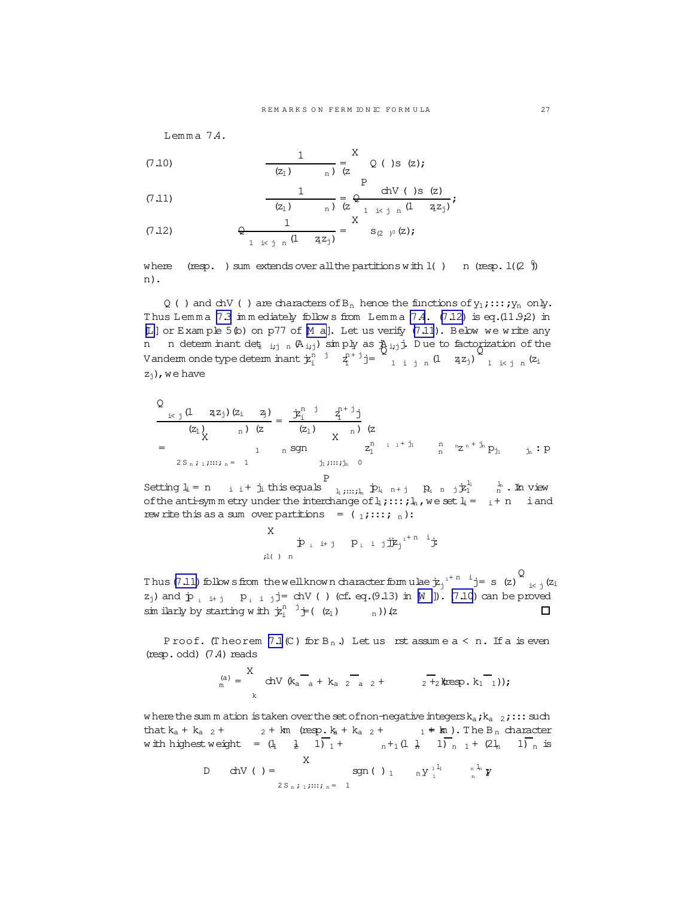Lemma  $7.4.$ 

(7.10) 
$$
\frac{1}{(z_1)} = \sum_{n=1}^{X} Q(\zeta) s(z);
$$

(7.11) 
$$
\frac{1}{(z_1)_{n}} = \frac{1}{z_{n}^{1} + (z_{n}^{1})_{n}} = \frac{1}{(z_{n}^{1} + (z_{n}^{1})_{n})^{2}};
$$

(7.12) 
$$
\frac{1}{2 \pm i \ln (1 - 2z_i)} = \sum_{z = 2i}^{x} s_{(2-i)^0}(z);
$$

where (resp. ) sum extends over all the partitions with  $l($  )  $n$  (resp.  $l(2 \n})$ n).

Q ( ) and chV ( ) are characters of  $B_n$  hence the functions of  $y_1$ ;:::; $y_n$  only. Thus Lemma [7.3](#page-25-0) immediately follows from Lemma [7.4](#page-25-0).  $(7.12)$  is eq.(11.9;2) in [[L](#page-47-0)]or Exam ple 5(b) on p77 of [[M a](#page-47-0)]. Let us verify (7.11). Below we w rite any n n determ inant det<sub>ijn</sub> (A<sub>ij</sub>) simply as  $\lambda_{ij}$ j. Due to factorization of the Vanderm onde type determ inant  $\dot{\mathcal{F}}_i^{n-j}$   $\bar{q}_i^{n+j}$  j= Q 1 i j n  $(1 \t z_1)$ Q 1 i< j n  $(z_i)$  $z_i$ ), we have

$$
\frac{Q}{(z_1)} \frac{(1 - z_1)(z_1 - z_1)}{(z_1)(z_1 - z_1)} = \frac{z_1^{n-1} - z_1^{n+1} - z_1^{n+1} - z_1^{n+1} - z_1^{n+1} - z_1^{n+1} - z_1^{n+1} - z_1^{n+1} - z_1^{n+1} - z_1^{n+1} - z_1^{n+1} - z_1^{n+1} - z_1^{n+1} - z_1^{n+1} - z_1^{n+1} - z_1^{n+1} - z_1^{n+1} - z_1^{n+1} - z_1^{n+1} - z_1^{n+1} - z_1^{n+1} - z_1^{n+1} - z_1^{n+1} - z_1^{n+1} - z_1^{n+1} - z_1^{n+1} - z_1^{n+1} - z_1^{n+1} - z_1^{n+1} - z_1^{n+1} - z_1^{n+1} - z_1^{n+1} - z_1^{n+1} - z_1^{n+1} - z_1^{n+1} - z_1^{n+1} - z_1^{n+1} - z_1^{n+1} - z_1^{n+1} - z_1^{n+1} - z_1^{n+1} - z_1^{n+1} - z_1^{n+1} - z_1^{n+1} - z_1^{n+1} - z_1^{n+1} - z_1^{n+1} - z_1^{n+1} - z_1^{n+1} - z_1^{n+1} - z_1^{n+1} - z_1^{n+1} - z_1^{n+1} - z_1^{n+1} - z_1^{n+1} - z_1^{n+1} - z_1^{n+1} - z_1^{n+1} - z_1^{n+1} - z_1^{n+1} - z_1^{n+1} - z_1^{n+1} - z_1^{n+1} - z_1^{n+1} - z_1^{n+1} - z_1^{n+1} - z_1^{n+1} - z_1^{n+1} - z_1^{n+1} - z_1^{n+1} - z_1^{n+1} - z_1^{n+1} - z_1^{n+1} - z_1^{n+1} - z_1^{n+1} - z_1^{n+1} - z_1^{n+1} - z_1^{n+1} - z_1^{n+1} - z_1^{n
$$

Setting  $l_i = n$  i + j<sub>i</sub> this equals P  $\mathbf{p}_1, \ldots, \mathbf{p}_n$   $\mathbf{p}_1$   $\mathbf{n} + \mathbf{j}$   $\mathbf{p}_1$   $\mathbf{n}$   $\mathbf{j} + \mathbf{j}$   $\mathbf{k}_1$   $\mathbf{n}$   $\mathbf{n}$   $\mathbf{n}$   $\mathbf{n}$   $\mathbf{n}$   $\mathbf{n}$ of the anti-sym m etry under the interchange of  $l_1$ ;:::;  $l_n$ , we set  $l_i = i+n$  i and rew rite this as a sum over partitions =  $(1;::::;n)$ :

$$
\begin{array}{ccc}\nX & & & \\
\dot{\mathbf{P}}_{i} & \text{if} & \mathbf{P}_{i} & \text{if} & \mathbf{j}\dot{\mathbf{E}}_{j}^{i+n-1}\dot{\mathbf{j}} \\
\text{if} & & \text{if} & \mathbf{P}_{i}^{i} \\
\end{array}
$$

Q Thus (7.11) follow sfrom the well known character formulae  $\dot{\text{z}}_j$ <sup> $i+n-i$ </sup> j= s (z)  $i< j$  ( $z_i$  $z_j$ ) and  $\dot{p}_i$   $i+j$   $p_i$   $i$   $j=$  chV ( ) (cf. eq.(9.13) in [[W](#page-47-0) ]). (7.10) can be proved sim ilarly by starting with  $\dot{\mathcal{F}}_i^{n-j} \dot{\mathcal{F}}(z_1)$   $\ldots$  n)) (z П

P roof. (Theorem  $7.1$  (C) for B<sub>n</sub>.) Let us rst assume  $a < n$ . If a is even  $(resp.odd)$   $(7.4) reads$ 

$$
P_{m}^{(a)} = \sum_{k}^{X} chV (k_{a} - {}_{a} + k_{a} - {}_{2} - {}_{a} - {}_{2} + {}_{2} - {}_{2} + {}_{2}kresp. k_{1} - {}_{1}));
$$

w here the sum m ation is taken over the set of non-negative integers  $k_a$ ; $k_a$  2;::: such that  $k_a + k_{a}$   $_2 +$   $_2 + km$  (resp.  $k_a + k_{a}$   $_2 +$   $_1 + km$ ). The B<sub>n</sub> character w ith highest weight =  $(l_1 \quad \frac{1}{2} \quad 1)_{1} + \cdots +_1 (l_1 \quad \frac{1}{n} \quad 1)_{n} + (2l_n \quad 1)_{n}$  is  $\overline{\mathbf{v}}$ 

D 
$$
dN
$$
 ( ) =  $\text{sgn}( )_1$   $_n Y_1^{11}$   $^{n1}N$   $Y_2^{n}$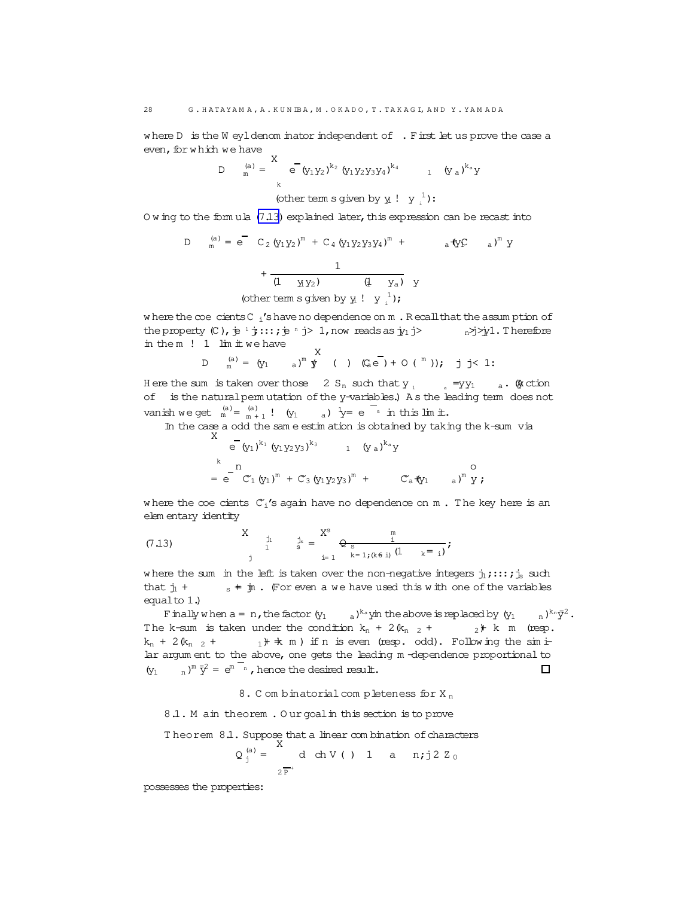<span id="page-27-0"></span>where D is the W eyl denom inator independent of . First let us prove the case a even, for which we have

D 
$$
_{m}^{(a)} = \begin{cases} 8 & - (y_1 y_2)^{k_2} (y_1 y_2 y_3 y_4)^{k_4} \\ k & 1 (y_a)^{k_a} y_4 \end{cases}
$$
  
\n(bther term s given by  $y_i : y_i^1$ :

Owing to the formula (7.13) explained later, this expression can be recast into

D 
$$
{}_{m}^{(a)} = e^{-} C_{2} (y_{1}y_{2})^{m} + C_{4} (y_{1}y_{2}y_{3}y_{4})^{m} + a^{4}y^{c} a)^{m} y + \frac{1}{(1 + y_{1}y_{2})} (1 + y_{a}) y
$$
\n(other term s given by y  $1 y_{1}^{1}$ );

where the coe cients C  $_i$ 's have no dependence on  $m$ . Recall that the assumption of the property  $(C)$ ,  $\neq$   $\frac{1}{2}$ :::;  $\neq$   $\frac{1}{2}$  ) 1, now reads as  $\frac{1}{2}$   $\Rightarrow$   $\frac{1}{2}$   $\Rightarrow$   $\frac{1}{2}$   $\Rightarrow$   $\frac{1}{2}$   $\Rightarrow$   $\frac{1}{2}$   $\Rightarrow$   $\frac{1}{2}$   $\Rightarrow$   $\frac{1}{2}$ in them  $! 1$   $\lim$   $\lim$   $\lim$  we have  $\vee$ 

D 
$$
_{m}^{(a)} = (y_{1} \t a)^{m} \oint_{a}^{m} (1) (Q_{a}e^{m}) + O(m))
$$
; j  $i < 1$ :

Here the sum is taken over those  $2 S_n$  such that  $y_n$  $_{a}$  =yy<sub>1</sub>  $_{a}$ . @ ction of is the natural permutation of the y-variables.) As the leading term does not vanish we get  $\binom{a}{m} = \binom{a}{m+1}$ !  $(y_1 \qquad a) \quad y = e^{-a}$  in this lim it.

In the case a odd the sam e estimation is obtained by taking the k-sum via

$$
\begin{array}{cccc}\n & e^{-}(y_1)^{k_1} (y_1 y_2 y_3)^{k_3} & 1 & (y_a)^{k_a} y \\
 & \downarrow & \\
 & = & e^{-} C_1 (y_1)^m + C_3 (y_1 y_2 y_3)^m + C_a(y_1 - a)^m y; \n\end{array}
$$

where the coe cients  $C_i$ 's again have no dependence on m. The key here is an elem entary identity

(7.13) 
$$
\begin{array}{ccc} X & \text{in} & X^s & \text{in} \\ 1 & \text{in} & \text{in} \\ 1 & \text{in} & \text{in} \\ 1 & \text{in} & \text{in} \end{array} \bigoplus_{i=1}^{N^s} \frac{\text{in}}{k-1, (k \in \text{in})} (1 - k = i) \bigoplus_{i=1}^{N^s} k
$$

where the sum in the left is taken over the non-negative integers  $j_1$ ;::;;  $j_s$  such  $s \neq \text{in}$ . (For even a we have used this with one of the variables that  $j_1$  + equal to  $1$ .)

 $_{\rm a}$  )<sup>k</sup>a yin the above is replaced by  $\,_{1}$ F inally when  $a = n$ , the factor  $(y_1$  $n)^{k_n} \bar{y}^2$ . The k-sum is taken under the condition  $k_n + 2(k_{n-2} +$  $2$ <sup>+</sup> k m (resp.  $_1$  +  $\pm$  m ) if n is even (resp. odd). Following the simi $k_n$  + 2  $(k_{n}$  <sub>2</sub> + lar argum ent to the above, one gets the leading m -dependence proportional to  $\lim_{n} \overline{y}^2 = e^{m}$   $\lim_{n}$ , hence the desired result.  $(y_1$  $\Box$ 

8. Combinatorial completeness for  $X_n$ 

8.1. M ain theorem. Our goal in this section is to prove

Theorem 8.1. Suppose that a linear combination of characters

$$
Q_j^{(a)} = \begin{cases} 1 & \text{if } a \in \mathbb{R}^n \\ 2^{\frac{1}{p}} & \text{if } a \in \mathbb{R}^n \end{cases}
$$

possesses the properties: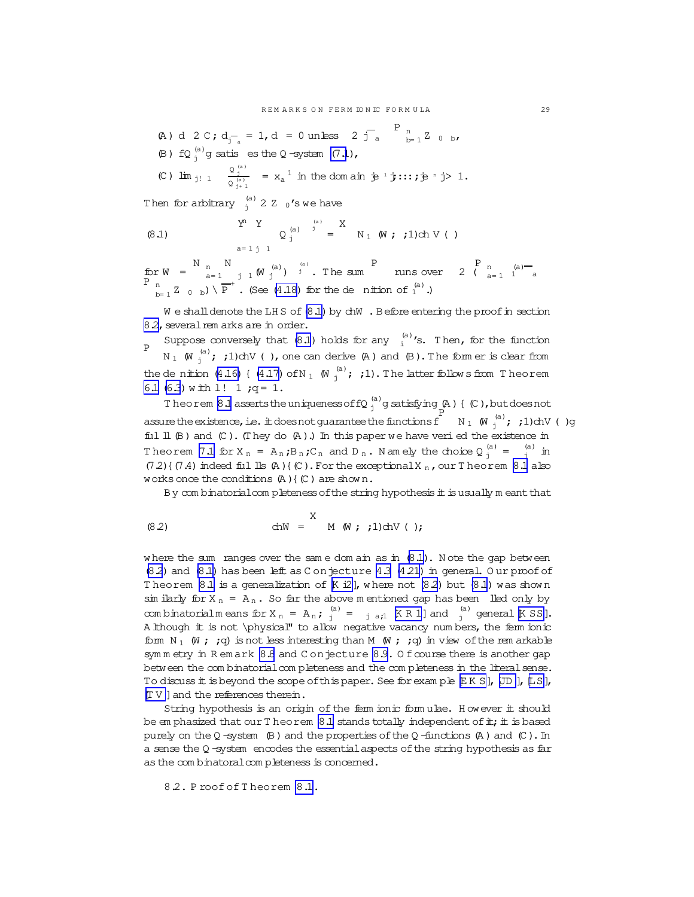<span id="page-28-0"></span>(A) d 2 C; 
$$
d_{j_a} = 1
$$
, d = 0 unless 2  $j_a$ <sup>1</sup> n<sub>b=1</sub> Z 0 b,  
\n(B) fQ  $\int_{j}^{(a)} g$  satisfy the Q-system (7.1),  
\n(C)  $\lim_{j! 1} \frac{Q_{j+1}^{(a)}}{Q_{j+1}^{(a)}} = x_a^{-1}$  in the dom air  $\dot{p}^{-1} \dot{y}...$ ;  $\dot{p}^{-n} \dot{y} > 1$ .  
\nThen for arbitrary  $\int_{j}^{(a)} 2 Z_0$ 's we have  
\n
$$
\begin{array}{ccc}\n\text{Y} & \text{Y} & \text{Y} \\
\end{array}
$$
\n
$$
\begin{array}{ccc}\n\text{(a)} & \text{X} \\
\end{array}
$$
\n
$$
\begin{array}{ccc}\n\text{(b)} & \text{Y} & \text{Y} \\
\end{array}
$$
\n
$$
\begin{array}{ccc}\n\text{(c)} & \text{Y} & \text{Y} \\
\end{array}
$$
\n
$$
\begin{array}{ccc}\n\text{(d)} & \text{Y} & \text{Y} \\
\end{array}
$$
\n
$$
\begin{array}{ccc}\n\text{(e)} & \text{Y} & \text{Y} \\
\end{array}
$$
\n
$$
\begin{array}{ccc}\n\text{(f)} & \text{Y} & \text{Y} \\
\end{array}
$$
\n
$$
\begin{array}{ccc}\n\text{(g)} & \text{Y} & \text{Y} \\
\end{array}
$$
\n
$$
\begin{array}{ccc}\n\text{(h)} & \text{Y} & \text{Y} \\
\end{array}
$$

 $a=1 j 1$ 

for  $W = \begin{pmatrix} N & N \\ n-1 & j & N \end{pmatrix}$  (a)  $\begin{pmatrix} a \\ n \end{pmatrix}$  a) The sum P muns over 2  $\begin{pmatrix} P & n \\ n-1 & 1 \end{pmatrix}$  a)  $\frac{n}{k-1}Z_{0b}$  b)  $\sqrt{P}^+$ . (See (4.18) for the dention of  $\frac{1}{1}$ .)

We shall denote the LHS of (8.1) by chW . Before entering the proof in section 82, several rem arks are in order.

Suppose conversely that (8.1) holds for any  $\binom{a}{i}$ 's. Then, for the function  $\overline{D}$  $N_1$  ( $\mathbb{N}_i^{(a)}$ ; ;1)chV (), one can derive (A) and (B). The form er is clear from the denition (4.16) { (4.17) of N<sub>1</sub> (W<sub>i</sub><sup>(a)</sup>; ;1). The latter follows from Theorem 6.1 (6.3) with 1! 1  $;q = 1$ .

Theorem 8.1 asserts the uniqueness of fQ  $_1^{(a)}$ g satisfying  $(A)$  {  $(C)$ , but does not assure the existence, i.e. it does not guarantee the functions  $\int_{1}^{F} N_1(W_i^{(a)}; j) dN$  ()g ful  $\mathbb{I}$  (B) and (C). (They do (A).) In this paper we have veri ed the existence in Theorem 7.1 for  $X_n = A_n$ ;  $B_n$ ;  $C_n$  and  $D_n$ . Namely the choice  $Q_n^{(a)} = \frac{a}{n}$  in  $(72)$  {  $(7.4)$  indeed fill lls  $(A)$  {  $(C)$ . For the exceptional X <sub>n</sub>, our T heorem 8.1 also works once the conditions  $(A)$  {  $(C)$  are shown.

By combinatorial completeness of the string hypothesis it is usually meant that

$$
(8.2) \quad \text{d}W = \begin{array}{c} X \\ M \\ W \\ i \end{array} ; 1) \text{d}V \\ (i)
$$

where the sum ranges over the same domain as in (8.1). Note the gap between  $(8.2)$  and  $(8.1)$  has been left as C on jecture 4.3  $(4.21)$  in general. Our proof of Theorem 8.1 is a generalization of  $K$  i2], where not (8.2) but (8.1) was shown sim ilarly for  $X_n = A_n$ . So far the above m entioned gap has been lled only by combinatorialm eans for  $X_n = A_n$ ;  $\int_{j}^{(a)} = A_{n}$  [KR 1] and  $\int_{j}^{(a)}$  general [KSS]. A lthough it is not \physical" to allow negative vacancy numbers, the ferm ionic form  $N_1$  (W ; ; q) is not less interesting than M (W ; ; q) in view of the rem arkable symmetry in Remark 8.8 and Conjecture 8.9. Of course there is another gap between the combinatorial completeness and the completeness in the literal sense. To discuss it is beyond the scope of this paper. See for example EKS, UD, LS,  $[T V]$  and the references therein.

String hypothesis is an origin of the ferm ionic formulae. However it should be emphasized that our Theorem 8.1 stands totally independent of it; it is based purely on the  $Q$ -system (B) and the properties of the  $Q$ -functions (A) and (C). In a sense the  $Q$ -system encodes the essential aspects of the string hypothesis as far as the combinatoral completeness is concerned.

8.2. Proof of Theorem 8.1.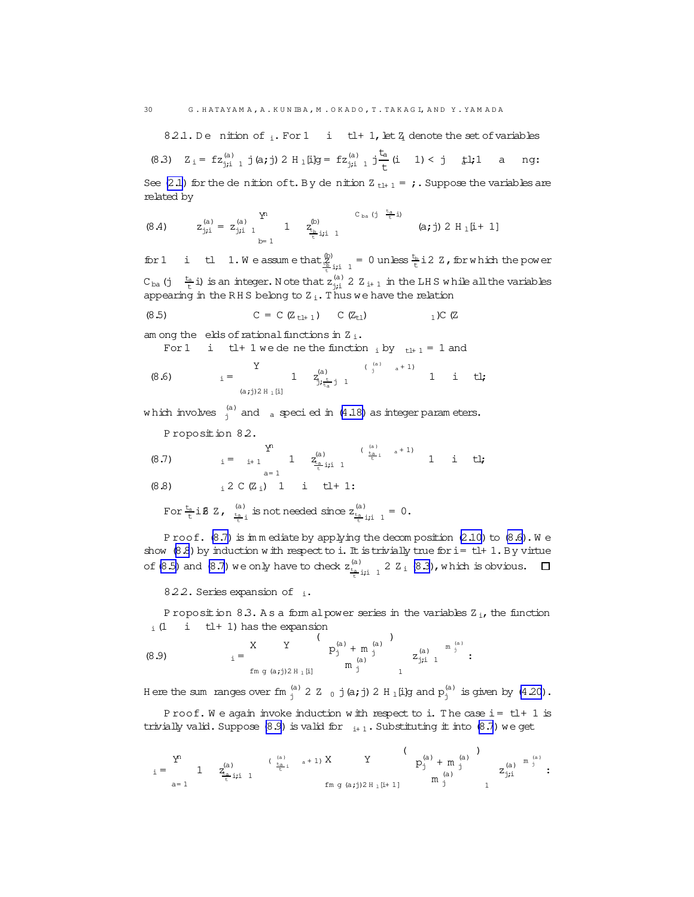82.1. De nition of  $_i$ . For 1 i tl+ 1, let  $\frac{7}{4}$  denote the set of variables (8.3)  $Z_i = fz_{j,i}^{(a)} + j(a,j) 2 H_1[i]g = fz_{j,i}^{(a)} + j\frac{t_a}{t} (i - 1) < j \frac{t}{t}l, 1$  $\overline{a}$ ng:

See (2.1) for the denition of t. By denition  $Z_{tl+1} = j$ . Suppose the variables are related by

(8.4) 
$$
z_{j;i}^{(a)} = z_{j;i}^{(a)} \n\begin{array}{ccc}\n1 & x_{i}^{(b)} & & \n\end{array}\n\begin{array}{ccc}\n & & & & \n\text{C}_{ba} \left( j \right) & \frac{t_a}{t} i \\
 & & & \n\end{array}\n\begin{array}{ccc}\n & & & \n\text{C}_{ba} \left( j \right) & \frac{t_a}{t} i \\
 & & \n\end{array}\n\begin{array}{ccc}\n & & & \n\text{(a; j) 2 H_1[i + 1]}\n\end{array}
$$

for 1 i tl 1. We assume that  $\frac{p}{2}$  ii  $1 = 0$  unless  $\frac{t_0}{t}$  i2 Z, for which the power  $C_{ba}$  (j  $\frac{t_a}{t}$  i) is an integer. Note that  $z_{i,i}^{(a)}$  2  $Z_{i+1}$  in the LHS while all the variables appearing in the RHS belong to  $Z_i$ . Thus we have the relation

(8.5) 
$$
C = C (Z_{t1+1}) C (Z_{t1})
$$
 1)  $C (Z$ 

am ong the elds of rational functions in  $Z_i$ .

For 1 i 
$$
t l + 1
$$
 we de ne the function  $i$  by  $t l + 1 = 1$  and

(8.6) 
$$
i = \begin{array}{ccccc} Y & 1 & z_{i}^{(a)} & (a) & a+1 \\ & 1 & z_{j, \frac{t}{t_a}j}^{(a)} & 1 & 1 & i & t \end{array}
$$

which involves  $\frac{a}{i}$  and a specied in (4.18) as integer parameters.

Proposition 82.

<span id="page-29-0"></span>30

(8.7) 
$$
i = i+1 \t\t \t 1 \t\t \t 1 \t\t \t 1 \t\t \t (i) \t\t \t (i) \t\t \t (j) \t\t \t (k) \t\t \t (k) \t\t \t (k) \t\t \t (k) \t\t \t (k) \t\t \t (k) \t\t \t (k) \t\t \t (k) \t\t \t (k) \t\t \t (k) \t\t \t (k) \t\t \t (k) \t\t \t (k) \t\t \t (k) \t\t \t (k) \t\t \t (k) \t\t \t (k) \t\t \t (k) \t\t \t (k) \t\t \t (k) \t\t \t (k) \t\t \t (k) \t\t \t (k) \t\t \t (k) \t\t \t (k) \t\t \t (k) \t\t \t (k) \t\t \t (k) \t\t \t (k) \t\t \t (k) \t\t \t (k) \t\t \t (k) \t\t \t (k) \t\t \t (k) \t\t \t (k) \t\t \t (k) \t\t \t (k) \t\t \t (k) \t\t \t (k) \t\t \t (k) \t\t \t (k) \t\t \t (k) \t\t \t (k) \t\t \t (k) \t\t \t (k) \t\t \t (k) \t\t \t (k) \t\t \t (k) \t\t \t (k) \t\t \t (k) \t\t \t (k) \t\t \t (k) \t\t \t (k) \t\t \t (k) \t\t \t (k) \t\t \t (k) \t\t \t (k) \t\t \t (k) \t\t \t (k) \t\t \t (k) \t\t \t (k) \t\t \t (k) \t\t \t (k) \t\t \t (k) \t\t \t (k) \t\t \t (k) \t\t \t (k) \t\t \t (k) \t\t \t (k) \t\t \t (k) \t\t \t (k) \t\t \t (k) \t\t \t (k) \t\t \t (k) \t\t \t (k) \t\t \t (k) \t\t \t (k) \t\t \t (k) \t\t \t (k) \t\t \t (k) \t\t \t (k) \t\t \t (k) \t\t \t (k) \t\t \t (k) \t\t \t (k) \t\t \t (k) \t\t \t (k) \t\t \t (k)
$$

$$
(8.8) \t i 2 C (Z_i) 1 i t l + 1:
$$

For 
$$
\frac{t_a}{t}
$$
 if  $z$ ,  $\frac{a}{t_{\frac{a}{t}}}$  is not needed since  $z_{\frac{t_a}{t}$  if  $1 = 0$ .

Proof. (8.7) is immediate by applying the decomposition (2.10) to (8.6). We show  $(8.8)$  by induction with respect to i. It is trivially true for i= tl+ 1. By virtue of (8.5) and (8.7) we only have to check  $z_{\frac{t_0}{2}+i\frac{1}{2}}^{(a)}$  2  $\overline{z}_i$  (8.3), which is obvious.  $\Box$ 

822. Series expansion of i.

Proposition 8.3. As a form al power series in the variables Z<sub>i</sub>, the function  $\pm$  (1 i tl+ 1) has the expansion

Here the sum ranges over fm  $_1^{(a)}$  2 Z  $_0$  j(a; j) 2 H<sub>1</sub>[i]g and  $p_1^{(a)}$  is given by (4.20).

Proof. We again invoke induction with respect to i. The case  $i = t1 + 1$  is trivially valid. Suppose (8.9) is valid for  $_{i+1}$ . Substituting it into (8.7) we get

$$
i = \begin{matrix} \Sigma^n & & & & (a) & & (b) & & \\ 1 & & Z_{\frac{a}{t}}(a) & & (b) & & \\ & & \Sigma_{\frac{a}{t}}(a) & & \\ & & & \Sigma_{\frac{a}{t}}(a) & \\ & & & & \Sigma_{\frac{a}{t}}(a) & \\ & & & & & \Sigma_{\frac{a}{t}}(a) & \\ & & & & & \Sigma_{\frac{a}{t}}(a) & \\ & & & & & \Sigma_{\frac{a}{t}}(a) & \\ & & & & & \Sigma_{\frac{a}{t}}(a) & \\ & & & & & \Sigma_{\frac{a}{t}}(a) & \\ & & & & & & \Sigma_{\frac{a}{t}}(a) & \\ & & & & & & \Sigma_{\frac{a}{t}}(a) & \\ & & & & & & \Sigma_{\frac{a}{t}}(a) & \\ & & & & & & \Sigma_{\frac{a}{t}}(a) & \\ & & & & & & \Sigma_{\frac{a}{t}}(a) & \\ & & & & & & & \Sigma_{\frac{a}{t}}(a) & \\ & & & & & & & \Sigma_{\frac{a}{t}}(a) & \\ & & & & & & & \Sigma_{\frac{a}{t}}(a) & \\ & & & & & & & \Sigma_{\frac{a}{t}}(a) & \\ & & & & & & & \Sigma_{\frac{a}{t}}(a) & \\ & & & & & & & \Sigma_{\frac{a}{t}}(a) & \\ & & & & & & & \Sigma_{\frac{a}{t}}(a) & \\ & & & & & & & \Sigma_{\frac{a}{t}}(a) & \\ & & & & & & & \Sigma_{\frac{a}{t}}(a) & \\ & & & & & & & \Sigma_{\frac{a}{t}}(a) & \\ & & & & & & & \Sigma_{\frac{a}{t}}(a) & \\ & & & & & & & \Sigma_{\frac{a}{t}}(a) & \\ & & & & & & & \Sigma_{\frac{a}{t}}(a) & \\ & & & & & & & \Sigma_{\frac{a}{t}}(a) & \\ & & & & & & & \Sigma_{\frac{a}{t}}(a) & \\ & & & & & & & \Sigma_{\frac{a}{t}}(a) & \\ & & & & & & & \Sigma_{\frac{a}{t}}(a) & \\ & & & & & & & \Sigma_{\frac{a}{t}}(a) & \\ & & & & & & & \Sigma_{\frac{a}{t}}(a) & \\ & & & & & & & & \Sigma_{\frac{a}{t}}(a) & \\ & & & & & & & & \
$$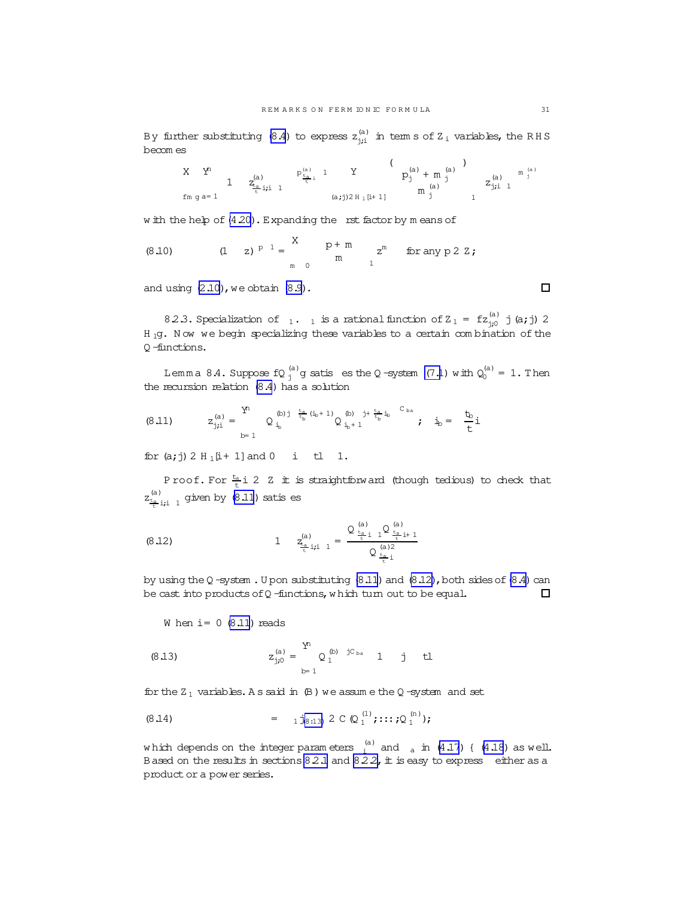<span id="page-30-0"></span>By further substituting [\(8.4\)](#page-29-0) to express  $\rm z_{j;i}^{(a)}$  in term s of Z  $\rm _i$  variables, the RHS becom es

$$
\begin{array}{ccccccccc} X & Y^n & & & & & \mathbb{P}^{(a)}_{\frac{r_a}{t} & 1} & Y & & \left( \begin{array}{cc} p_j^{(a)} & 1 & Y & & \left( \begin{array}{c} p_j^{(a)} & 1 & 1 \end{array} \right) & & & & \mathbb{P}^{(a)}_{j} & \left( \begin{array}{c} p_j^{(a)} & 1 & 1 \end{array} \right) & & & & \mathbb{P}^{(a)}_{j} & & \mathbb{P}^{(a)}_{j} & & \mathbb{P}^{(a)}_{j} & \mathbb{P}^{(a)}_{j} & & \mathbb{P}^{(a)}_{j} & \mathbb{P}^{(a)}_{j} & & \mathbb{P}^{(a)}_{j} & & \mathbb{P}^{(a)}_{j} & & \mathbb{P}^{(a)}_{j} & & \mathbb{P}^{(a)}_{j} & & \mathbb{P}^{(a)}_{j} & & \mathbb{P}^{(a)}_{j} & & \mathbb{P}^{(a)}_{j} & & \mathbb{P}^{(a)}_{j} & & \mathbb{P}^{(a)}_{j} & & \mathbb{P}^{(a)}_{j} & & \mathbb{P}^{(a)}_{j} & & \mathbb{P}^{(a)}_{j} & & \mathbb{P}^{(a)}_{j} & & \mathbb{P}^{(a)}_{j} & & \mathbb{P}^{(a)}_{j} & & \mathbb{P}^{(a)}_{j} & & \mathbb{P}^{(a)}_{j} & & \mathbb{P}^{(a)}_{j} & & \mathbb{P}^{(a)}_{j} & & \mathbb{P}^{(a)}_{j} & & \mathbb{P}^{(a)}_{j} & & \mathbb{P}^{(a)}_{j} & & \mathbb{P}^{(a)}_{j} & & \mathbb{P}^{(a)}_{j} & & \mathbb{P}^{(a)}_{j} & & \mathbb{P}^{(a)}_{j} & & \mathbb{P}^{(a)}_{j} & & \mathbb{P}^{(a)}_{j} & & \mathbb{P}^{(a)}_{j} & & \mathbb{P}^{(a)}_{j} & & \mathbb{P}^{(a)}_{j} & & \mathbb{P}^{(a)}_{j} & & \mathbb{P}^{(a)}_{j} & & \mathbb{P}^{(a)}_{j} & & \mathbb{P}^{(a)}_{j
$$

w ith the help of  $(4.20)$  $(4.20)$ . Expanding the rst factor by m eans of  $\ddot{x}$ 

(8.10) 
$$
(1 \t z)^{p-1} = \begin{matrix} x & p+m \\ m & m \end{matrix} \text{ or } z^m \text{ for any } p \ 2 \ 2;
$$

and using  $(2.10)$ , we obtain  $(8.9)$ .

8.2.3. Specialization of  $_1.$  1 is a rational function of  $Z_1 = f z_{j;0}^{(a)}$  j (a; j) 2 H 1g. Now we begin specializing these variables to a certain combination of the Q -functions.

Lemma 8.4. Suppose  $fQ_j^{(a)}g$  satis es the Q-system [\(7.1](#page-23-0)) with  $Q_0^{(a)} = 1$ . Then the recursion relation [\(8.4](#page-29-0)) has a solution

$$
(8.11) \qquad \qquad z_{j;i}^{(a)} = \sum_{b=1}^{Y^1} \quad Q_{i_b}^{(b) \, j} \quad \stackrel{\frac{t_a}{t_b} \, (i_b+1)}{t_b} \, Q_{i_b+1}^{(b) \quad j+\frac{t_a}{t_b} \, i_b} \qquad \stackrel{C_{b a}}{\longleftarrow} \qquad \qquad i_b = \quad \frac{t_b}{t} \, i
$$

for  $(a; j) 2 H_1[i+1]$  and  $0 \t i \t l 1$ .

Proof. For  $\frac{t_{a}}{t}$  i 2  $\frac{t}{t}$  is straightforward (though tedious) to check that  $z_{\frac{t_a}{t}i,j}^{(a)}$  1 given by (8.11) satis es

(8.12) 
$$
1 \t z_{\frac{t_a}{t}i j}^{(a)} = \frac{Q_{\frac{t_a}{t}i}^{(a)} 1^{Q_{\frac{t_a}{t}i+1}}}{Q_{\frac{t_a}{t}i}^{(a)2}}
$$

by using the Q-system . Upon substituting  $(8.11)$  and  $(8.12)$ , both sides of  $(8.4)$  can be cast into products of Q -functions, which turn out to be equal.  $\Box$ 

W hen  $i = 0$  (8.11) reads

(8.13) 
$$
z_{j;0}^{(a)} = \sum_{b=1}^{Y^n} Q_1^{(b)} {j c_{ba} \atop 1} 1 j t l
$$

for the  $Z_1$  variables. A s said in  $(B)$  we assume the Q-system and set

(8.14) = 
$$
1 \dot{J}_{(8:13)} 2 \text{ C} \text{ (Q}^{(1)}_1; \dots; Q^{(n)}_1);
$$

which depends on the integer parameters  $\frac{1}{1}$  and  $\frac{1}{1}$  m [\(4.17](#page-17-0)) { [\(4.18](#page-17-0)) as well. Based on the results in sections  $8.2.1$  and  $8.2.2$ , it is easy to express either as a product or a power series.

 $\Box$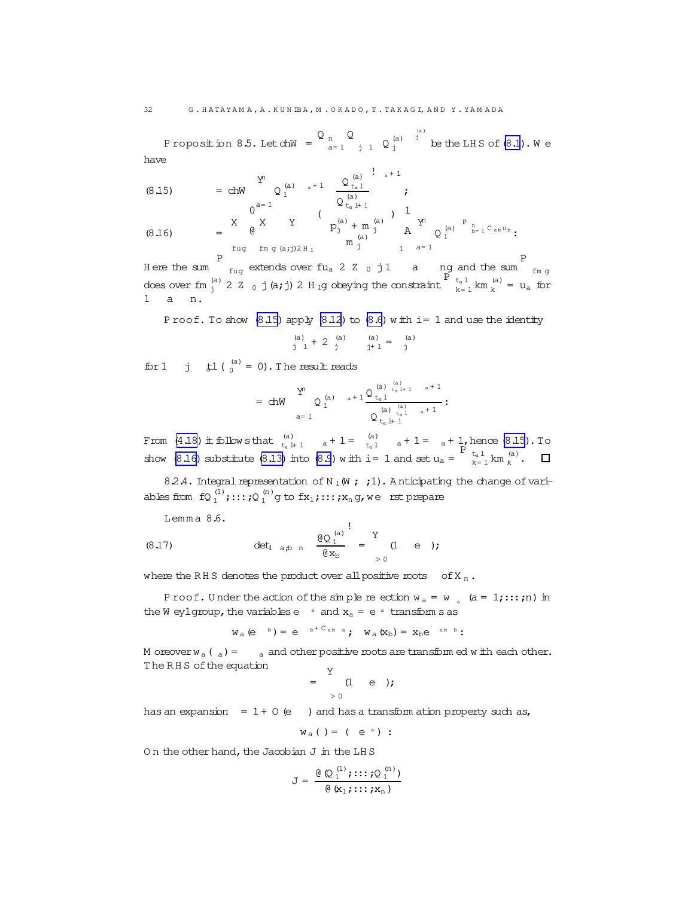<span id="page-31-0"></span>Proposition 8.5. Letch $W = \begin{bmatrix} 0 & n \ n \end{bmatrix}$ a= 1 Q j 1  $Q_j^{(a)}$  $j^{(a)}$  be the LHS of  $(8.1)$  $(8.1)$ . We have

(8.15) = chW 
$$
\begin{array}{c} Y^n \ Q_1^{(a)} \ a+1 \end{array} \begin{array}{c} Q_{t_a 1}^{(a)} \end{array}
$$
  $\begin{array}{c} \vdots \ 1 \end{array}$   
\n
$$
(8.16) = \begin{array}{c} X \ Q_1^{(a)} \end{array} \begin{array}{c} \vdots \ 0 \end{array}
$$
  
\n
$$
= \begin{array}{c} \begin{array}{c} 0 \ 0 \end{array} \end{array}
$$
  
\n
$$
\begin{array}{c} \begin{array}{c} 0 \ \text{if} \ 0 \end{array} \end{array}
$$
  
\n
$$
= \begin{array}{c} \begin{array}{c} 0 \ 0 \end{array} \end{array}
$$
  
\n
$$
\begin{array}{c} \begin{array}{c} 0 \ \text{if} \ 0 \end{array} \end{array}
$$
  
\n
$$
\begin{array}{c} \begin{array}{c} 0 \ \text{if} \ 0 \end{array} \end{array}
$$
  
\n
$$
\begin{array}{c} \begin{array}{c} \begin{array}{c} 0 \ \text{if} \ 0 \end{array} \end{array}
$$
  
\n
$$
\begin{array}{c} \begin{array}{c} \begin{array}{c} 0 \ \text{if} \ 0 \end{array} \end{array}
$$
  
\n
$$
\begin{array}{c} \begin{array}{c} \begin{array}{c} 0 \ \text{if} \ 0 \end{array} \end{array}
$$
  
\n
$$
\begin{array}{c} \begin{array}{c} \begin{array}{c} 0 \ \text{if} \ 0 \end{array} \end{array}
$$
  
\n
$$
\begin{array}{c} \begin{array}{c} \begin{array}{c} 0 \ \text{if} \ 0 \end{array} \end{array}
$$
  
\n
$$
\begin{array}{c} \begin{array}{c} \begin{array}{c} \text{if} \ 0 \end{array} \end{array}
$$
  
\n
$$
\begin{array}{c} \begin{array}{c} \begin{array}{c} \text{if} \ 0 \end{array} \end{array}
$$
  
\n
$$
\begin{array}{c} \begin{array}{c} \text{if} \ 0 \end{array} \end{array}
$$
  
\n<math display="block</p>

H ere the sum P<br>
<sub>fug</sub> extends over fu<sub>a</sub> 2 <sup>z</sup> 0 j1 a ng and the sum fm g does over fm  $_{j}^{(a)}$  2  $Z$  0 j (a; j) 2 H <sub>1</sub>g obeying the constraint  $\sum_{k=1}^{p}$  t<sub>a</sub> l km  $_{k}^{(a)}$  = u<sub>a</sub> for a n.

P roof. To show  $(8.15)$  apply  $(8.12)$  to  $(8.6)$  w ith i= 1 and use the identity

$$
\begin{array}{ccccc}\n(a) & & & (a) & & (a) & & (a) \\
\vdots & 1 & & 2 & \vdots & \vdots & \vdots & \vdots \\
 & & & (a) & & (a) & & (a) \\
\end{array}
$$

for 1 j  $\sharp$ 1 ( $_0^{(a)} = 0$ ). The result reads

$$
=\text{ chW}\qquad \begin{array}{c} Y^n\\ \vartriangle\end{array}\qquad {}_a+1\frac{Q\stackrel{(a)}{t_a\stackrel{1}{t_a\stackrel{(a)}{t_a\stackrel{1}{t_a\stackrel{1}{t_a\stackrel{1}{t_a\stackrel{1}{t_a\stackrel{1}{t_a\stackrel{1}{t_a\stackrel{1}{t_a\stackrel{1}{t_a\stackrel{1}{t_a\stackrel{1}{t_a\stackrel{1}{t_a\stackrel{1}{t_a\stackrel{1}{t_a\stackrel{1}{t_a\stackrel{1}{t_a\stackrel{1}{t_a\stackrel{1}{t_a\stackrel{1}{t_a\stackrel{1}{t_a\stackrel{1}{t_a\stackrel{1}{t_a\stackrel{1}{t_a\stackrel{1}{t_a\stackrel{1}{t_a\stackrel{1}{t_a\stackrel{1}{t_a\stackrel{1}{t_a\stackrel{1}{t_a\stackrel{1}{t_a\stackrel{1}{t_a\stackrel{1}{t_a\stackrel{1}{t_a\stackrel{1}{t_a\stackrel{1}{t_a\stackrel{1}{t_a\stackrel{1}{t_a\stackrel{1}{t_a\stackrel{1}{t_a\stackrel{1}{t_a\stackrel{1}{t_a\stackrel{1}{t_a\stackrel{1}{t_a\stackrel{1}{t_a\stackrel{1}{t_a\stackrel{1}{t_a\stackrel{1}{t_a\stackrel{1}{t_a\stackrel{1}{t_a\stackrel{1}{t_a\stackrel{1}{t_a\stackrel{1}{t_a\stackrel{1}{t_a\stackrel{1}{t_a\stackrel{1}{t_a\stackrel{1}{t_a\stackrel{1}{t_a\stackrel{1}{t_a\stackrel{1}{t_a\stackrel{1}{t_a\stackrel{1}{t_a\stackrel{1}{t_a\stackrel{1}{t_a\stackrel{1}{t_a\stackrel{1}{t_a\stackrel{1}{t_a\stackrel{1}{t_a\stackrel{1}{t_a\stackrel{1}{t_a\stackrel{1}{t_a\stackrel{1}{t_a\stackrel{1}{t_a\stackrel{1}{t_a\stackrel{1}{t_a\stackrel{1}{t_a\stackrel{1}{t_a\stackrel{1}{t_a\stackrel{1}{t_a\stackrel{1}{t_a\stackrel{1}{t_a\stackrel{1}{t_a\stackrel{1}{t_a\stackrel{1}{t_a\stackrel{1}{t_a\stackrel{1}{t_a\stackrel{1}{t_a\stackrel{1}{t_a\stackrel{1}{t_a
$$

From [\(4.18\)](#page-17-0) it follows that  $\begin{pmatrix} a \\ t_a + 1 \end{pmatrix}$   $a + 1 = \begin{pmatrix} a \\ t_a 1 \end{pmatrix}$   $a + 1 = \begin{pmatrix} a + 1 \\ a + 1 \end{pmatrix}$  hence (8.15). To show (8.16) substitute [\(8.13\)](#page-30-0) into [\(8.9](#page-29-0)) w ith i= 1 and set  $u_a = \sum_{k=1}^{n} \tan \left( \frac{a}{k} \right)$ .

8.2.4. Integral representation of N<sub>1</sub>(W ; ;1). A nticipating the change of variables from  $fQ_1^{(1)}$ ;:::; $Q_1^{(n)}$ g to fx<sub>1</sub>;:::;x<sub>n</sub>g,we rstprepare

Lemma 8.6.

(8.17) 
$$
\det_{a \text{ ab } n} \frac{\theta Q_1^{(a)}}{\theta x_b} = \begin{cases} Y \\ (1 \quad e) \end{cases}
$$

where the RHS denotes the product over all positive roots of  $X_n$ .

P roof. Under the action of the simple reection  $w_a = w_a$  (a = 1;:::;n) in the W eylgroup, the variablese  $a$  and  $x_a = e^a$  transform s as

$$
w_a(e^{b}) = e^{b+C_{ab}a}
$$
;  $w_a(x_b) = x_b e^{ab}.$ 

M oreover  $w_a$  (  $_a$  ) =  $a$  and other positive roots are transform ed w ith each other. The RHS of the equation

$$
= \begin{array}{ccc} Y & & \\ & (1 & e) \end{array}
$$

has an expansion =  $1 + 0$  (e ) and has a transform ation property such as,

$$
w_a()
$$
 = ( e a) :

On the other hand, the Jacobian J in the LHS

$$
J = \frac{\theta(\mathbb{Q}_1^{(1)}; \dots; \mathbb{Q}_1^{(n)})}{\theta(x_1; \dots; x_n)}
$$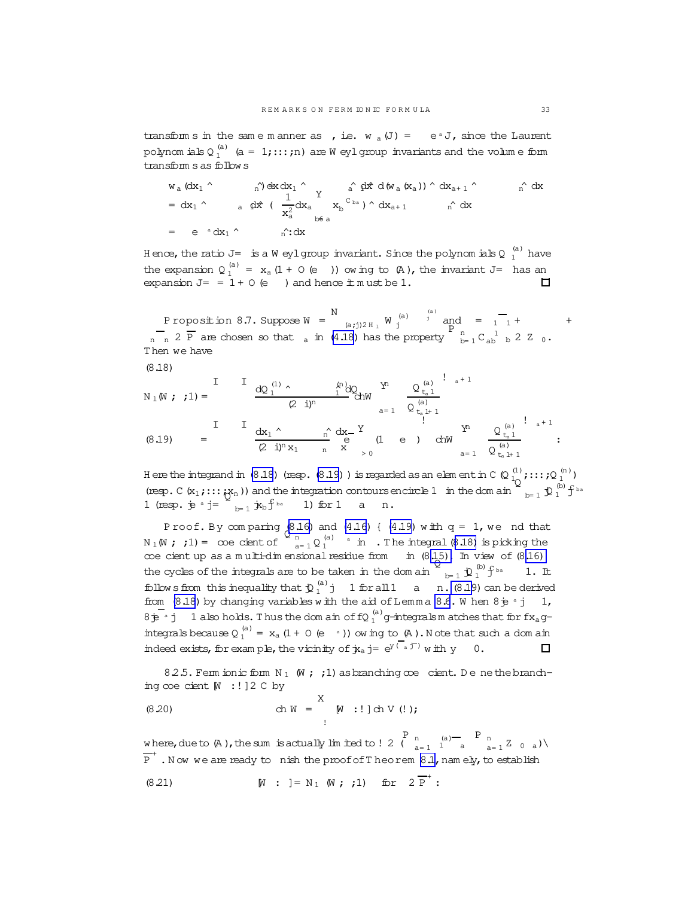<span id="page-32-0"></span>transform s in the same m anner as , i.e.  $w_a(J) = e^a J$ , since the Laurent polynom ials Q  $_1^\text{(a)}$  (a = 1;:::;n) are W eylgroup invariants and the volume form transform sas follow s

$$
w_a (dx_1 \wedge \t n') dx dx_1 \wedge \t n' dx dx_1 \wedge \t n' dx dx_2 \wedge dx_3)
$$

Hence, the ratio J=  $\,$  is a W eylgroup invariant. Since the polynom ials Q  $_1^{(a)}$  have the expansion  $Q_1^{(a)} = x_a (1 + 0 (e))$  ow ing to  $(A)$ , the invariant J= has an expansion  $J = 1 + 0$  (e) and hence  $\pm$  m ust be 1.  $\Box$ 

P roposition 8.7. Suppose W = N (a;j)2 H<sub>1</sub> W  $j^{(a)}$  $j^{(a)}$  and =  $\frac{1}{1}$  + +  $n = \frac{1}{p}$  are chosen so that a in [\(4.18](#page-17-0)) has the property  $\frac{p}{p}$   $\frac{1}{p}$   $\frac{1}{p}$  b 2 Z 0. Then we have

$$
(8.18)
$$

$$
N_{1}(\mathsf{N}; i) = \frac{I \t\t dQ_{1}^{(1)} \wedge \t\t \frac{A^{(n)}Q_{0}}{1}d\mathsf{N}}{2 i J^{n}} \t\t chW \t\t \frac{Q_{t_{a}1}^{(a)}}{1} e^{2 i J^{n}} \t\t chW \t\t \frac{Q_{t_{a}1}^{(a)}}{1} e^{2 i J^{n}} \t\t ChW \t\t \frac{1}{2} e^{2 i J^{n}} \t\t ChW \t\t \frac{Q_{t_{a}1}^{(a)}}{1} e^{2 i J^{n}} \t\t ChW \t\t \frac{Q_{t_{a}1}^{(a)}}{1} e^{2 i J^{n}} \t\t ChW \t\t \frac{Q_{t_{a}1}^{(a)}}{1} e^{2 i J^{n}} \t\t ChW \t\t \frac{Q_{t_{a}1}^{(a)}}{1} e^{2 i J^{n}} \t\t ChW \t\t \frac{Q_{t_{a}1}^{(a)}}{1} e^{2 i J^{n}} \t\t ChW \t\t \frac{Q_{t_{a}1}^{(a)}}{1} e^{2 i J^{n}} \t\t ChW \t\t \frac{Q_{t_{a}1}^{(a)}}{1} e^{2 i J^{n}} \t\t ChW \t\t \frac{Q_{t_{a}1}^{(a)}}{1} e^{2 i J^{n}} \t\t ChW \t\t \frac{Q_{t_{a}1}^{(a)}}{1} e^{2 i J^{n}} \t\t ChW \t\t \frac{Q_{t_{a}1}^{(a)}}{1} e^{2 i J^{n}} \t\t ChW \t\t \frac{Q_{t_{a}1}^{(a)}}{1} e^{2 i J^{n}} \t\t ChW \t\t \frac{Q_{t_{a}1}^{(a)}}{1} e^{2 i J^{n}} \t\t ChW \t\t \frac{Q_{t_{a}1}^{(a)}}{1} e^{2 i J^{n}} \t\t ChW \t\t \frac{Q_{t_{a}1}^{(a)}}{1} e^{2 i J^{n}} \t\t ChW \t\t \frac{Q_{t_{a}1}^{(a)}}{1} e^{2 i J^{n}} \t\t ChW \t\t \frac{Q_{t_{a}1}^{(a)}}{1} e^{2 i J^{n}} \t\t ChW \t\t \frac{Q_{t_{a}1}^{(a)}}{1} e^{2 i J^{n}} \t\t ChW \t\t \frac{Q_{t_{a}1}^{(a)}}{1}
$$

H ere the integrand in (8.18) (resp. (8.19)) is regarded as an elem ent in C (Q  $\frac{1}{1Q}$ ;::;;Q  $\frac{1}{1Q}$ (resp. C( $x_1$ ;::: $x_n$ )) and the integration contours encircle 1 in the dom ain  $\sum_{b=1}^Q \hat{D}_1^{(b)} f^{ba}$ 1 (resp.  $\dot{p}$  a j=  $\sum_{b=1}^{\infty} \dot{x}_b f^{ba}$  1) for 1 a n.

Proof. By comparing  $(8.16)$  and  $(4.16)$  {  $(4.19)$  with  $q = 1$ , we nd that  $N_1(W;;1) = \infty$  cient of  $\sum_{a=1}^{n} Q_1^{(a)}$  and  $\sum_{a=1}^{n} N_1(W;;1)$  is picking the coecient up as a m ulti-dim ensional residue from  $\dot{m}$  (8[.15\).](#page-31-0) In view of (8[.16\)](#page-31-0)  $\vec{Q}$  $_{b=1}$   $\mathfrak{D}_1^{(b)}$  f the cycles of the integrals are to be taken in the dom ain  $1.$  It follow sfrom this inequality that  $\mathfrak{D}_1^{(a)}$  j 1 for all 1 a n. (8.19) can be derived from  $(8.18)$  by changing variables w ith the aid of Lemma [8.6](#page-31-0). W hen  $8\dot{\text{p}}$  a j 1,  $8\overline{e}^a$  j 1 also holds. Thus the dom ain of fQ  $_1^{(a)}$  g-integrals m atches that for fx<sub>a</sub>gintegrals because  $Q_1^{(a)} = x_a (1 + 0 (e^{-a}))$  ow ing to  $(A)$ . Note that such a dom ain indeed exists, for example, the vicinity of  $\dot{\mathbf{y}}_a$  j=  $e^{y(a\pi)}$  with y 0.  $\Box$ 

825. Ferm ionic form  $N_1$  (W ; ;1) as branching coe cient. De nethebranching  $\infty$ e cient  $\mathbb{M}$  :!] 2 C by

(8.20) 
$$
\text{ch } W = \bigwedge^X W : ! \text{ch } V (!);
$$

where, due to  $(A)$ , the sum is actually limited to ! 2 ( $\frac{P}{A}$ a= 1 (a)  $\begin{bmatrix} P & P \\ 1 & 2 \end{bmatrix}$  a  $\begin{bmatrix} P & P \\ 2 & 0 \end{bmatrix}$  $\overline{\mathrm{P}}^+$  . Now we are ready to nish the proof of Theorem [8.1,](#page-27-0) namely, to establish

(8.21) 
$$
[N : ] = N_1 (N ; ; 1) \text{ for } 2 \overline{P}^+ :
$$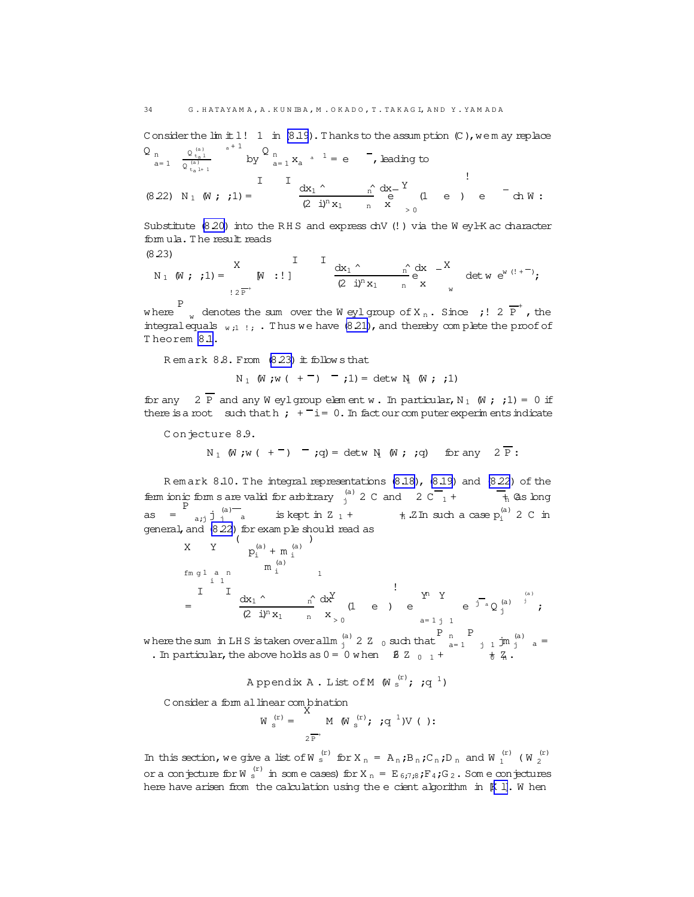<span id="page-33-0"></span>Consider the  $\text{Im } t \perp !$  1 in (8.19). Thanks to the assumption (C), we may replace  $Q_n$   $Q_{n+1}^{(a)}$   $a+1$   $Q_n$  $\frac{1}{1}$   $\frac{1}{1}$   $\frac{1}{1}$   $\frac{1}{1}$   $\frac{1}{1}$   $\frac{1}{1}$   $\frac{1}{1}$   $\frac{1}{1}$   $\frac{1}{1}$   $\frac{1}{1}$   $\frac{1}{1}$   $\frac{1}{1}$   $\frac{1}{1}$   $\frac{1}{1}$   $\frac{1}{1}$   $\frac{1}{1}$   $\frac{1}{1}$   $\frac{1}{1}$   $\frac{1}{1}$   $\frac{1}{1}$   $\frac{1}{1}$   $\frac{1}{1}$ 

$$
a=1 \quad \overline{Q_{t_a}^{(a)}} \qquad \text{by} \qquad a=1 X_a \qquad e \qquad \text{, leading to}
$$
\n
$$
(8.22) \quad N_1 \quad (W; \quad ; 1) = \qquad \frac{1}{(2 i)^n X_1} \qquad \frac{1}{N} \quad \frac{d}{d} X - \frac{Y}{d} \qquad (1 \quad e \quad) \quad e \qquad \text{ch } W:
$$

Substitute  $(8.20)$  into the RHS and express chV (!) via the W eyl-K ac character fomula. The result reads

$$
(8.23)
$$

23)  
\n
$$
N_1
$$
 (W; ; 1) =  $\begin{array}{ccc} X & I & I \\ W & : \end{array}$  $\frac{dx_1}{2^{n}x_1} + \frac{x}{n} \begin{array}{ccc} 0 & x \\ e & x \\ w & w \end{array}$  $\frac{dx}{2}$  $\frac{dx}{2}$  $\frac{dx}{2}$  $\frac{dx}{2}$  $\frac{dx}{2}$ 

where  $\int_a^b$  denotes the sum over the W eyl group of X<sub>n</sub>. Since ; ! 2  $\overline{P}^+$ , the integral equals  $\frac{1}{2}$  ... Thus we have (8.21), and thereby complete the proof of Theorem 8.1.

Remark 8.8. From (8.23) it follows that

 $N_1$  (W;w ( + -) -;1) = detw N (W; ;1)

for any  $2 \overline{P}$  and any W eylgroup element w. In particular, N<sub>1</sub> (W; ; 1) = 0 if there is a root such that  $\mathbf{h}$ ;  $\mathbf{f} = 0$ . In fact our computer experiments indicate

Conjecture 8.9.

$$
N_1
$$
 (W;w (+<sup>-</sup>) -;q) = detw N (W; ;q) for any  $2\overline{P}$ :

Remark 8.10. The integral representations (8.18), (8.19) and (8.22) of the fem ionic form s are valid for arbitrary  $\frac{1}{j}$  2 C and 2 C  $\frac{1}{1}$  +  $\frac{1}{n}$  As long as  $=\begin{bmatrix} P & 1 & 1 \ a_{i,j} & j & a \end{bmatrix}$  is kept in Z<sub>1</sub> +  $\frac{1}{2}$  Th such a case  $p_i^{(a)}$  2 C in general, and (8.22) for exam ple should read as  $\begin{pmatrix} 1 & 0 & 0 \\ 0 & 1 & 0 \\ 0 & 0 & 0 \end{pmatrix}$ 

$$
A \t I \t p_i^{(\alpha)} + m_i^{(\alpha)}
$$
  
\n
$$
f_{m g 1 a n} \t m_i^{(\alpha)}
$$
  
\n
$$
I \t I \t d x_1^{\wedge} \t n_i^{\wedge} d x^{\vee}
$$
  
\n
$$
= \t d x_1^{\wedge} \t n_i^{\wedge} d x^{\vee}
$$
  
\n
$$
Z \t j^n x_1 \t n_i^{\wedge} x > 0
$$
  
\n
$$
A = 1 j 1
$$
  
\n
$$
A = 1 j 1
$$

where the sum in LHS is taken over all m  $^{(a)}$  2 Z 0 such that  $\begin{bmatrix} P & P \\ a-1 & j & 1 \end{bmatrix}$  in  $^{(a)}$  a = . In particular, the above holds as  $0 = 0$  when  $8$  Z  $_{0}$   $_1$  +

Appendix A. List of M  $(\mathbb{N}^{\text{(r)}}; \mathbb{N}^1)$ 

Consider a form al linear combination

$$
W_{s}^{(r)} = \bigwedge_{2 \, \overline{P}^{+}}^{A} M \, (W_{s}^{(r)}; \,;q^{1}) V \, ( ) :
$$

In this section, we give a list of W  $_s^{(r)}$  for X  $_n$  = A<sub>n</sub>;B<sub>n</sub>;C<sub>n</sub>;D<sub>n</sub> and W  $_1^{(r)}$  (W  $_2^{(r)}$ or a conjecture for W  $_8^{(r)}$  in some cases) for X  $_n = E_{6:7:8}$  ;  $F_4$  ; G<sub>2</sub>. Some conjectures here have arisen from the calculation using the e cient algorithm in [K 1]. W hen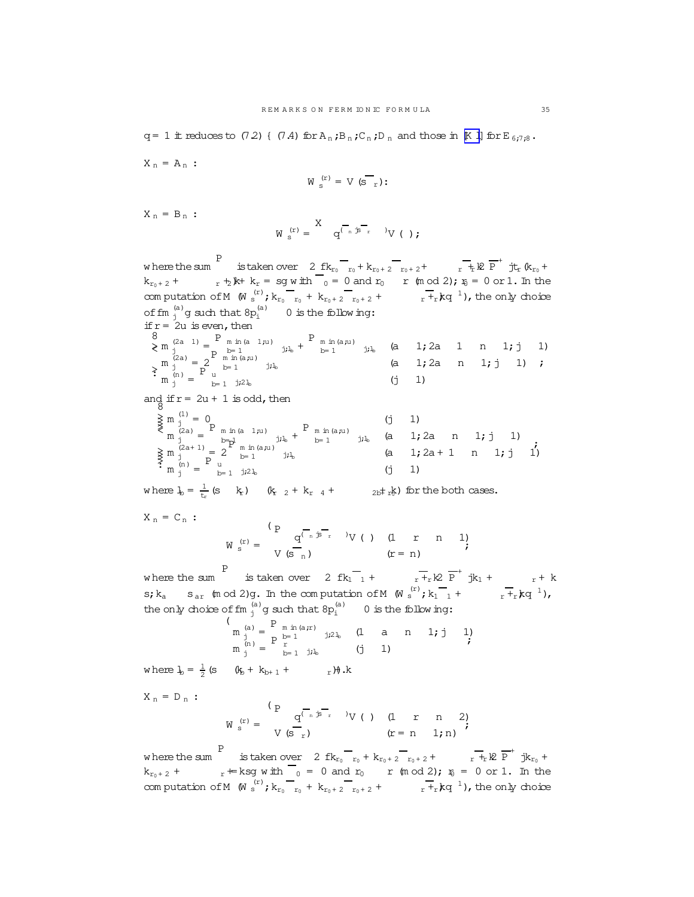$X_n = A_n$ :

$$
W_{s}^{(r)} = V(S_{r})
$$
:

 $X_n = B_n$ :

$$
W\ _{\mathrm{s}}^{\ (r)}=\begin{matrix} X&\\&q^{\overbrace{(\phantom{a},\phantom{b},\phantom{b},\phantom{b},\phantom{b},\phantom{b},}}\\&\ddots&\ddots&\ddots \end{matrix}\qquad \ \ \, V\ (\ )\ ;
$$

w here the sum P  $\frac{1}{\pi}$  is taken over 2 fk<sub>r<sub>0</sub></sub> + k<sub>r<sub>0</sub> + 2 r<sub>0</sub> + 2<sup>+</sup> r<sub>+</sub>k<sup>2</sup> P<sup>+</sup> jt<sub>r</sub> (k<sub>r<sub>0</sub></sub> +</sub>  $k_{r_0+2}$  +  $r_1 + 2$   $k + k_r =$  sg w ith  $r_0 = 0$  and  $r_0 = r$  (m od 2);  $r_0 = 0$  or 1. In the com putation of M  $(W \stackrel{(r)}{s}$ ;  $k_{r_0}r_{r_0} + k_{r_0+2}r_{r_0+2} + \cdots + k_{r}r_{r}$ ; the only choice of fm  $_j^{(a)}$  g such that  $8p_i^{(a)}$  0 is the following: if  $r = 2u$  is even, then 8 >< >:  $m_j^{(2a-1)} = \frac{P}{D} m \ln(a 1,u)$ mm(a 1;u)<br>b= 1 j;l<sub>b</sub> +  $P_{m \text{ in (a,u)}}$  $\sum_{b=1}^{m \ln(a,u)}$  j;  $l_b$  (a 1; 2a 1 n 1; j 1)  $\begin{pmatrix} m & j \\ m & (2a) \\ j & 0 \end{pmatrix} = 2 \begin{pmatrix} P & p=1 \\ m & m(a,u) \\ b=1 \end{pmatrix}$  $\sum_{b=1}^{m \ln(a,u)}$  j; l<sub>b</sub> (a 1; 2a n 1; j 1)  $\sum_{j=1}^{m}$   $\sum_{j=1}^{m}$   $\sum_{j=1}^{m}$  $b=1$  j;2l<sub>b</sub> (j 1) ; and if  $r = 2u + 1$  is odd, then  $8$ >>>>< >>>>:  $m_j^{(1)} = 0$  (j 1)  $m_j^{(2a)} = \n\begin{bmatrix}\nP & m & m(a & 1,u) \\
b & -1 & \n\end{bmatrix}$ <sup>b</sup>= 1 j;l<sup>b</sup> +  $P_{m \text{ in (a,u)}}$  $\sum_{b=1}^{m} \frac{m(a,u)}{j}$  (a 1;2a n 1;j 1)  $\begin{pmatrix} \n\cdots & \vdots \\
m & \cdots & \vdots \\
m & \cdots & \vdots \\
m & \cdots & \cdots \\
n & \cdots & \cdots & \vdots \\
n & \cdots & \cdots & \vdots \\
n & \cdots & \cdots & \vdots \\
n & \cdots & \cdots & \vdots \\
n & \cdots & \cdots & \vdots \\
n & \cdots & \cdots & \vdots \\
n & \cdots & \cdots & \vdots \\
n & \cdots & \cdots & \vdots \\
n & \cdots & \cdots & \vdots \\
n & \cdots & \cdots & \vdots \\
n & \cdots & \cdots & \vdots \\
n & \cdots & \cdots & \vdots \\
n & \cdots &$  $\sum_{b=1}^{m \ln(a,u)}$  j; l<sub>b</sub> (a 1; 2a + 1 n 1; j 1)  $m_j^{(n)} = \begin{bmatrix} P \\ u \\ v \end{bmatrix}$  $b=1$  j;  $2l_b$  (j 1) ;

where  $l_b = \frac{1}{t_r}$  $\frac{1}{k_{\text{r}}}$  (s  $k_{\text{r}}$ )  $k_{\text{r}}$   $_2 + k_{\text{r}}$   $_4 + 2b \pm k_{\text{r}}$ ) for the both cases.

 $X_n = C_n$ :

$$
W_{s}^{(r)} = \begin{cases} P & Q^{(\overline{r}_{n} \overline{p} - \overline{r}_{r})} \\ V & (s - \overline{r}_{n}) \end{cases} \qquad (V \ ( \ ) \ (1 \quad r \quad n \quad 1)
$$
\n
$$
(r = n)
$$

w here the sum P is taken over  $2 \text{ fk}_1 \overline{1} + \overline{r} + k \overline{p} + k_1 + \cdots + k_n$  $s; k_a$  s<sub>ar</sub> (m od 2)g. In the computation of M  $(W \stackrel{(r)}{s}; k_1^-$  +  $r^+$ <sub>r</sub> $kq^{-1}$ ), the only choice of fm  $j^{(a)}_j$ g such that  $8p_i^{(a)}$  0 is the following:

$$
\begin{array}{ccccc}\n\binom{a}{n} &=& P_{m \text{ in } (a \, ;r)} \\
m \text{ in } & & & \\ \n m \text{ in } & & & \\ \n m \text{ in } & & & \\ \n m \text{ in } & & & \\ \n m \text{ in } & & & \\ \n m \text{ in } & & & \\ \n m \text{ in } & & & \\ \n m \text{ in } & & & \\ \n m \text{ in } & & & \\ \n m \text{ in } & & & \\ \n m \text{ in } & & & \\ \n m \text{ in } & & & \\ \n m \text{ in } & & & \\ \n m \text{ in } & & & \\ \n m \text{ in } & & & \\ \n m \text{ in } & & & \\ \n m \text{ in } & & & \\ \n m \text{ in } & & & \\ \n m \text{ in } & & & \\ \n m \text{ in } & & & \\ \n m \text{ in } & & & \\ \n m \text{ in } & & & \\ \n m \text{ in } & & & \\ \n m \text{ in } & & & \\ \n m \text{ in } & & & \\ \n m \text{ in } & & & \\ \n m \text{ in } & & & \\ \n m \text{ in } & & & \\ \n m \text{ in } & & & \\ \n m \text{ in } & & & \\ \n m \text{ in } & & & \\ \n m \text{ in } & & & \\ \n m \text{ in } & & & \\ \n m \text{ in } & & & \\ \n m \text{ in } & & & \\ \n m \text{ in } & & & \\ \n m \text{ in } & & & \\ \n m \text{ in } & & & \\ \n m \text{ in } & & & \\ \n m \text{ in } & & & \\ \n m
$$

where  $l_{\text{b}} = \frac{1}{2}$  (s  $(l_{\text{b}} + k_{\text{b+ 1}} + r)$ ), k

 $X_n = D_n$ :

$$
W_{s}^{(r)} = \begin{cases} P & \frac{q^{r} (r + 3)^{-r}}{s} \\ V & (s - r) \end{cases} \qquad V \quad (1 \quad r \quad n \quad 2) \qquad (r = n \quad 1; n)
$$

where the sum P is taken over  $2 f k_{r_0} r_0 + k_{r_0+2} r_{r_0+2} + \cdots + k_{r+1} k \overline{P}^+ j k_{r_0} +$  $k_{r_0+2}$  +  $r \neq k$ sg w ith  $\overline{0} = 0$  and  $r_0$  r (m od 2);  $r_0 = 0$  or 1. In the com putation of M  $(W \stackrel{(r)}{s}$ ;  $k_{r_0}r_{r_0} + k_{r_0+2}r_{r_0+2} + \cdots + k_{r}r_r$  kq<sup>-1</sup>), the only choice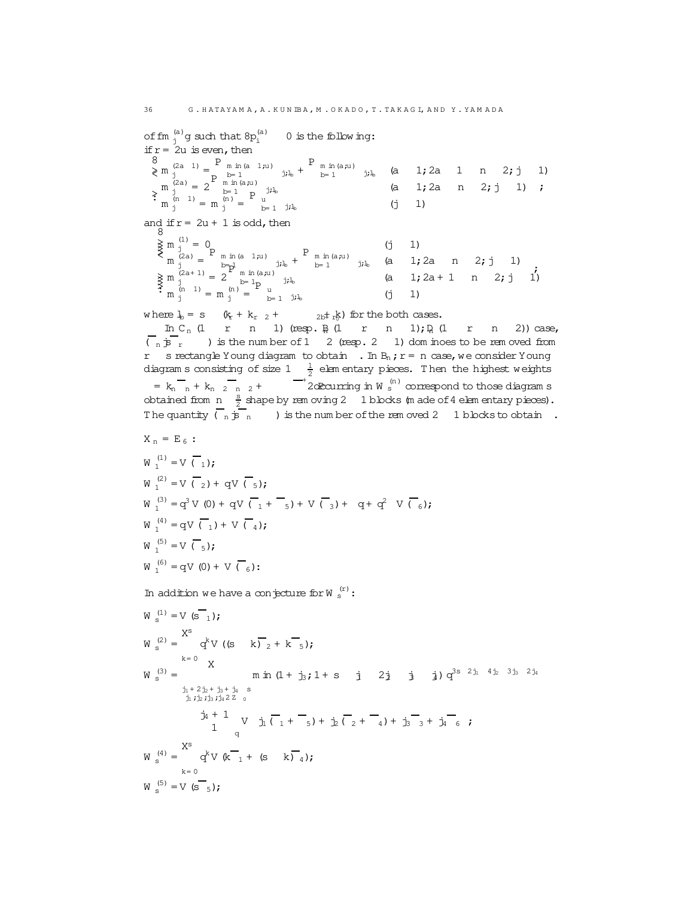of fm  $_{j}^{(a)}$ g such that  $8p_{i}^{(a)}$ 0 is the following: if  $r = 2u$  is even, then 8 >< >:  $m_j^{(2a-1)} = \frac{P}{D} m \ln(a 1;u)$ mm(a 1;u)<br>b= 1 j;l<sub>b</sub> +  $P_{m \text{ in (a,u)}}$  $\sum_{b=1}^{m} \sum_{j \in I_b}$  (a 1;2a 1 n 2;j 1)  $\begin{array}{c} m \ j \ m \end{array}$  = 2 $\begin{array}{c} p \ \text{m in (a,u)} \\ p=1 \ \text{p} \end{array}$  $b=1$   $b=1$   $j,k$  (a 1; 2a n 2; j 1)  $m_{j}^{(n)} = m_{j}^{(n)} = \begin{bmatrix} 1 & 1 & 1 \\ 0 & 1 & 1 \\ 0 & 1 & 1 \end{bmatrix}$  =  $\begin{bmatrix} 1 & 1 & 1 \\ 0 & 1 & 1 \\ 0 & 1 & 1 \end{bmatrix}$ ;

and if  $r = 2u + 1$  is odd, then  $8$ 8

>>>>< >>>>:  $m_j^{(1)} = 0$  (j 1)  $m_j^{(2a)} = \n\begin{bmatrix}\nP & m & m(a_1;u) \\
b & -1\n\end{bmatrix}$ m. m. (d. 1;u)<br>b= 1,lb +  $P_{m \text{ in (a,u)}}$  $j_i l_b$  (a 1;2a n 2; j 1)  $\begin{pmatrix} m & j \\ 2a+1 & j \\ j & 2 \end{pmatrix} = 2 \begin{pmatrix} b-p \\ m & m(a,u) \\ b=1_D \end{pmatrix}$  $\lim_{b=1}$   $\lim_{j\to b}$   $\lim_{b=1}$   $\lim_{j\to b}$   $(a + j)a + 1$  n 2; j 1)<br>  $\lim_{b=1}$   $\lim_{b \to 1}$   $\lim_{b \to 1}$  $\begin{pmatrix} m & j \\ m & m \\ j \end{pmatrix} = m \begin{pmatrix} m & j \\ m & j \end{pmatrix} = \begin{pmatrix} b-1 \\ m & j \end{pmatrix}$   $\begin{pmatrix} b & j \\ b & j \end{pmatrix}$  (j 1)

where  $l_b = s$   $(k_r + k_{r2} + 2k_{r1}k)$  for the both cases.

In C<sub>n</sub> (1 r n 1) (resp.  $\frac{1}{2}$  (1 r n 1);  $\frac{1}{2}$  (1 r n 2)) case,  $\overline{(-n 5r}$  ) is the num ber of 1 2 (resp. 2 1) dom inoes to be rem oved from r s rectangle Young diagram to obtain . In  $B_n$ ;  $r = n$  case, we consider Young diagram s consisting of size  $1-\frac{1}{2}$  elem entary pieces. Then the highest weights  $= k_n - k_{n-2} - k_{n-2}$  +  $= k_{2}$  are  $\frac{1}{2}$  are  $\frac{1}{2}$  or  $\frac{1}{2}$  if  $N$  s correspond to those diagram s obtained from  $n = \frac{s}{2}$  shape by rem oving 2 1 blocks (m ade of 4 elem entary pieces). The quantity  $\begin{pmatrix} 1 & -1 \\ 0 & \frac{1}{2} \end{pmatrix}$  is the num ber of the rem oved 2 1 blocks to obtain.

$$
X_{n} = E_{6} : \nW_{1}^{(1)} = V(\overline{1}); \nW_{1}^{(2)} = V(\overline{2}) + qV(\overline{5}); \nW_{1}^{(3)} = q^{3}V(0) + qV(\overline{1} + \overline{5}) + V(\overline{3}) + q + q^{2}V(\overline{6}); \nW_{1}^{(4)} = qV(\overline{1}) + V(\overline{4}); \nW_{1}^{(5)} = V(\overline{5}); \nW_{1}^{(6)} = qV(0) + V(\overline{6}):
$$

In addition we have a conjecture for  $W_s^{(r)}$ :

$$
W_s^{(1)} = V (s_{1});
$$
\n
$$
W_s^{(2)} = \begin{cases} X^s & \text{if } s = 0 \\ Y & \text{if } s = 0 \\ Y & \text{if } s = 1 \end{cases}
$$
\n
$$
W_s^{(3)} = \begin{cases} X^s & \text{if } s = 1 \\ Y & \text{if } s = 1 \\ Y^s & \text{if } s = 1 \\ Y^s & \text{if } s = 1 \end{cases}
$$
\n
$$
W_s^{(3)} = \begin{cases} Y^s & \text{if } s = 1 \\ Y^s & \text{if } s = 1 \\ Y^s & \text{if } s = 1 \end{cases}
$$
\n
$$
W_s^{(4)} = \begin{cases} X^s & \text{if } s = 0 \\ Y^s & \text{if } s = 1 \end{cases}
$$
\n
$$
W_s^{(5)} = V (s_{5});
$$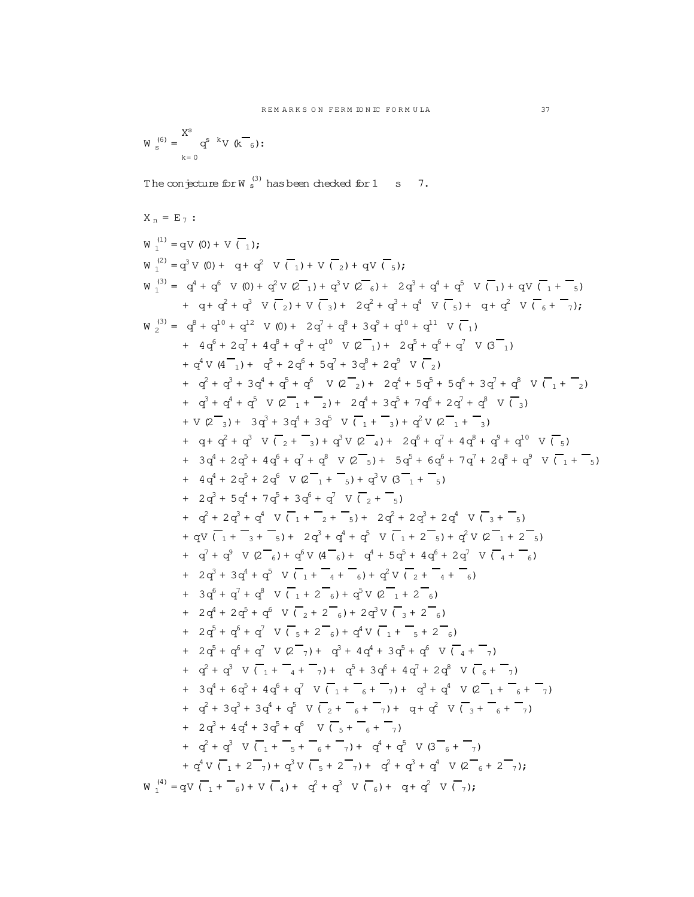$$
W_s^{(6)}=\sum_{k=0}^{X^S}q^{s-k}V(k_{6})\colon
$$

The conjecture for W  $_{\rm s}^{(3)}$  has been checked for 1 s  $-7$ .

$$
X_{n} = E_{7}
$$
:  
\n
$$
W_{1}^{(1)} = qV(0) + V(\overline{1});
$$
  
\n
$$
W_{1}^{(2)} = q^{2}V(0) + q + q^{2} V(\overline{1}) + V(\overline{2}) + qV(\overline{5});
$$
  
\n
$$
W_{1}^{(3)} = q^{4} + q^{5} V(0) + q^{2} V(2\overline{1}) + q^{3} V(2\overline{6}) + 2q^{3} + q^{4} + q^{5} V(\overline{1}) + qV(\overline{1} + \overline{5})
$$
  
\n
$$
+ q + q^{2} + q^{3} V(\overline{2}) + V(\overline{3}) + 2q^{2} + q^{3} + q^{4} V(\overline{5}) + q + q^{2} V(\overline{6} + \overline{7})
$$
  
\n
$$
W_{2}^{(3)} = q^{2} + q^{10} + q^{22} V(0) + 2q^{7} + q^{2} + 3q^{2} + q^{10} + q^{11} V(\overline{1})
$$
  
\n
$$
+ 4q^{6} + 2q^{7} + 4q^{4} + q^{5} + q^{4} V(2\overline{1}) + 2q^{5} + q^{6} + q^{7} V(3\overline{1})
$$
  
\n
$$
+ q^{3} + q^{4} + q^{5} V(2\overline{1} + \overline{2}) + 2q^{4} + 5q^{5} + 5q^{5} + 3q^{7} + q^{8} V(\overline{1} + \overline{2})
$$
  
\n
$$
+ q^{3} + q^{4} + q^{5} V(2\overline{1} + \overline{2}) + 2q^{4} + 3q^{5} + 7q^{6} + 2q^{7} + q^{8} V(\overline{1} + \overline{2})
$$
  
\n
$$
+ V(2\overline{3}) + 3q^{3} + 3q^{4} + 3q^{5} V(\overline{1} + \overline{3}) + q^{5} V(2\overline{1} + \overline{3})
$$
  
\n
$$
+ q^{4} + 2q^{5} + 4q^{6} + q^{7} + q^{8} V(2\overline{3}) + 5q^{
$$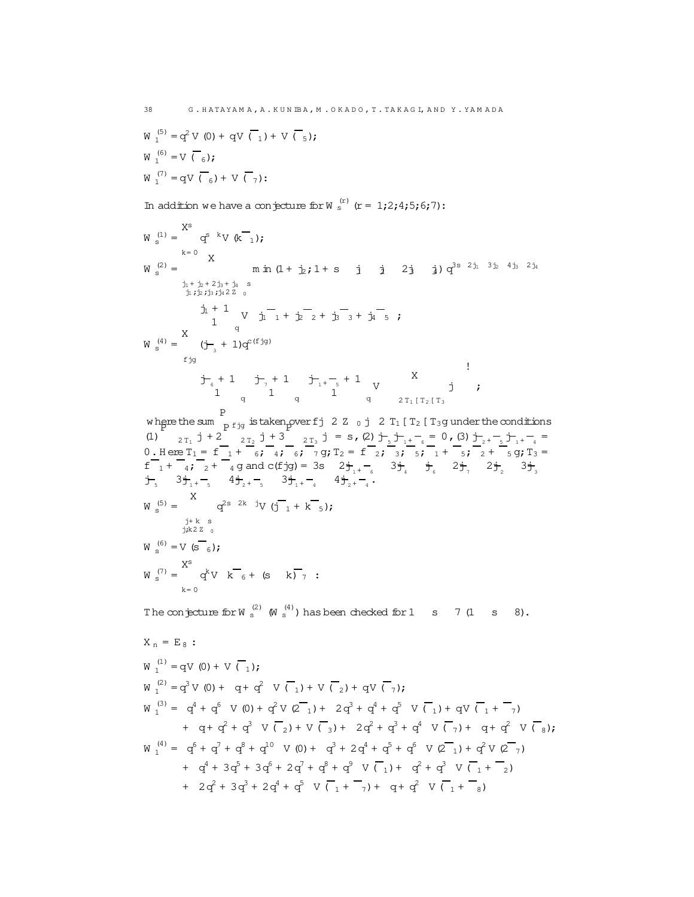$$
W_1^{(5)} = q^2 V (0) + qV (\overline{1}) + V (\overline{5});
$$
  
\n
$$
W_1^{(6)} = V (\overline{6});
$$
  
\n
$$
W_1^{(7)} = qV (\overline{6}) + V (\overline{7});
$$

In addition we have a conjecture for W  $_s^{(r)}$  (r = 1;2;4;5;6;7):

$$
W_s^{(1)} = \begin{cases} X^s & \text{if } (K_{-1}) \text{ and } X \text{ is the } 0 \text{ and } X \text{ is the } 0 \text{ and } X \text{ is the } 0 \text{ and } X \text{ is the } 0 \text{ and } X \text{ is the } 0 \text{ and } X \text{ is the } 0 \text{ and } X \text{ is the } 0 \text{ and } X \text{ is the } 0 \text{ and } X \text{ is the } 0 \text{ and } X \text{ is the } 0 \text{ and } X \text{ is the } 0 \text{ and } X \text{ is the } 0 \text{ and } X \text{ is the } 0 \text{ and } X \text{ is the } 0 \text{ and } X \text{ is the } 0 \text{ and } X \text{ is the } 0 \text{ and } X \text{ is the } 0 \text{ and } X \text{ is the } 0 \text{ and } X \text{ is the } 0 \text{ and } X \text{ is the } 0 \text{ and } X \text{ is the } 0 \text{ and } X \text{ is the } 0 \text{ and } X \text{ is the } 0 \text{ and } X \text{ is the } 0 \text{ and } X \text{ is the } 0 \text{ and } X \text{ is the } 0 \text{ and } X \text{ is the } 0 \text{ and } X \text{ is the } 0 \text{ and } X \text{ is the } 0 \text{ and } X \text{ is the } 0 \text{ and } X \text{ is the } 0 \text{ and } X \text{ is the } 0 \text{ and } X \text{ is the } 0 \text{ and } X \text{ is the } 0 \text{ and } X \text{ is the } 0 \text{ and } X \text{ is the } 0 \text{ and } X \text{ is the } 0 \text{ and } X \text{ is the } 0 \text{ and } X \text{ is the } 0 \text{ and } X \text{ is the } 0 \text{ and } X \text{ is the } 0 \text{ and } X \text{ is the } 0 \text{ and } X \text{ is the } 0 \text{ and } X \text{ is the } 0 \text{ and } X \text{ is the } 0 \text{ and } X \text{ is the } 0 \text{ and } X \text{ is the } 0 \text{ and } X \text{ is the } 0 \text{ and } X \text{ is the } 0 \text{ and } X \text{ is the } 0 \text{ and } X \text{ is the } 0 \text{ and } X \text{ is the } 0 \text{ and
$$

$$
W_1^{(1)} = qV(0) + V(\overline{t}_1);
$$
  
\n
$$
W_1^{(2)} = q^3V(0) + q + q^2V(\overline{t}_1) + V(\overline{t}_2) + qV(\overline{t}_1);
$$
  
\n
$$
W_1^{(3)} = q^4 + q^6V(0) + q^2V(2\overline{t}_1) + 2q^3 + q^4 + q^5V(\overline{t}_1) + qV(\overline{t}_1 + \overline{t}_1)
$$
  
\n
$$
+ q + q^2 + q^3V(\overline{t}_2) + V(\overline{t}_3) + 2q^2 + q^3 + q^4V(\overline{t}_1) + q + q^2V(\overline{t}_8);
$$
  
\n
$$
W_1^{(4)} = q^6 + q^7 + q^8 + q^{10}V(0) + q^3 + 2q^4 + q^5 + q^6V(2\overline{t}_1) + q^2V(2\overline{t}_1)
$$
  
\n
$$
+ q^4 + 3q^5 + 3q^6 + 2q^7 + q^8 + q^9V(\overline{t}_1) + q^2 + q^3V(\overline{t}_1 + \overline{t}_2)
$$
  
\n
$$
+ 2q^2 + 3q^3 + 2q^4 + q^5V(\overline{t}_1 + \overline{t}_1) + q + q^2V(\overline{t}_1 + \overline{t}_2)
$$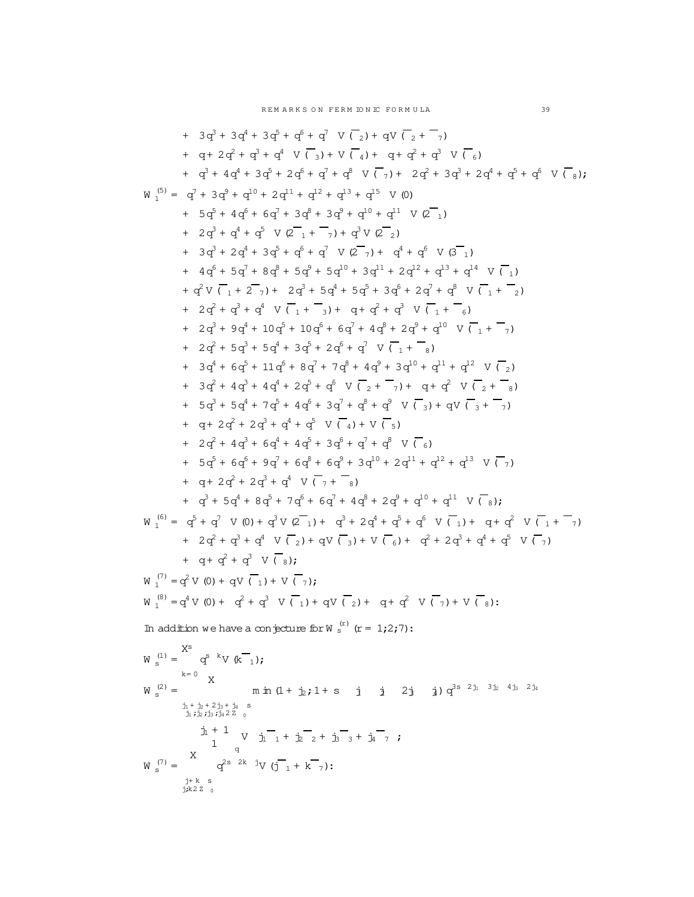+ 3q <sup>3</sup> + 3q <sup>4</sup> + 3q <sup>5</sup> + q <sup>6</sup> + q <sup>7</sup> V ( <sup>2</sup>)+ qV ( <sup>2</sup> + <sup>7</sup>) + q+ 2q + q + q V ( <sup>3</sup>)+ V ( <sup>4</sup>)+ q+ q + q V ( <sup>6</sup>) + q + 4q + 3q + 2q + q + q V ( <sup>7</sup>)+ 2q + 3q + 2q + q + q V ( <sup>8</sup>); W (5) = q + 3q + q + 2q + q + q + q V (0) + 5q + 4q + 6q + 3q + 3q + q + q V (2 <sup>1</sup>) + 2q + q + q V (2 <sup>1</sup> + <sup>7</sup>)+ q V (2 <sup>2</sup>) + 3q + 2q + 3q + q + q V (2 <sup>7</sup>)+ q + q V (3 <sup>1</sup>) + 4q + 5q + 8q + 5q + 5q + 3q + 2q + q + q V ( <sup>1</sup>) + q V ( <sup>1</sup> + 2 <sup>7</sup>)+ 2q + 5q + 5q + 3q + 2q + q V ( <sup>1</sup> + <sup>2</sup>) + 2q + q + q V ( <sup>1</sup> + <sup>3</sup>)+ q+ q + q V ( <sup>1</sup> + <sup>6</sup>) + 2q + 9q + 10q + 10q + 6q + 4q + 2q + q V ( <sup>1</sup> + <sup>7</sup>) + 2q + 5q + 5q + 3q + 2q + q V ( <sup>1</sup> + <sup>8</sup>) + 3q + 6q + 11q + 8q + 7q + 4q + 3q + q + q V ( <sup>2</sup>) + 3q + 4q + 4q + 2q + q V ( <sup>2</sup> + <sup>7</sup>)+ q+ q V ( <sup>2</sup> + <sup>8</sup>) + 5q + 5q + 7q + 4q + 3q + q + q V ( <sup>3</sup>)+ qV ( <sup>3</sup> + <sup>7</sup>) + q+ 2q + 2q + q + q V ( <sup>4</sup>)+ V ( <sup>5</sup>) + 2q + 4q + 6q + 4q + 3q + q + q V ( <sup>6</sup>) + 5q + 6q + 9q + 6q + 6q + 3q + 2q + q + q V ( <sup>7</sup>) + q+ 2q + 2q + q V ( <sup>7</sup> + <sup>8</sup>) + q + 5q + 8q + 7q + 6q + 4q + 2q + q + q V ( <sup>8</sup>); W (6) = q + q V (0)+ q V (2 <sup>1</sup>)+ q + 2q + q + q V ( <sup>1</sup>)+ q+ q V ( <sup>1</sup> + <sup>7</sup>) + 2q + q + q V ( <sup>2</sup>)+ qV ( <sup>3</sup>)+ V ( <sup>6</sup>)+ q + 2q + q + q V ( <sup>7</sup>) + q+ q + q V ( <sup>8</sup>); W (7) = q V (0)+ qV ( <sup>1</sup>)+ V ( <sup>7</sup>); W (8) = q V (0)+ q + q V ( <sup>1</sup>)+ qV ( <sup>2</sup>)+ q+ q V ( <sup>7</sup>)+ V ( <sup>8</sup>): In addition we have a conjecture forW (r) <sup>s</sup> (r = 1;2;7): W (1) <sup>s</sup> = Xs k= 0 q <sup>s</sup> <sup>k</sup>V (k <sup>1</sup>); W (2) <sup>s</sup> = X j<sup>1</sup> + j<sup>2</sup> + 2j<sup>3</sup> + j<sup>4</sup> s j<sup>1</sup> ;j<sup>2</sup> ;j<sup>3</sup> ;j<sup>4</sup> 2 Z <sup>0</sup> m in (1 + j2;1 + s j<sup>1</sup> j<sup>2</sup> 2j<sup>3</sup> j4)q s 2j<sup>1</sup> 3j<sup>2</sup> 4j<sup>3</sup> 2j<sup>4</sup> j<sup>1</sup> + 1 <sup>q</sup> V j<sup>1</sup> <sup>1</sup> + j<sup>2</sup> <sup>2</sup> + j<sup>3</sup> <sup>3</sup> + j<sup>4</sup> <sup>7</sup> ; W (7) <sup>s</sup> = X q <sup>2</sup><sup>s</sup> <sup>2</sup><sup>k</sup> <sup>j</sup>V (j <sup>1</sup> + k <sup>7</sup>):

j+ k s j;k2 Z <sup>0</sup>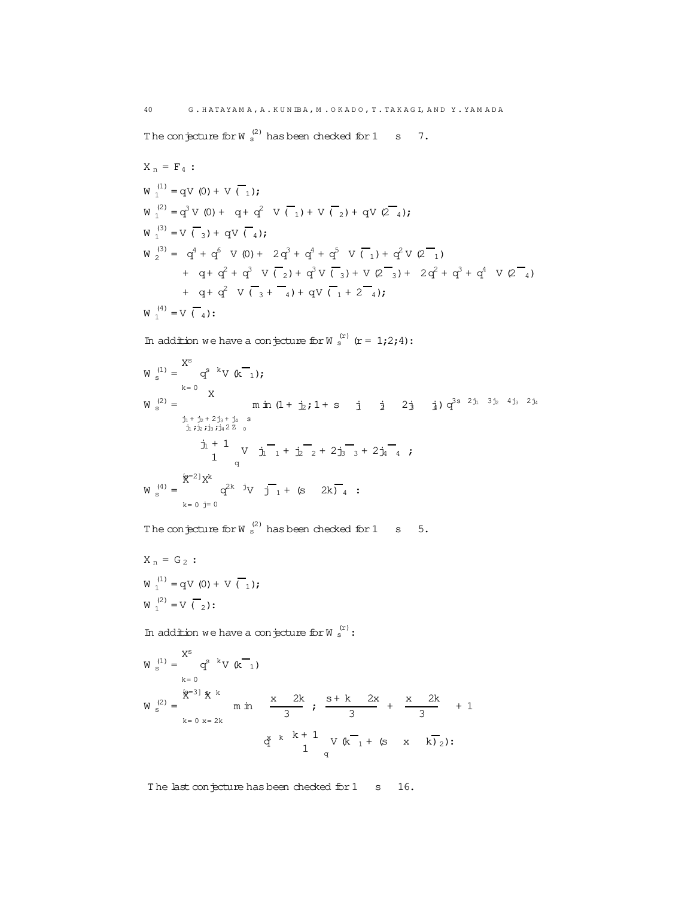The conjecture for W  $_{\rm s}^{(2)}$  has been checked for 1 s 7.

$$
X_{n} = F_{4} :
$$
\n
$$
W_{1}^{(1)} = qV(0) + V(T_{1});
$$
\n
$$
W_{1}^{(2)} = q^{3}V(0) + q + q^{2}V(T_{1}) + V(T_{2}) + qV(2_{4});
$$
\n
$$
W_{1}^{(3)} = V(T_{3}) + qV(T_{4});
$$
\n
$$
W_{2}^{(3)} = q^{4} + q^{6}V(0) + 2q^{3} + q^{4} + q^{5}V(T_{1}) + q^{2}V(2_{1}) + q + q^{2} + q^{3}V(T_{2}) + q^{3}V(T_{3}) + V(2_{3}) + 2q^{2} + q^{3} + q^{4}V(2_{4}) + q + q^{2}V(T_{3} + q) + qV(T_{1} + 2_{4});
$$
\n
$$
W_{1}^{(4)} = V(T_{4}):
$$

In addition we have a conjecture for W  $_s^{\text{(r)}}$  (r = 1;2;4):

$$
W_s^{(1)} = \begin{cases} X^s & \text{if } x = 0 \\ x & \text{if } x = 0 \\ \frac{1}{2}x + \frac{1}{2}x + \frac{1}{2}x + \frac{1}{2}x + \frac{1}{2}x + \frac{1}{2}x + \frac{1}{2}x + \frac{1}{2}x + \frac{1}{2}x + \frac{1}{2}x + \frac{1}{2}x + \frac{1}{2}x + \frac{1}{2}x + \frac{1}{2}x + \frac{1}{2}x + \frac{1}{2}x + \frac{1}{2}x + \frac{1}{2}x + \frac{1}{2}x + \frac{1}{2}x + \frac{1}{2}x + \frac{1}{2}x + \frac{1}{2}x + \frac{1}{2}x + \frac{1}{2}x + \frac{1}{2}x + \frac{1}{2}x + \frac{1}{2}x + \frac{1}{2}x + \frac{1}{2}x + \frac{1}{2}x + \frac{1}{2}x + \frac{1}{2}x + \frac{1}{2}x + \frac{1}{2}x + \frac{1}{2}x + \frac{1}{2}x + \frac{1}{2}x + \frac{1}{2}x + \frac{1}{2}x + \frac{1}{2}x + \frac{1}{2}x + \frac{1}{2}x + \frac{1}{2}x + \frac{1}{2}x + \frac{1}{2}x + \frac{1}{2}x + \frac{1}{2}x + \frac{1}{2}x + \frac{1}{2}x + \frac{1}{2}x + \frac{1}{2}x + \frac{1}{2}x + \frac{1}{2}x + \frac{1}{2}x + \frac{1}{2}x + \frac{1}{2}x + \frac{1}{2}x + \frac{1}{2}x + \frac{1}{2}x + \frac{1}{2}x + \frac{1}{2}x + \frac{1}{2}x + \frac{1}{2}x + \frac{1}{2}x + \frac{1}{2}x + \frac{1}{2}x + \frac{1}{2}x + \frac{1}{2}x + \frac{1}{2}x + \frac{1}{2}x + \frac{1}{2}x + \frac{1}{2}x + \frac{1}{2}x + \frac{1}{2}x + \frac{1}{2}x + \frac{1}{2}x + \frac{1}{2}x + \frac{1}{2}x + \frac{1}{2}x + \
$$

The conjecture for W  $_{\rm s}^{(2)}$  has been checked for 1 s 5.

$$
X_n = G_2 :\nW_1^{(1)} = qV(0) + V(\overline{C}_1);\nW_1^{(2)} = V(\overline{C}_2):
$$

In addition we have a conjecture for  $W_s^{(r)}$ :

$$
W_s^{(1)} = \begin{cases} X^s & \text{if } k = 0 \\ k = 0 & \text{if } k = 0 \end{cases}
$$
\n
$$
W_s^{(2)} = \begin{cases} \frac{k-3}{2} & \text{if } k = 0 \\ k = 0 & \text{if } k = 2k \end{cases}
$$
\n
$$
W_s^{(2)} = \begin{cases} \frac{k-3}{2} & \text{if } k = 2k \\ \frac{k}{3} & \text{if } k = 1 \\ \frac{k}{3} & \text{if } k = 1 \\ \frac{k}{3} & \text{if } k = 1 \end{cases}
$$

The last conjecture has been checked for 1 s 16.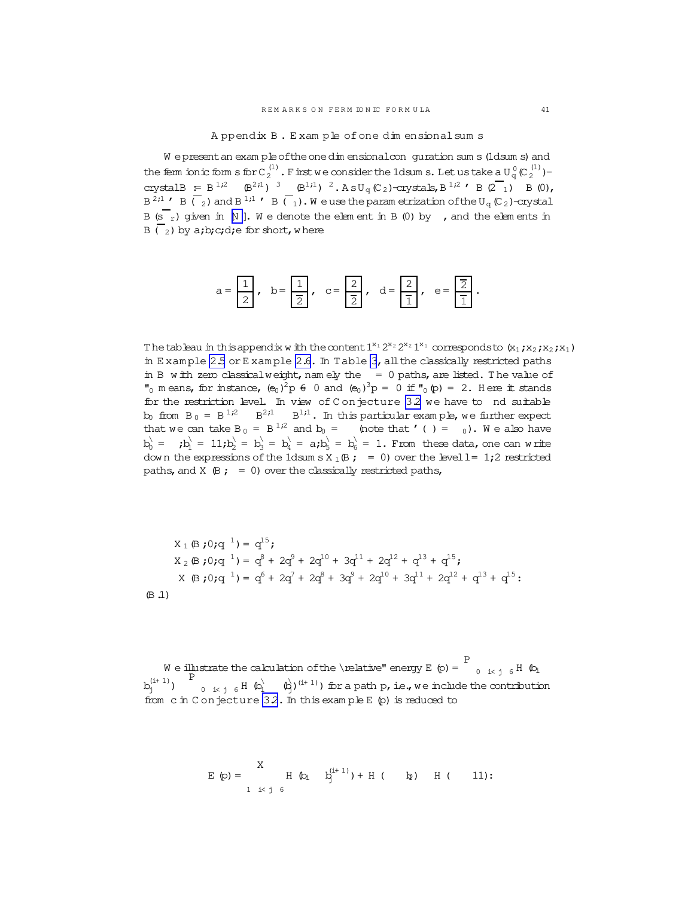Appendix B. Example of one dimensional sum s

<span id="page-40-0"></span>We present an exam ple of the one dimensional conguration sum s (1dsum s) and the fem ionic form s for  $C_2^{(1)}$ . First we consider the 1dsum s. Let us take a  $U_q^0(C_2^{(1)})$ crystalB = B<sup>1,2</sup> (B<sup>2,1</sup>)<sup>3</sup> (B<sup>1,1</sup>)<sup>2</sup>.AsU<sub>q</sub>(C<sub>2</sub>)-crystals, B<sup>1,2</sup>' B(2<sub>1</sub>)<sup>4</sup>(2<sup>1</sup>),  $B^{2,1}$  ' B  $\overline{(-2)}$  and B<sup>1,1</sup> ' B  $\overline{(-1)}$ . We use the parametrization of the U<sub>q</sub> (C<sub>2</sub>)-crystal B  $(s_r)$  given in N ]. We denote the element in B (0) by , and the elements in B  $\binom{1}{2}$  by a;b;c;d;e for short, where

a = 
$$
\frac{1}{2}
$$
, b =  $\frac{1}{2}$ , c =  $\frac{2}{2}$ , d =  $\frac{2}{1}$ , e =  $\frac{2}{1}$ .

The tableau in this appendix with the content  $1^{x_1} 2^{x_2} 2^{x_2} 1^{x_1}$  corresponds to  $(x_1, x_2, x_1, x_2)$ in Example 2.5 or Example 2.6. In Table 3, all the classically restricted paths in B with zero classical weight, namely the  $= 0$  paths, are listed. The value of  $\binom{n}{0}$  m eans, for instance,  $(e_0)^2 p \in 0$  and  $(e_0)^3 p = 0$  if  $\binom{n}{0} (p) = 2$ . Here it stands for the restriction level. In view of Conjecture 32 we have to nd suitable  $b_0$  from  $B_0 = B^{1/2}$   $B^{2/1}$   $B^{1/1}$ . In this particular example, we further expect that we can take  $B_0 = B^{1/2}$  and  $b_0 =$  (note that '() = 0). We also have  $b_0' =$  ;  $b_1' = 11$ ;  $b_2' = b_3' = b_4' = a$ ;  $b_5' = b_6' = 1$ . From these data, one can write down the expressions of the 1dsum s  $X_1 \oplus z = 0$  over the level  $l = 1,2$  restricted paths, and  $X$   $(B; = 0)$  over the classically restricted paths,

$$
X_1 \times j0; q1 = q15;
$$
  
\n
$$
X_2 \times j0; q1 = q8 + 2q9 + 2q10 + 3q11 + 2q12 + q13 + q15;
$$
  
\n
$$
X \times j0; q1 = q6 + 2q7 + 2q8 + 3q9 + 2q10 + 3q11 + 2q12 + q13 + q15;
$$
  
\n
$$
(B.1)
$$

We illustrate the calculation of the \relative" energy E (p) =  $\frac{P}{P}$ <sub>0 i< j 6</sub> H (bi from  $c$  in Conjecture 3.2. In this example  $E$  (p) is reduced to

$$
E(p) = \begin{cases} X & H(p_i + b_j^{(i+1)}) + H(-b) & H(-11): \\ 1 & i < j \leq 0 \end{cases}
$$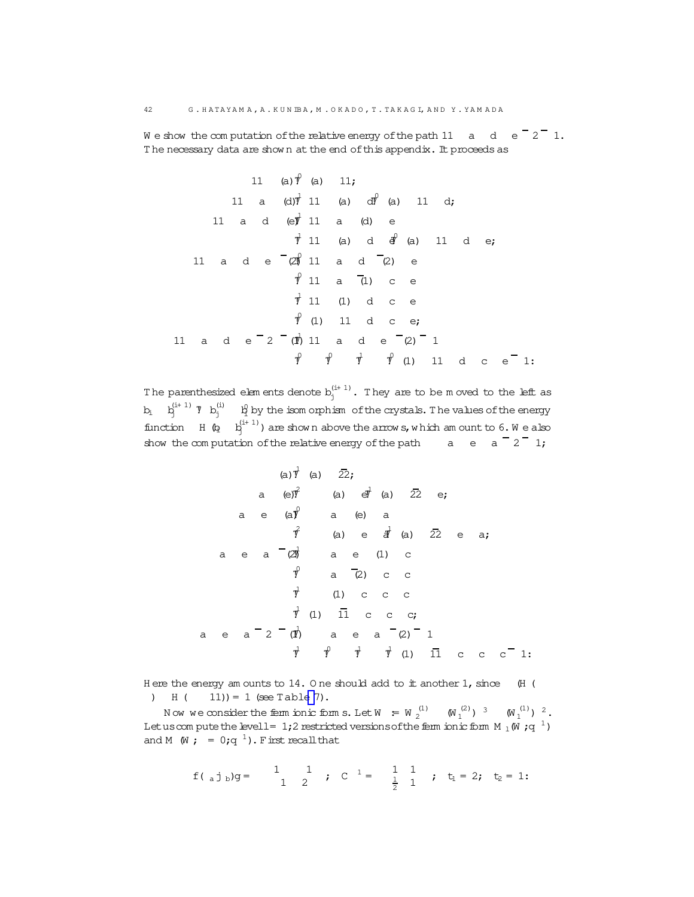$42$ 

We show the computation of the relative energy of the path 11  $\alpha$  d e  $\overline{2}$  1. The necessary data are shown at the end of this appendix. It proceeds as

11 (a) 
$$
\hat{r}
$$
 (a) 11;  
\n11 a (d)  $\hat{r}$  11 (a) d $\hat{r}$  (a) 11 d;  
\n11 a d (e $\hat{r}$  11 a (d) e  
\n $\hat{r}$  11 (a) d  $\hat{r}$  (a) 11 d e;  
\n11 a d e  $\begin{bmatrix} 2\hat{r} & 11 \\ 2\hat{r} & 11 \end{bmatrix}$  a d  $\begin{bmatrix} 2\hat{r} & 2\hat{r} \\ 2\hat{r} & 2\hat{r} \end{bmatrix}$  a d e  $\begin{bmatrix} 2\hat{r} & 2\hat{r} \\ 2\hat{r} & 2\hat{r} \end{bmatrix}$  a d e  $\begin{bmatrix} 2\hat{r} & 2\hat{r} \\ 2\hat{r} & 2\hat{r} \end{bmatrix}$  a d e  $\begin{bmatrix} 2\hat{r} & 2\hat{r} \\ 2\hat{r} & 2\hat{r} \end{bmatrix}$  a d e  $\begin{bmatrix} 2\hat{r} & 2\hat{r} \\ 2\hat{r} & 2\hat{r} \end{bmatrix}$  a d e  $\begin{bmatrix} 2\hat{r} & 2\hat{r} \\ 2\hat{r} & 2\hat{r} \end{bmatrix}$  a d e  $\begin{bmatrix} 2\hat{r} & 2\hat{r} \\ 2\hat{r} & 2\hat{r} \end{bmatrix}$  a d e  $\begin{bmatrix} 2\hat{r} & 2\hat{r} \\ 2\hat{r} & 2\hat{r} \end{bmatrix}$  a d e  $\begin{bmatrix} 2\hat{r} & 2\hat{r} \\ 2\hat{r} & 2\hat{r} \end{bmatrix}$  a d e  $\begin{bmatrix} 2\hat{r} & 2\hat{r} \\ 2\hat{r} & 2\hat{r} \end{bmatrix}$  a d e  $\begin{bmatrix} 2\hat{r} & 2\hat{r} \\ 2\hat{r} & 2\hat{r} \end{bmatrix}$  a d e  $\begin{bmatrix} 2\hat{r} & 2\hat{r} \\ 2\hat{r} & 2\hat{r} \$ 

The parenthesized elements denote  $b_j^{(i+1)}$ . They are to be moved to the left as  $b_i$   $b_j^{(i+1)}$   $\gamma$   $b_j^{(i)}$   $\beta_j$  by the isom orphism of the crystals. The values of the energy function  $H(\mathbf{Q} - \mathbf{Q}^{(i+1)})$  are shown above the arrows, which am ount to 6. We also show the computation of the relative energy of the path  $a = a^{-2}$  1;

(a) 
$$
\vec{y}
$$
 (a)  $2\vec{z}$ ;  
\na (e)  $\vec{y}$  (a)  $e^{\vec{y}}$  (a)  $2\vec{z}$  e;  
\na e (a)  $\vec{y}$  a (e) a  
\n $\vec{y}$  (a) e  $\vec{d}$  (a)  $2\vec{z}$  e a;  
\na e a  $2\vec{y}$  a e (1) c  
\n $\vec{y}$  a  $2\vec{z}$  c c  
\n $\vec{y}$  (1) c c c  
\na e a  $2 - (\vec{y})$  a e a  $2\vec{z}$  (2) 1  
\n $\vec{y}$   $\vec{y}$   $\vec{y}$   $\vec{y}$  (1) ii c c c<sup>-1</sup>

Here the energy am ounts to  $14.0$  ne should add to it another  $1$ , since (H (  $H(11) = 1$  (see Table 7).

Now we consider the ferm ionic form s. Let  $W = W_2^{(1)} - (W_1^{(2)})^3 - (W_1^{(1)})^2$ . Let us compute the level 1 = 1;2 restricted versions of the ferm ionic form  $M_1(W; q^{-1})$ and M  $(W; = 0;q^{-1})$ . First recall that

$$
f(a_j b)g =
$$
  $\begin{pmatrix} 1 & 1 \\ 1 & 2 \end{pmatrix}$   $j \quad c^{-1} =$   $\begin{pmatrix} 1 & 1 \\ \frac{1}{2} & 1 \end{pmatrix}$   $j \quad t_1 = 2$   $j \quad t_2 = 1$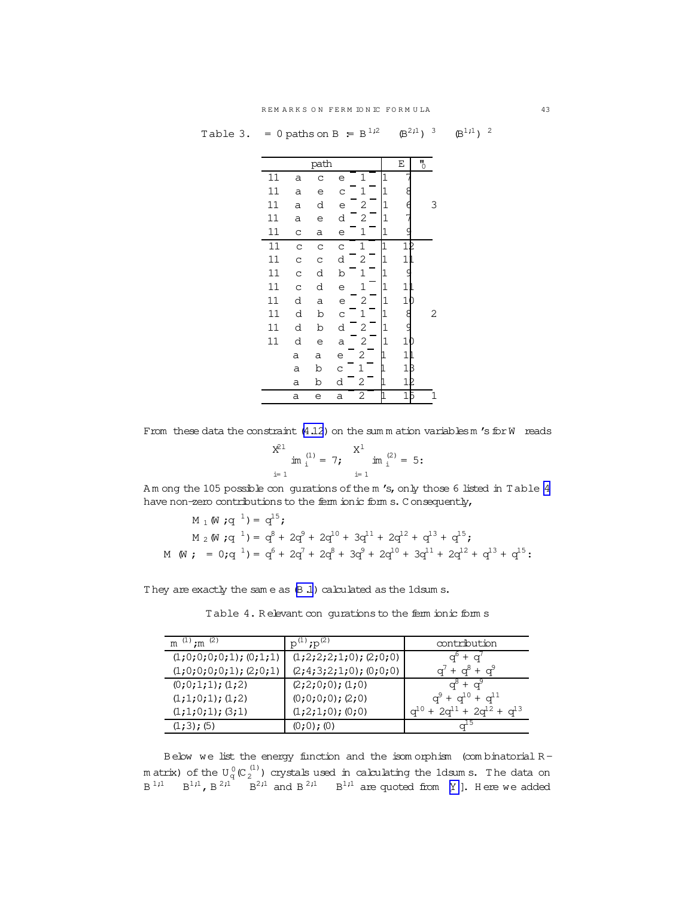<span id="page-42-0"></span>

|  | Table 3. = 0 paths on B = $B^{1,2}$ $(B^{2,1})^{3}$ $(B^{1,1})^{2}$ |  |  |  |
|--|---------------------------------------------------------------------|--|--|--|
|--|---------------------------------------------------------------------|--|--|--|

|    |   | path |              |                |                | Ε              | $\overline{5}$ |
|----|---|------|--------------|----------------|----------------|----------------|----------------|
| 11 | a | C    | е            | 1              | 1              |                |                |
| 11 | a | е    | C            | $\mathbf 1$    | $\mathbf{1}$   |                |                |
| 11 | a | d    | е            | 2              | $\mathbf 1$    |                | 3              |
| 11 | a | е    | d            | 2              | $\mathbf 1$    |                |                |
| 11 | C | а    | е            | 1              | 1              |                |                |
| 11 | C | C    | C            | 1              | 1              | 1              |                |
| 11 | C | C    | d            | $\overline{c}$ | $\overline{1}$ | 1              |                |
| 11 | C | d    | b            | 1              | 1              |                |                |
| 11 | C | d    | е            | $\mathbf{1}$   | 1              | 1              |                |
| 11 | d | a    | е            | $\overline{c}$ | $\mathbf 1$    | $\overline{1}$ |                |
| 11 | d | b    | $\mathsf{C}$ | 1              | $\overline{1}$ | 8              | 2              |
| 11 | d | b    | d            | $\overline{c}$ | $\mathbf{1}$   | ç              |                |
| 11 | d | e    | a            | 2              | $\overline{1}$ | 1              |                |
|    | а | а    | е            | 2              |                | $\mathbf{1}$   |                |
|    | a | b    | C            | 1              |                | $\mathbf{1}$   |                |
|    | a | b    | d            | 2              |                | 1              |                |
|    | a | e    | a            | 2              |                | $\mathbf{1}$   |                |

From these data the constraint  $(4.12)$  $(4.12)$  on the sum m ation variables m 's for W reads

$$
\sum_{i=1}^{X^{21}} im_{i}^{(1)} = 7; \qquad \sum_{i=1}^{X^{1}} im_{i}^{(2)} = 5:
$$

Am ong the 105 possible con gurations of the m 's, only those 6 listed in Table 4 have non-zero contributions to the ferm ionic form s. C onsequently,

$$
M_1(W;q^{1}) = q^{15};
$$
  
\n
$$
M_2(W;q^{1}) = q^8 + 2q^9 + 2q^{10} + 3q^{11} + 2q^{12} + q^{13} + q^{15};
$$
  
\n
$$
M(W; = 0;q^{1}) = q^6 + 2q^7 + 2q^8 + 3q^9 + 2q^{10} + 3q^{11} + 2q^{12} + q^{13} + q^{15};
$$

They are exactly the same as  $(B.1)$  calculated as the 1dsum s.

Table 4. Relevant con gurations to the ferm ionic form s

| m $(1)$ ; m $(2)$          | $p^{(1)}$ ; $p^{(2)}$       | contribution                                  |
|----------------------------|-----------------------------|-----------------------------------------------|
| $(1;0;0;0;0;1);$ $(0;1;1)$ | $(1;2;2;2;1;0)$ ; $(2;0;0)$ | $a^6 + a^7$                                   |
| $(1;0;0;0;0;1);$ $(2;0;1)$ | $(2;4;3;2;1;0);$ $(0;0;0)$  | $q^{7} + q^{8} + q^{9}$                       |
| (0;0;1;1); (1;2)           | $(2;2;0;0);$ $(1;0)$        | $a^8 + a^9$                                   |
| (1;1;0;1); (1;2)           | $(0;0;0;0);$ $(2;0)$        | $q^{9} + q^{10} + q^{11}$                     |
| $(1;1;0;1);$ $(3;1)$       | $(1;2;1;0);$ $(0;0)$        | $q^{10}$ + 2 $q^{11}$ + 2 $q^{12}$ + $q^{13}$ |
| $(1;3)$ ; (5)              | (0;0);(0)                   |                                               |

Below we list the energy function and the isom orphism (com binatorial Rmatrix) of the  $\mathtt{U}_\mathtt{q}^{\,0}(\mathtt{C}_2^{\,(1)})$  crystals used in calculating the 1dsums. The data on  $B^{1,1}$   $B^{1,1}$ ,  $B^{2,1}$   $B^{2,1}$  and  $B^{2,1}$   $B^{1,1}$  are quoted from [[Y](#page-47-0) ]. Here we added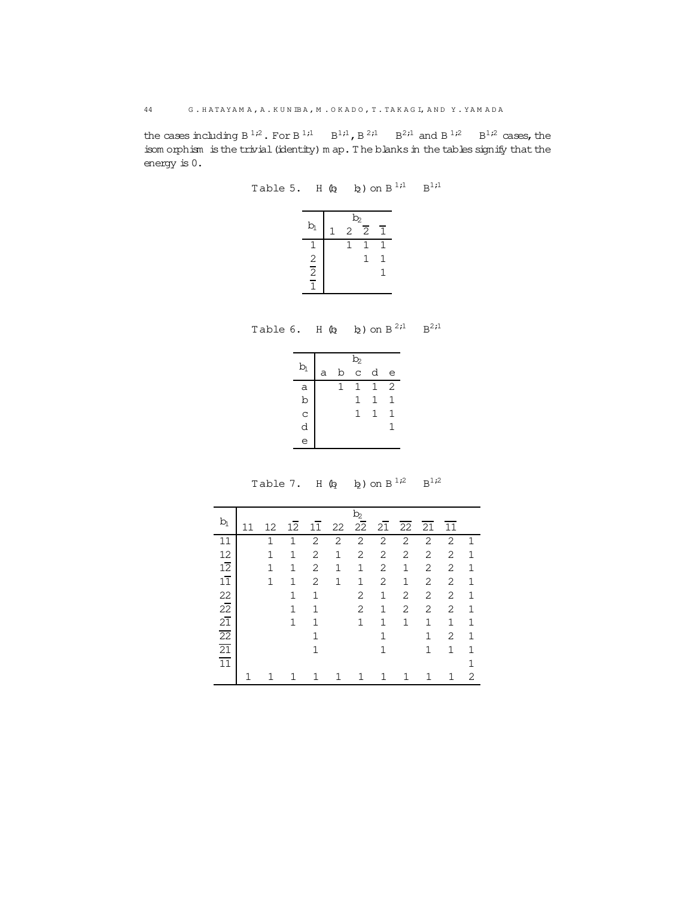<span id="page-43-0"></span>the cases including  $B^{1,2}$ . For  $B^{1,1}$   $B^{1,1}$ ,  $B^{2,1}$   $B^{2,1}$  and  $B^{1,2}$   $B^{1,2}$  cases, the isom orphism is the trivial (identity) m ap. The blanks in the tables signify that the energy is 0.

Table 5. H  $\left(\begin{matrix} 6 \\ 2 \end{matrix}\right)$  on  $B^{1,1}$   $B^{1,1}$ 

|               | b, |                |   |
|---------------|----|----------------|---|
| $b_1$         | 2  | $\overline{2}$ | 1 |
| 1             |    | 1              | 1 |
|               |    | 1              | 1 |
| $\frac{2}{2}$ |    |                | 1 |
|               |    |                |   |

Table 6. H  $\left(\frac{1}{2} \quad \frac{1}{2}\right)$  on  $B^{2,1} \quad B^{2,1}$ 

|              |   |   | b <sub>2</sub> |   |                |
|--------------|---|---|----------------|---|----------------|
| b            | a | b | C              | d | e              |
| а            |   | 1 | 1              | 1 | $\overline{2}$ |
| $\mathbf b$  |   |   | 1              | 1 | 1              |
| $\mathbf{C}$ |   |   | 1              | 1 | 1              |
| d            |   |   |                |   | 1              |
| e            |   |   |                |   |                |

Table 7. H  $\left(\frac{1}{2} \quad \frac{1}{2}\right)$  on  $B^{1/2} \quad B^{1/2}$ 

|                                                              |    |              |              |    |    | $b_2$           |              |             |              |              |              |
|--------------------------------------------------------------|----|--------------|--------------|----|----|-----------------|--------------|-------------|--------------|--------------|--------------|
| $b_1$                                                        | 11 | 12           | 12           | 11 | 22 | $2\overline{2}$ | 21           | 22          | 21           | 11           |              |
| 11                                                           |    | $\mathbf{1}$ | 1            | 2  | 2  | 2               | 2            | 2           | 2            | 2            | $\mathbf{1}$ |
| 12                                                           |    | $\mathbf{1}$ | 1            | 2  | 1  | 2               | 2            | 2           | 2            | 2            | $\mathbf{1}$ |
| $1\overline{2}$                                              |    | $\mathbf{1}$ | 1            | 2  | 1  | $\mathbf{1}$    | 2            | $\mathbf 1$ | 2            | 2            | $\mathbf{1}$ |
| $1\overline{1}$                                              |    | 1            | $\mathbf{1}$ | 2  | 1  | 1               | 2            | 1           | 2            | 2            | $\mathbf{1}$ |
|                                                              |    |              | 1            | 1  |    | 2               | 1            | 2           | 2            | 2            | $\mathbf{1}$ |
| $\begin{array}{c}\n 22 \\  22 \\  \hline\n 21\n \end{array}$ |    |              | 1            | 1  |    | 2               | 1            | 2           | 2            | 2            | 1            |
|                                                              |    |              | 1            | 1  |    | 1               | $\mathbf{1}$ | 1           | 1            | $\mathbf{1}$ | $\mathbf{1}$ |
| $\frac{22}{21}$ $\frac{21}{11}$                              |    |              |              | 1  |    |                 | $\mathbf{1}$ |             | $\mathbf{1}$ | 2            | $\mathbf{1}$ |
|                                                              |    |              |              | 1  |    |                 | $\mathbf{1}$ |             | $\mathbf{1}$ | 1            | 1            |
|                                                              |    |              |              |    |    |                 |              |             |              |              | $\mathbf{1}$ |
|                                                              |    |              |              |    |    |                 |              |             |              |              | 2            |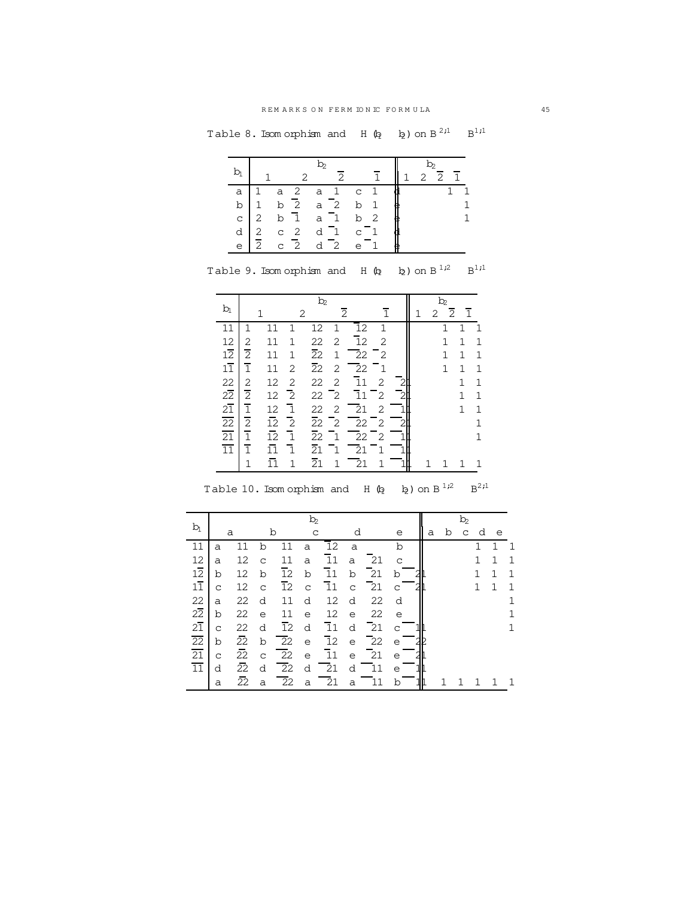Table 8. Isomorphism and H  $\left(\!\begin{matrix} 0 \\ 0 \end{matrix}\right)$  on  $\mathbb{B}^{2,1}$   $\mathbb{B}^{1,1}$ 

|       |                |              |                | $b_2$          |                |             |                |   | $\mathbf{b}_2$  |                |
|-------|----------------|--------------|----------------|----------------|----------------|-------------|----------------|---|-----------------|----------------|
| $b_1$ |                |              |                |                | $\mathcal{P}$  |             |                | 1 | $2\overline{2}$ | $\overline{1}$ |
| a     | 1              | a            | 2              | a              | $\overline{1}$ | $\mathbf C$ | 1              |   |                 | 1              |
| b     | $\mathbf{1}$   | b            | $\overline{2}$ | $a-2$          |                | b           | $\mathbf{1}$   | e |                 |                |
| C     | 2              | b            | $\overline{1}$ | a <sub>1</sub> |                |             | b <sub>2</sub> | e |                 |                |
| d     | 2              | $\mathtt{C}$ | $\overline{2}$ | d              | $\overline{1}$ | $\mathsf C$ | - 1            |   |                 |                |
| e     | $\overline{2}$ | $\mathbf C$  | $\overline{2}$ | d              | $\overline{2}$ | e           |                | е |                 |                |

|                                                                              |                |                 |                | b,              |                  |                                |              |                |   | $b_2$          |              |                |
|------------------------------------------------------------------------------|----------------|-----------------|----------------|-----------------|------------------|--------------------------------|--------------|----------------|---|----------------|--------------|----------------|
| b                                                                            |                |                 |                | 2               |                  | $\overline{2}$                 | $\mathbf{1}$ |                | 2 | $\overline{2}$ | $\mathbf{1}$ |                |
| 11                                                                           |                |                 | 1              | 12              | $\mathbf{1}$     | 12                             | 1            |                |   | 1              | 1            | -1             |
| 12                                                                           | 2              | 11              | $\mathbf{1}$   | 22              | 2                | 12                             | 2            |                |   | $\mathbf{1}$   | 1            | 1              |
| $1\overline{2}$                                                              | $\overline{2}$ | 11              | 1              | $\overline{2}2$ | $\mathbf 1$      | $\overline{2}2$                | $^-2$        |                |   | $\mathbf{1}$   | 1            | 1              |
| $1\overline{1}$                                                              | $\overline{1}$ | 11              | 2              | $\overline{2}2$ | 2                | $\overline{22}$                | $^-1$        |                |   | $\mathbf{1}$   | $\mathbf{1}$ | $\mathbf{1}$   |
| $22\overline{21}$<br>$21\overline{22}$<br>$\overline{21}$<br>$\overline{11}$ | $\overline{2}$ | 12              | 2              | 22              | 2                | $\overline{1}1$                | 2            | $\overline{2}$ |   |                | 1            | $\mathbf 1$    |
|                                                                              | $\overline{2}$ | 12              | $\overline{2}$ | 22              | $\mathsf{I}_{2}$ | $\overline{11}$ $\overline{2}$ |              | $\overline{2}$ |   |                | $\mathbf{1}$ | 1              |
|                                                                              | $\overline{1}$ | 12              | $\overline{1}$ | 22              | 2                | $\overline{21}$                | 2            |                |   |                | 1            | $\mathbf 1$    |
|                                                                              | $\overline{2}$ | $\overline{12}$ | $\overline{c}$ | $\overline{2}2$ | $\overline{2}$   | $22 - 2$                       |              |                |   |                |              | $\overline{1}$ |
|                                                                              | $\overline{1}$ | $\overline{12}$ | $\overline{1}$ | $\overline{2}2$ | $\mathbf{1}$     | $\overline{22}$ $\overline{2}$ |              |                |   |                |              | $\mathbf{1}$   |
|                                                                              | $\overline{1}$ |                 | $\overline{1}$ | 21              | ٦.               | 21                             |              |                |   |                |              |                |

Table 9. Isomorphism and H  $\left(\frac{1}{2}$  b<sub>2</sub> ) on B<sup>1,2</sup> B<sup>1,1</sup>

| $\frac{11}{1}$ $\frac{1}{11}$ $\frac{11}{11}$ $\frac{1}{21}$ $\frac{21}{1}$ $\frac{1}{21}$ $\frac{21}{1}$ $\frac{1}{1}$ $\frac{1}{1}$ $\frac{1}{1}$ $\frac{1}{1}$ $\frac{1}{1}$ $\frac{1}{1}$ $\frac{1}{1}$ |  |  |  |  |  |  |
|-------------------------------------------------------------------------------------------------------------------------------------------------------------------------------------------------------------|--|--|--|--|--|--|
|                                                                                                                                                                                                             |  |  |  |  |  |  |
| Table 10. Isomorphism and H $\left(\!\right.\!\right)$ $\left(\!\right.$ $\!\right.$ $\left(\!\right.$ $\!\right)$ on B $^{1,2}$ B <sup>2;1</sup>                                                           |  |  |  |  |  |  |

|                 | $b_2$        |                 |              |                 |              |                     |             |                 |              |  |   | $\mathbf{b}_2$ |              |              |              |             |  |
|-----------------|--------------|-----------------|--------------|-----------------|--------------|---------------------|-------------|-----------------|--------------|--|---|----------------|--------------|--------------|--------------|-------------|--|
| $b_1$           | a            |                 | b            |                 | $\mathsf{C}$ |                     | d           |                 | е            |  | a | b              | $\mathtt{C}$ | d            | e            |             |  |
| 11              | a            | 11              | b            | 11              | a            | 12                  | a           |                 | b            |  |   |                |              | 1            | 1            | -1          |  |
| 12              | a            | 12              | $\mathsf{C}$ | 11              | a            | 11                  | a           | -21             | $\mathsf{C}$ |  |   |                |              | $\mathbf{1}$ | $\mathbf{1}$ | $\mathbf 1$ |  |
| $1\overline{2}$ | b            | 12              | b            | 12              | b            | 11                  | b           | 21              | b            |  |   |                |              | $\mathbf{1}$ | $\mathbf 1$  | $\mathbf 1$ |  |
| $1\overline{1}$ | $\mathsf{C}$ | 12              | $\mathsf{C}$ | 12              | $\mathsf C$  | 11                  | $\mathbf C$ | 21              | C            |  |   |                |              | $\mathbf{1}$ | $\mathbf{1}$ | $\mathbf 1$ |  |
| 22              | a            | 22              | d            | 11              | d            | 12                  | d           | 22              | d            |  |   |                |              |              |              | 1           |  |
| $2\overline{2}$ | b            | 22              | $\epsilon$   | 11              | $\epsilon$   | 12                  | e           | 22              | e            |  |   |                |              |              |              |             |  |
| $2\overline{1}$ | $\mathsf{C}$ | 22              | d            | $\overline{1}2$ | d            | $\overline{1}1$     | d           | $\overline{21}$ | C            |  |   |                |              |              |              |             |  |
| 22              | b            | $\overline{22}$ | b            | 22              | $\epsilon$   | $\overline{1}2$     | $\epsilon$  | $\overline{22}$ | e            |  |   |                |              |              |              |             |  |
| 21              | $\mathsf{C}$ | 22              | $\mathsf C$  | $\overline{22}$ | $\epsilon$   | $\mathbf{\bar{1}1}$ | $\epsilon$  | $\overline{21}$ | е            |  |   |                |              |              |              |             |  |
| $\overline{11}$ | d            | 22              | d            | $\overline{22}$ | d            | $\overline{21}$     | d           | 11              | е            |  |   |                |              |              |              |             |  |
|                 | a            | 22              | a            | $\overline{2}2$ | a            | $\overline{21}$     | a           | 11              | b            |  |   |                |              |              |              | 1           |  |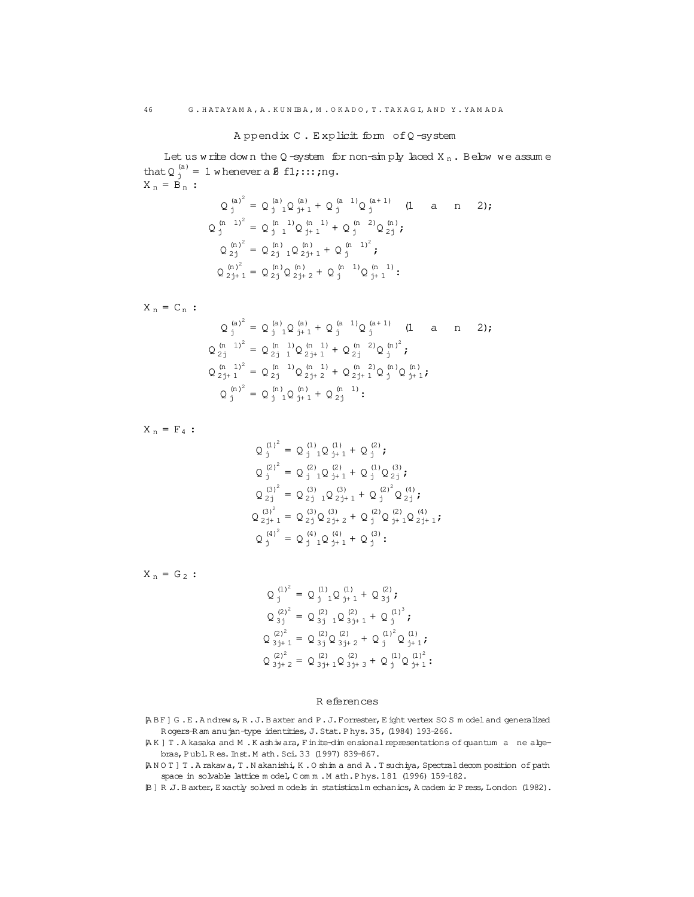A ppendix C . E xplicit form ofQ -system

<span id="page-45-0"></span>Let us w rite down the Q-system for non-simply laced  $X_n$ . Below we assume that  $Q_j^{(a)} = 1$  w henever a  $\beta$  f1;:::; ng.  $X_n = B_n$ :  $(a)^2$  (a) (a) (a) (a 1) (a+ 1)

$$
Q_{j}^{(n)} = Q_{j}^{(n)}_{j+1}Q_{j+1}^{(n)} + Q_{j}^{(n-1)}Q_{j+1}^{(n+1)}
$$
 (1 a n 2);  
\n
$$
Q_{j}^{(n-1)^{2}} = Q_{j-1}^{(n-1)}Q_{j+1}^{(n-1)} + Q_{j}^{(n-2)}Q_{2j}^{(n)};
$$
  
\n
$$
Q_{2j}^{(n)^{2}} = Q_{2j-1}^{(n)}Q_{2j+1}^{(n)} + Q_{j}^{(n-1)^{2}};
$$
  
\n
$$
Q_{2j+1}^{(n)^{2}} = Q_{2j}^{(n)}Q_{2j+2}^{(n)} + Q_{j}^{(n-1)}Q_{j+1}^{(n-1)};
$$

$$
X_{n} = C_{n} : \nQ_{j}^{(a)^{2}} = Q_{j}^{(a)}_{j} Q_{j+1}^{(a)} + Q_{j}^{(a-1)} Q_{j}^{(a+1)} \quad (1 \quad a \quad n \quad 2); \nQ_{2j}^{(n-1)^{2}} = Q_{2j}^{(n-1)} Q_{2j+1}^{(n-1)} + Q_{2j}^{(n-2)} Q_{j}^{(n)^{2}}; \nQ_{2j+1}^{(n-1)^{2}} = Q_{2j}^{(n-1)} Q_{2j+2}^{(n-1)} + Q_{2j}^{(n-2)} Q_{j}^{(n)} Q_{j+1}^{(n)}; \nQ_{j}^{(n)^{2}} = Q_{j}^{(n)}_{j} Q_{j+1}^{(n)} + Q_{2j}^{(n-1)}:
$$

 $\mathtt{X}$   $_\mathtt{n}$  =  $\mathtt{F}_4$  :

$$
Q_j^{(1)^2} = Q_{j1}^{(1)} Q_{j+1}^{(1)} + Q_j^{(2)};
$$
  
\n
$$
Q_j^{(2)^2} = Q_{j1}^{(2)} Q_{j+1}^{(2)} + Q_j^{(1)} Q_{j}^{(3)};
$$
  
\n
$$
Q_{2j}^{(3)^2} = Q_{2j1}^{(3)} Q_{2j+1}^{(3)} + Q_{j}^{(2)^2} Q_{2j}^{(4)};
$$
  
\n
$$
Q_{2j+1}^{(3)^2} = Q_{2j}^{(3)} Q_{2j+2}^{(3)} + Q_{j}^{(2)} Q_{j+1}^{(2)} Q_{2j+1}^{(4)};
$$
  
\n
$$
Q_{j}^{(4)^2} = Q_{j1}^{(4)} Q_{j+1}^{(4)} + Q_{j}^{(3)};
$$

 $X_n = G_2$ :

$$
Q_j^{(1)^2} = Q_{j1}^{(1)} Q_{j+1}^{(1)} + Q_{3j}^{(2)};
$$
  
\n
$$
Q_{3j}^{(2)^2} = Q_{3j1}^{(2)} Q_{3j+1}^{(2)} + Q_{j}^{(1)^3};
$$
  
\n
$$
Q_{3j+1}^{(2)^2} = Q_{3j}^{(2)} Q_{3j+2}^{(2)} + Q_{j}^{(1)^2} Q_{j+1}^{(1)};
$$
  
\n
$$
Q_{3j+2}^{(2)^2} = Q_{3j+1}^{(2)} Q_{3j+3}^{(2)} + Q_{j}^{(1)} Q_{j+1}^{(1)^2};
$$

#### R eferences

[A B F] G .E .A ndrew s,R .J.B axter and P.J.Forrester,E ight vertex SO S m odeland generalized R ogers-R am anujan-type identities, J. Stat. P hys. 35, (1984) 193-266.

[A K ] T .A kasaka and M .K ashiw ara,Finite-dim ensionalrepresentations of quantum a ne algebras,P ubl.R es.Inst.M ath.Sci.33 (1997) 839-867.

- [A N O T ] T .A rakaw a,T .N akanishi,K .O shim a and A .T suchiya,Spectraldecom position of path space in solvable lattice m odel, C om m . M ath. P hys. 181 (1996) 159-182.
- [B ] R .J.B axter,E xactly solved m odels in statisticalm echanics,A cadem ic P ress,London (1982).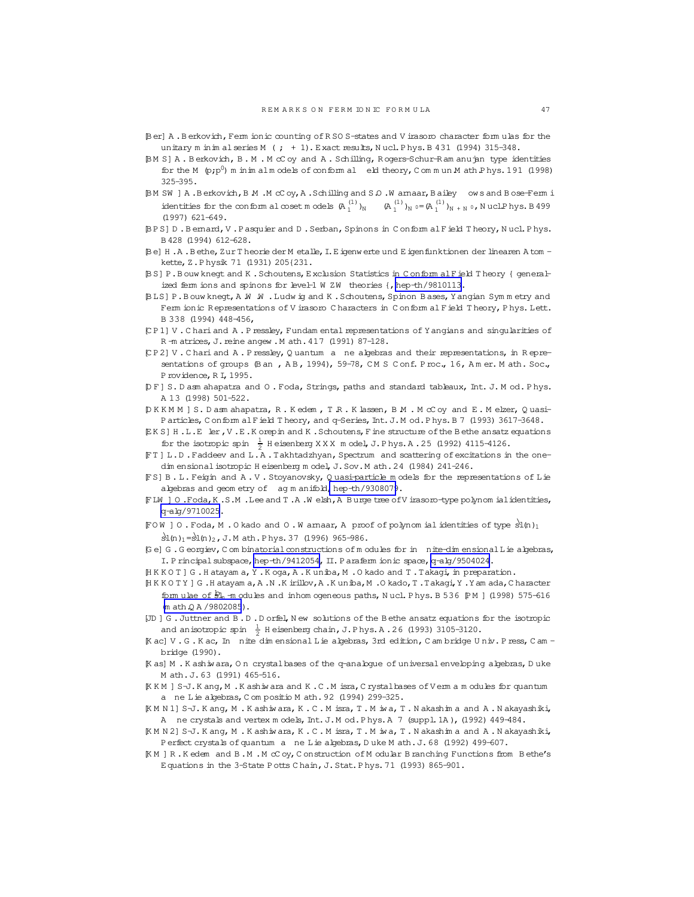- <span id="page-46-0"></span>[Ber] A.Berkovich, Ferm ionic counting of RSOS-states and V irasoro character formulas for the unitary m inim al series M  $(j + 1)$ . Exact results, Nucl. Phys. B 431 (1994) 315-348.
- [BM S] A. Berkovich, B. M. McCoy and A. Schilling, Rogers-Schur-Ram anu jan type identities for the M  $(p;p^0)$  m in im alm odels of conform al eld theory, C cm m un M ath P hys. 191 (1998)  $325 - 395$ .
- BM SW ] A .B erkovich, B M .M cC oy, A .Schilling and S Q .W amaar, B ailey ows and Bose-Ferm i identities for the conform all coset models  $(A_1^{(1)})_N$   $(A_1^{(1)})_N$   $(0, 1^{(1)})_{N+N}$   $\circ$ , NuclPhys. B499  $(1997)$  621-649.
- [BPS] D.Bemard, V.Pasquier and D.Serban, Spinons in Conform al Field Theory, Nucl.Phys. B 428 (1994) 612-628.
- Be] H.A.Bethe, Zur Theorie der Metalle, I.E igenwerte und E igen funktionen der linearen Atom kette, Z.Physik 71 (1931) 205{231.
- [BS] P.Bouw knegt and K.Schoutens, Exclusion Statistics in Conform alField Theory { generalized ferm ions and spinons for level-1 W ZW theories {, hep-th/9810113.
- BLS] P.Bouw kneqt, A W W.Ludw ig and K.Schoutens, Spinon Bases, Yangian Symmetry and Ferm ionic Representations of V irasoro Characters in Conform al Field Theory, Phys. Lett. B 338 (1994) 448-456,
- [CP1] V. Chari and A. Pressley, Fundam ental representations of Yangians and singularities of R-m atrices, J. reine angew . M ath. 417 (1991) 87-128.
- [CP2] V. Chariand A. Pressley, Quantum a ne algebras and their representations, in Representations of groups (Ban, AB, 1994), 59-78, CMS Conf. Proc., 16, Amer. Math. Soc., Providence, RI, 1995.
- DF] S.Dasmahapatra and O.Foda, Strings, paths and standard tableaux, Int. J.Mod.Phys. A 13 (1998) 501-522.
- DKKMM ] S. D asm ahapatra, R. K edem, T. R. K lassen, B. M. M cC oy and E. M elzer, Quasi-Particles, Conform alField Theory, and q-Series, Int. J. M od. Phys. B 7 (1993) 3617-3648.
- EKS] H.L.E ler, V.E.K orepin and K.Schoutens, Fine structure of the Bethe ansatz equations for the isotropic spin  $\frac{1}{2}$  H eisenberg XXX m odel, J. Phys. A. 25 (1992) 4115-4126.
- FT ] L.D. Faddeev and L.A. Takhtadzhyan, Spectrum and scattering of excitations in the onedim ensional isotropic H eisenberg m odel, J. Sov. M ath. 24 (1984) 241-246.
- [FS] B. L. Feigin and A. V. Stoyanovsky, Quasi-particle models for the representations of Lie algebras and geometry of agmanifold, hep-th/9308079.
- FLW ] O.Foda, K.S.M. Lee and T.A.Welsh, A Burge tree of V irasoro-type polynom ial identities, q-alg/9710025.
- $FOW$  ] O. Foda, M. Okado and O. W amaar, A proof of polynom ial identities of type  $sl(n)_1$  $\text{d}(\text{n})_1 = \text{d}(\text{n})_2$ , J.M ath. Phys. 37 (1996) 965-986.
- [Ge] G.Georgiev, Combinatorial constructions of modules for in nite-dimensional Lie algebras, I. Principal subspace, hep-th/9412054, II. Paraferm ionic space, q-alg/9504024.
- [HKKOT] G.Hatayam a, Y.Koga, A.Kuniba, M.Okado and T.Takagi, in preparation.
- [HKKOTY] G.Hatayam a, A.N.Kirillov, A.Kuniba, M.Okado, T.Takaqi, Y.Yam ada, Character form ulae of  $\frac{1}{2}$ <sub>h</sub>-m odules and inhomogeneous paths, Nucl. Phys. B 536 PM | (1998) 575-616  $(m \text{ ath } Q \text{ A } / 9802085)$ .
- [JD] G. Juttner and B.D. Dorfel, New solutions of the Bethe ansatz equations for the isotropic and anisotropic spin  $\frac{1}{2}$  H eisenberg chain, J. P hys. A. 26 (1993) 3105-3120.
- [K ac] V.G.K ac, In nite dim ensional Lie algebras, 3rd edition, C am bridge Univ. Press, C am bridge (1990).
- [K as] M. K ashiwara, On crystal bases of the q-anabgue of universal enveloping algebras, Duke M ath. J. 63 (1991) 465-516.
- [KKM] S-J.Kang, M.Kashiwara and K.C.Misra, Crystalbases of Verman odules for quantum a ne Lie algebras, C om positio M ath. 92 (1994) 299-325.
- KMN1] S-J. Kang, M. Kashiwara, K. C. Misra, T. Miwa, T. Nakashima and A. Nakayashiki, A ne crystals and vertex models, Int. J. Mod. Phys. A 7 (suppl. 1A), (1992) 449-484.
- [KMN2] S-J. Kang, M. Kashiwara, K. C. Misra, T. Miwa, T. Nakashima and A. Nakayashiki, Perfect crystals of quantum a ne Lie algebras, Duke M ath. J. 68 (1992) 499-607.
- [KM] R.Kedem and B.M.McCoy, Construction of Modular Branching Functions from Bethe's Equations in the 3-State Potts Chain, J. Stat. Phys. 71 (1993) 865-901.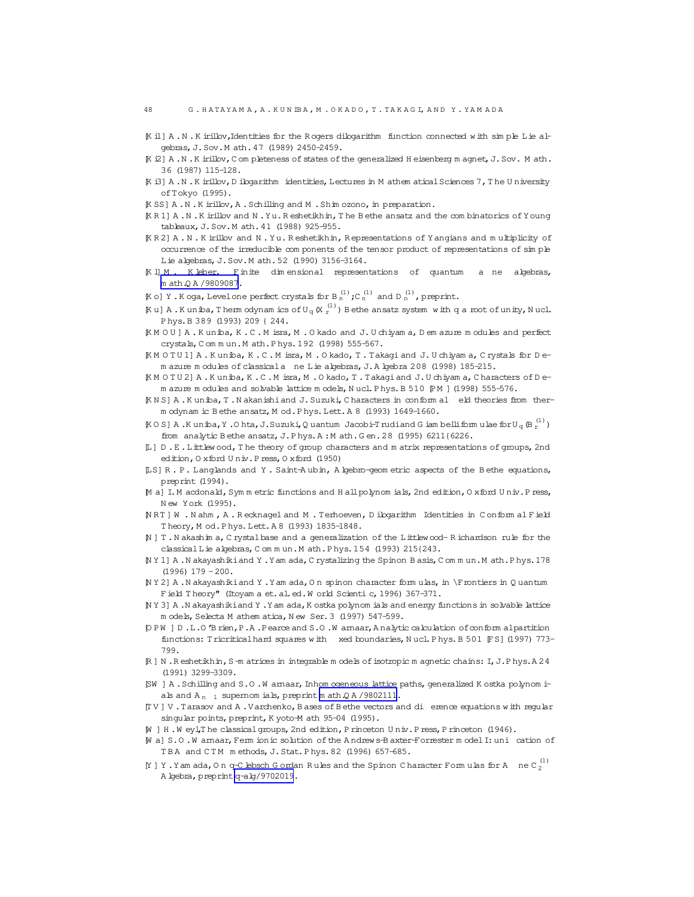- <span id="page-47-0"></span>[K i1] A .N .K irillov,Identities for the R ogers dilogarithm function connected with sim ple Lie algebras,J.Sov.M ath.47 (1989) 2450-2459.
- [K i2] A .N .K irillov, C om pleteness of states of the generalized H eisenberg m agnet, J. Sov. M ath. 36 (1987) 115-128.
- [K i3] A .N .K irillov, D ilogarithm identities, Lectures in M athem atical Sciences 7, The U niversity ofTokyo (1995).
- [K SS] A.N.K irillov, A.Schilling and M.Shim ozono, in preparation.
- [K R 1] A .N .K irillov and N .Yu.R eshetikhin,T he B ethe ansatz and the com binatorics ofY oung tableaux,J.Sov.M ath.41 (1988) 925-955.
- [K R 2] A . N . K irillov and N . Yu. R eshetikhin, R epresentations of Y angians and m ultiplicity of occurrence of the irreducible com ponents of the tensor product of representations of sim ple Lie algebras,J.Sov.M ath.52 (1990) 3156-3164.
- [K l] M . K leber, Finite dim ensional representations of quantum a ne algebras, [m ath.Q A /9809087](http://arxiv.org/abs/math/9809087).
- $\mathbb K$ o] Y . K oga, Level one perfect crystals for B  $_n^{(1)}$ ; C  $_n^{(1)}$  and D  $_n^{(1)}$ , preprint.
- $K$ u] A.Kuniba, Them odynam ics of U<sub>q</sub> (X  $_1^{(1)}$ ) Bethe ansatz system with q a root of unity, Nucl. P hys.B 389 (1993) 209 { 244.
- [K M O U ] A . K uniba, K . C . M isra, M . O kado and J. U chiyam a, D em azure m odules and perfect crystals,C om m un.M ath.P hys.192 (1998) 555-567.
- [K M O T U 1] A . K uniba, K . C . M isra, M . O kado, T . Takagi and J. U chiyam a, C rystals for D em azure m odules of classicala ne Lie algebras,J.A lgebra 208 (1998) 185-215.
- [K M O T U 2] A .K uniba,K .C .M isra,M .O kado,T .Takagiand J.U chiyam a,C haracters of D em azure m odules and solvable lattice m odels, N ucl. P hys. B 510 [P M ] (1998) 555-576.
- [K N S] A .K uniba,T .N akanishiand J.Suzuki,C haracters in conform al eld theories from therm odynam ic B ethe ansatz, M od.P hys.Lett.A 8 (1993) 1649-1660.
- $\texttt{KOSI A.K uniba, Y.0 hta, J.Suzuki, Q uantum Jacobi-T rudi and G iam belli form u lae for U<sub>q</sub> (B<sub>r</sub><sup>(1)</sup>)$ from analytic Bethe ansatz, J.P hys.A : M ath.G en. 28 (1995) 6211{6226.
- [L] D .E .Littlew ood,T he theory of group characters and m atrix representations of groups,2nd edition, O xford U niv. P ress, O xford (1950)
- [LS] R . P. Langlands and Y . Saint-A ubin, A lgebro-geom etric aspects of the B ethe equations, preprint (1994).
- [M a] I.M acdonald, Sym m etric functions and H all polynom ials, 2nd edition, O xford Univ. P ress, N ew York (1995).
- [N RT ] W . N ahm , A . R ecknagel and M . Terhoeven, D ilogarithm Identities in C onform al Field Theory, M od.Phys.Lett.A 8 (1993) 1835-1848.
- [N ] T .N akashim a,C rystalbase and a generalization of the Littlewood- R ichardson rule for the classical Lie algebras, C om m un.M ath.P hys.154 (1993) 215{243.
- [N Y 1] A .N akayashikiand Y .Yam ada,C rystalizing the Spinon B asis,C om m un.M ath.P hys.178  $(1996)$  179 -200.
- [N Y 2] A .N akayashiki and Y .Yam ada, O n spinon character form ulas, in \Frontiers in Q uantum Field Theory" (Itoyam a et. al. ed. W orld Scienti c, 1996) 367-371.
- [N Y 3] A .N akayashiki and Y .Yam ada, K ostka polynom ials and energy functions in solvable lattice m odels, Selecta M athem atica, N ew Ser. 3 (1997) 547-599.
- [O P W ] D .L.O 'B rien,P.A .Pearce and S.O .W arnaar,A nalytic calculation ofconform alpartition functions: Tricritical hard squares with xed boundaries, Nucl. Phys. B 501 FS](1997) 773-799.
- [R ] N .R eshetikhin,S-m atrices in integrable m odels ofisotropic m agnetic chains: I,J.P hys.A 24 (1991) 3299-3309.
- [SW ] A .Schilling and S.O .W arnaar,Inhom ogeneous lattice paths,generalized K ostka polynom ials and  $A_{n-1}$  supernom ials, preprint m ath  $QA / 9802111$ .
- [T V ] V .Tarasov and A .Varchenko,B ases ofB ethe vectors and di erence equations with regular singular points, preprint, K yoto-M ath 95-04 (1995).
- [W ] H .W eyl,T he classicalgroups,2nd edition,P rinceton U niv.P ress,P rinceton (1946).
- [W a] S.O .W arnaar,Ferm ionic solution ofthe A ndrews-B axter-Forrester m odelI:uni cation of TBA and CTM m ethods, J. Stat. Phys. 82 (1996) 657-685.
- [Y ] Y. Yam ada, O n q-C lebsch G ordan Rules and the Spinon C haracter Form ulas for A  $\cdot$  ne C  $_2^{(1)}$ A lgebra, preprint [q-alg/9702019](http://arxiv.org/abs/q-alg/9702019).